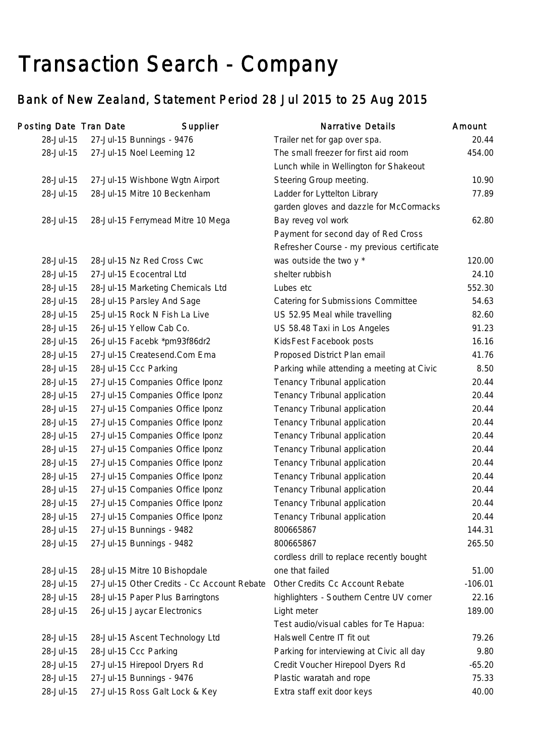# Transaction Search - Company

# Bank of New Zealand, Statement Period 28 Jul 2015 to 25 Aug 2015

| Posting Date Tran Date | Supplier                                    | <b>Narrative Details</b>                   | Amount    |
|------------------------|---------------------------------------------|--------------------------------------------|-----------|
| 28-Jul-15              | 27-Jul-15 Bunnings - 9476                   | Trailer net for gap over spa.              | 20.44     |
| 28-Jul-15              | 27-Jul-15 Noel Leeming 12                   | The small freezer for first aid room       | 454.00    |
|                        |                                             | Lunch while in Wellington for Shakeout     |           |
| 28-Jul-15              | 27-Jul-15 Wishbone Wgtn Airport             | Steering Group meeting.                    | 10.90     |
| 28-Jul-15              | 28-Jul-15 Mitre 10 Beckenham                | Ladder for Lyttelton Library               | 77.89     |
|                        |                                             | garden gloves and dazzle for McCormacks    |           |
| 28-Jul-15              | 28-Jul-15 Ferrymead Mitre 10 Mega           | Bay reveg vol work                         | 62.80     |
|                        |                                             | Payment for second day of Red Cross        |           |
|                        |                                             | Refresher Course - my previous certificate |           |
| 28-Jul-15              | 28-Jul-15 Nz Red Cross Cwc                  | was outside the two y *                    | 120.00    |
| 28-Jul-15              | 27-Jul-15 Ecocentral Ltd                    | shelter rubbish                            | 24.10     |
| 28-Jul-15              | 28-Jul-15 Marketing Chemicals Ltd           | Lubes etc                                  | 552.30    |
| 28-Jul-15              | 28-Jul-15 Parsley And Sage                  | Catering for Submissions Committee         | 54.63     |
| 28-Jul-15              | 25-Jul-15 Rock N Fish La Live               | US 52.95 Meal while travelling             | 82.60     |
| 28-Jul-15              | 26-Jul-15 Yellow Cab Co.                    | US 58.48 Taxi in Los Angeles               | 91.23     |
| 28-Jul-15              | 26-Jul-15 Facebk *pm93f86dr2                | KidsFest Facebook posts                    | 16.16     |
| 28-Jul-15              | 27-Jul-15 Createsend.Com Ema                | Proposed District Plan email               | 41.76     |
| 28-Jul-15              | 28-Jul-15 Ccc Parking                       | Parking while attending a meeting at Civic | 8.50      |
| 28-Jul-15              | 27-Jul-15 Companies Office Iponz            | Tenancy Tribunal application               | 20.44     |
| 28-Jul-15              | 27-Jul-15 Companies Office Iponz            | Tenancy Tribunal application               | 20.44     |
| 28-Jul-15              | 27-Jul-15 Companies Office Iponz            | Tenancy Tribunal application               | 20.44     |
| 28-Jul-15              | 27-Jul-15 Companies Office Iponz            | Tenancy Tribunal application               | 20.44     |
| 28-Jul-15              | 27-Jul-15 Companies Office Iponz            | Tenancy Tribunal application               | 20.44     |
| 28-Jul-15              | 27-Jul-15 Companies Office Iponz            | Tenancy Tribunal application               | 20.44     |
| 28-Jul-15              | 27-Jul-15 Companies Office Iponz            | Tenancy Tribunal application               | 20.44     |
| 28-Jul-15              | 27-Jul-15 Companies Office Iponz            | Tenancy Tribunal application               | 20.44     |
| 28-Jul-15              | 27-Jul-15 Companies Office Iponz            | Tenancy Tribunal application               | 20.44     |
| 28-Jul-15              | 27-Jul-15 Companies Office Iponz            | Tenancy Tribunal application               | 20.44     |
| 28-Jul-15              | 27-Jul-15 Companies Office Iponz            | Tenancy Tribunal application               | 20.44     |
| 28-Jul-15              | 27-Jul-15 Bunnings - 9482                   | 800665867                                  | 144.31    |
| 28-Jul-15              | 27-Jul-15 Bunnings - 9482                   | 800665867                                  | 265.50    |
|                        |                                             | cordless drill to replace recently bought  |           |
| 28-Jul-15              | 28-Jul-15 Mitre 10 Bishopdale               | one that failed                            | 51.00     |
| 28-Jul-15              | 27-Jul-15 Other Credits - Cc Account Rebate | Other Credits Cc Account Rebate            | $-106.01$ |
| 28-Jul-15              | 28-Jul-15 Paper Plus Barringtons            | highlighters - Southern Centre UV corner   | 22.16     |
| 28-Jul-15              | 26-Jul-15 Jaycar Electronics                | Light meter                                | 189.00    |
|                        |                                             | Test audio/visual cables for Te Hapua:     |           |
| 28-Jul-15              | 28-Jul-15 Ascent Technology Ltd             | Halswell Centre IT fit out                 | 79.26     |
| 28-Jul-15              | 28-Jul-15 Ccc Parking                       | Parking for interviewing at Civic all day  | 9.80      |
| 28-Jul-15              | 27-Jul-15 Hirepool Dryers Rd                | Credit Voucher Hirepool Dyers Rd           | $-65.20$  |
| 28-Jul-15              | 27-Jul-15 Bunnings - 9476                   | Plastic waratah and rope                   | 75.33     |
| 28-Jul-15              | 27-Jul-15 Ross Galt Lock & Key              | Extra staff exit door keys                 | 40.00     |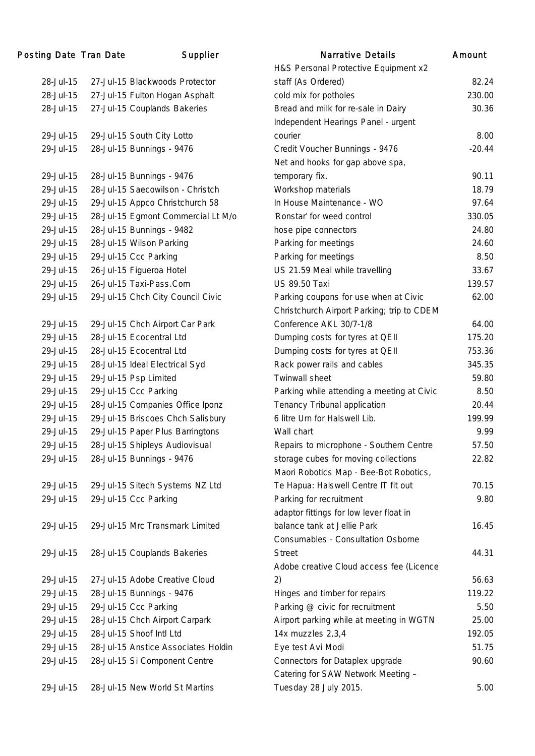| Posting Date Tran Date | Supplier                            | <b>Narrative Details</b>                   | Amount   |
|------------------------|-------------------------------------|--------------------------------------------|----------|
|                        |                                     | H&S Personal Protective Equipment x2       |          |
| 28-Jul-15              | 27-Jul-15 Blackwoods Protector      | staff (As Ordered)                         | 82.24    |
| 28-Jul-15              | 27-Jul-15 Fulton Hogan Asphalt      | cold mix for potholes                      | 230.00   |
| 28-Jul-15              | 27-Jul-15 Couplands Bakeries        | Bread and milk for re-sale in Dairy        | 30.36    |
|                        |                                     | Independent Hearings Panel - urgent        |          |
| 29-Jul-15              | 29-Jul-15 South City Lotto          | courier                                    | 8.00     |
| 29-Jul-15              | 28-Jul-15 Bunnings - 9476           | Credit Voucher Bunnings - 9476             | $-20.44$ |
|                        |                                     | Net and hooks for gap above spa,           |          |
| 29-Jul-15              | 28-Jul-15 Bunnings - 9476           | temporary fix.                             | 90.11    |
| 29-Jul-15              | 28-Jul-15 Saecowilson - Christch    | Workshop materials                         | 18.79    |
| 29-Jul-15              | 29-Jul-15 Appco Christchurch 58     | In House Maintenance - WO                  | 97.64    |
| 29-Jul-15              | 28-Jul-15 Egmont Commercial Lt M/o  | 'Ronstar' for weed control                 | 330.05   |
| 29-Jul-15              | 28-Jul-15 Bunnings - 9482           | hose pipe connectors                       | 24.80    |
| 29-Jul-15              | 28-Jul-15 Wilson Parking            | Parking for meetings                       | 24.60    |
| 29-Jul-15              | 29-Jul-15 Ccc Parking               | Parking for meetings                       | 8.50     |
| 29-Jul-15              | 26-Jul-15 Figueroa Hotel            | US 21.59 Meal while travelling             | 33.67    |
| 29-Jul-15              | 26-Jul-15 Taxi-Pass.Com             | <b>US 89.50 Taxi</b>                       | 139.57   |
| 29-Jul-15              | 29-Jul-15 Chch City Council Civic   | Parking coupons for use when at Civic      | 62.00    |
|                        |                                     | Christchurch Airport Parking; trip to CDEM |          |
| 29-Jul-15              | 29-Jul-15 Chch Airport Car Park     | Conference AKL 30/7-1/8                    | 64.00    |
| 29-Jul-15              | 28-Jul-15 Ecocentral Ltd            | Dumping costs for tyres at QEII            | 175.20   |
| 29-Jul-15              | 28-Jul-15 Ecocentral Ltd            | Dumping costs for tyres at QEII            | 753.36   |
| 29-Jul-15              | 28-Jul-15 Ideal Electrical Syd      | Rack power rails and cables                | 345.35   |
| 29-Jul-15              | 29-Jul-15 Psp Limited               | Twinwall sheet                             | 59.80    |
| 29-Jul-15              | 29-Jul-15 Ccc Parking               | Parking while attending a meeting at Civic | 8.50     |
| 29-Jul-15              | 28-Jul-15 Companies Office Iponz    | Tenancy Tribunal application               | 20.44    |
| 29-Jul-15              | 29-Jul-15 Briscoes Chch Salisbury   | 6 litre Urn for Halswell Lib.              | 199.99   |
| 29-Jul-15              | 29-Jul-15 Paper Plus Barringtons    | Wall chart                                 | 9.99     |
| 29-Jul-15              | 28-Jul-15 Shipleys Audiovisual      | Repairs to microphone - Southern Centre    | 57.50    |
| 29-Jul-15              | 28-Jul-15 Bunnings - 9476           | storage cubes for moving collections       | 22.82    |
|                        |                                     | Maori Robotics Map - Bee-Bot Robotics,     |          |
| 29-Jul-15              | 29-Jul-15 Sitech Systems NZ Ltd     | Te Hapua: Halswell Centre IT fit out       | 70.15    |
| 29-Jul-15              | 29-Jul-15 Ccc Parking               | Parking for recruitment                    | 9.80     |
|                        |                                     | adaptor fittings for low lever float in    |          |
| 29-Jul-15              | 29-Jul-15 Mrc Transmark Limited     | balance tank at Jellie Park                | 16.45    |
|                        |                                     | Consumables - Consultation Osborne         |          |
| 29-Jul-15              | 28-Jul-15 Couplands Bakeries        | <b>Street</b>                              | 44.31    |
|                        |                                     | Adobe creative Cloud access fee (Licence   |          |
| 29-Jul-15              | 27-Jul-15 Adobe Creative Cloud      | 2)                                         | 56.63    |
| 29-Jul-15              | 28-Jul-15 Bunnings - 9476           | Hinges and timber for repairs              | 119.22   |
| 29-Jul-15              | 29-Jul-15 Ccc Parking               | Parking @ civic for recruitment            | 5.50     |
| 29-Jul-15              | 28-Jul-15 Chch Airport Carpark      | Airport parking while at meeting in WGTN   | 25.00    |
| 29-Jul-15              | 28-Jul-15 Shoof Intl Ltd            | 14x muzzles 2,3,4                          | 192.05   |
| 29-Jul-15              | 28-Jul-15 Anstice Associates Holdin | Eye test Avi Modi                          | 51.75    |
| 29-Jul-15              | 28-Jul-15 Si Component Centre       | Connectors for Dataplex upgrade            | 90.60    |
|                        |                                     | Catering for SAW Network Meeting -         |          |
| 29-Jul-15              | 28-Jul-15 New World St Martins      | Tuesday 28 July 2015.                      | 5.00     |
|                        |                                     |                                            |          |

| <b>Narrative Details</b>                   | Amount   |
|--------------------------------------------|----------|
| H&S Personal Protective Equipment x2       |          |
| staff (As Ordered)                         | 82.24    |
| cold mix for potholes                      | 230.00   |
| Bread and milk for re-sale in Dairy        | 30.36    |
| Independent Hearings Panel - urgent        |          |
| courier                                    | 8.00     |
| Credit Voucher Bunnings - 9476             | $-20.44$ |
| Net and hooks for gap above spa,           |          |
| temporary fix.                             | 90.11    |
| Workshop materials                         | 18.79    |
| In House Maintenance - WO                  | 97.64    |
| 'Ronstar' for weed control                 | 330.05   |
| hose pipe connectors                       | 24.80    |
| Parking for meetings                       | 24.60    |
| Parking for meetings                       | 8.50     |
| US 21.59 Meal while travelling             | 33.67    |
| <b>US 89.50 Taxi</b>                       | 139.57   |
| Parking coupons for use when at Civic      | 62.00    |
| Christchurch Airport Parking; trip to CDEM |          |
| Conference AKL 30/7-1/8                    | 64.00    |
| Dumping costs for tyres at QEII            | 175.20   |
| Dumping costs for tyres at QEII            | 753.36   |
| Rack power rails and cables                | 345.35   |
| <b>Twinwall sheet</b>                      | 59.80    |
| Parking while attending a meeting at Civic | 8.50     |
| Tenancy Tribunal application               | 20.44    |
| 6 litre Urn for Halswell Lib.              | 199.99   |
| Wall chart                                 | 9.99     |
| Repairs to microphone - Southern Centre    | 57.50    |
| storage cubes for moving collections       | 22.82    |
| Maori Robotics Map - Bee-Bot Robotics,     |          |
| Te Hapua: Halswell Centre IT fit out       | 70.15    |
| Parking for recruitment                    | 9.80     |
| adaptor fittings for low lever float in    |          |
| balance tank at Jellie Park                | 16.45    |
| Consumables - Consultation Osborne         |          |
| <b>Street</b>                              | 44.31    |
| Adobe creative Cloud access fee (Licence   |          |
| 2)                                         | 56.63    |
| Hinges and timber for repairs              | 119.22   |
| Parking @ civic for recruitment            | 5.50     |
| Airport parking while at meeting in WGTN   | 25.00    |
| 14x muzzles 2,3,4                          | 192.05   |
| Eye test Avi Modi                          | 51.75    |
| Connectors for Dataplex upgrade            | 90.60    |
| Catering for SAW Network Meeting -         |          |
| Tuesday 28 July 2015.                      | 5.00     |
|                                            |          |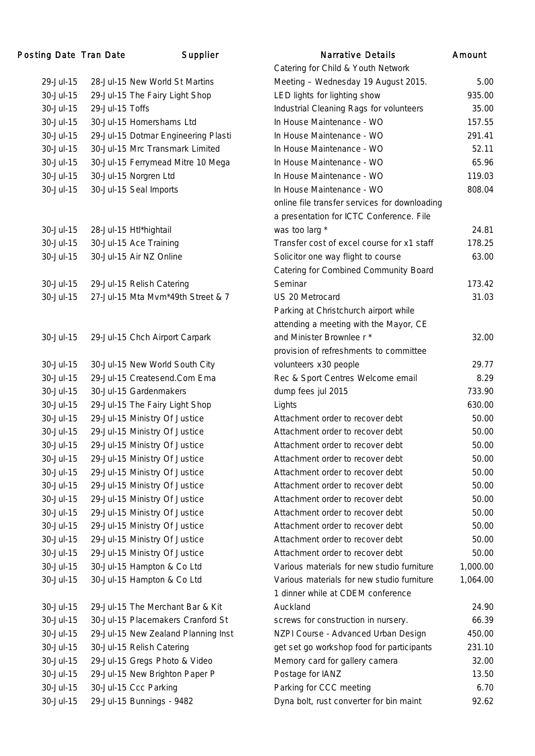## Posting Date Tran Date Supplier

|           |                                     | Catering for Child & Youth Network            |          |
|-----------|-------------------------------------|-----------------------------------------------|----------|
| 29-Jul-15 | 28-Jul-15 New World St Martins      | Meeting - Wednesday 19 August 2015.           | 5.00     |
| 30-Jul-15 | 29-Jul-15 The Fairy Light Shop      | LED lights for lighting show                  | 935.00   |
| 30-Jul-15 | 29-Jul-15 Toffs                     | Industrial Cleaning Rags for volunteers       | 35.00    |
| 30-Jul-15 | 30-Jul-15 Homershams Ltd            | In House Maintenance - WO                     | 157.55   |
| 30-Jul-15 | 29-Jul-15 Dotmar Engineering Plasti | In House Maintenance - WO                     | 291.41   |
| 30-Jul-15 | 30-Jul-15 Mrc Transmark Limited     | In House Maintenance - WO                     | 52.11    |
| 30-Jul-15 | 30-Jul-15 Ferrymead Mitre 10 Mega   | In House Maintenance - WO                     | 65.96    |
| 30-Jul-15 | 30-Jul-15 Norgren Ltd               | In House Maintenance - WO                     | 119.03   |
| 30-Jul-15 | 30-Jul-15 Seal Imports              | In House Maintenance - WO                     | 808.04   |
|           |                                     | online file transfer services for downloading |          |
|           |                                     | a presentation for ICTC Conference. File      |          |
| 30-Jul-15 | 28-Jul-15 Htl*hightail              | was too larg *                                | 24.81    |
| 30-Jul-15 | 30-Jul-15 Ace Training              | Transfer cost of excel course for x1 staff    | 178.25   |
| 30-Jul-15 | 30-Jul-15 Air NZ Online             | Solicitor one way flight to course            | 63.00    |
|           |                                     | <b>Catering for Combined Community Board</b>  |          |
| 30-Jul-15 | 29-Jul-15 Relish Catering           | Seminar                                       | 173.42   |
| 30-Jul-15 | 27-Jul-15 Mta Mvm*49th Street & 7   | US 20 Metrocard                               | 31.03    |
|           |                                     | Parking at Christchurch airport while         |          |
|           |                                     | attending a meeting with the Mayor, CE        |          |
| 30-Jul-15 | 29-Jul-15 Chch Airport Carpark      | and Minister Brownlee r *                     | 32.00    |
|           |                                     | provision of refreshments to committee        |          |
| 30-Jul-15 | 30-Jul-15 New World South City      | volunteers x30 people                         | 29.77    |
| 30-Jul-15 | 29-Jul-15 Createsend.Com Ema        | Rec & Sport Centres Welcome email             | 8.29     |
| 30-Jul-15 | 30-Jul-15 Gardenmakers              | dump fees jul 2015                            | 733.90   |
| 30-Jul-15 | 29-Jul-15 The Fairy Light Shop      | Lights                                        | 630.00   |
| 30-Jul-15 | 29-Jul-15 Ministry Of Justice       | Attachment order to recover debt              | 50.00    |
| 30-Jul-15 | 29-Jul-15 Ministry Of Justice       | Attachment order to recover debt              | 50.00    |
| 30-Jul-15 | 29-Jul-15 Ministry Of Justice       | Attachment order to recover debt              | 50.00    |
| 30-Jul-15 | 29-Jul-15 Ministry Of Justice       | Attachment order to recover debt              | 50.00    |
| 30-Jul-15 | 29-Jul-15 Ministry Of Justice       | Attachment order to recover debt              | 50.00    |
| 30-Jul-15 | 29-Jul-15 Ministry Of Justice       | Attachment order to recover debt              | 50.00    |
| 30-Jul-15 | 29-Jul-15 Ministry Of Justice       | Attachment order to recover debt              | 50.00    |
| 30-Jul-15 | 29-Jul-15 Ministry Of Justice       | Attachment order to recover debt              | 50.00    |
| 30-Jul-15 | 29-Jul-15 Ministry Of Justice       | Attachment order to recover debt              | 50.00    |
| 30-Jul-15 | 29-Jul-15 Ministry Of Justice       | Attachment order to recover debt              | 50.00    |
| 30-Jul-15 | 29-Jul-15 Ministry Of Justice       | Attachment order to recover debt              | 50.00    |
| 30-Jul-15 | 30-Jul-15 Hampton & Co Ltd          | Various materials for new studio furniture    | 1,000.00 |
| 30-Jul-15 | 30-Jul-15 Hampton & Co Ltd          | Various materials for new studio furniture    | 1,064.00 |
|           |                                     | 1 dinner while at CDEM conference             |          |
| 30-Jul-15 | 29-Jul-15 The Merchant Bar & Kit    | Auckland                                      | 24.90    |
| 30-Jul-15 | 30-Jul-15 Placemakers Cranford St   | screws for construction in nursery.           | 66.39    |
| 30-Jul-15 | 29-Jul-15 New Zealand Planning Inst | NZPI Course - Advanced Urban Design           | 450.00   |
| 30-Jul-15 | 30-Jul-15 Relish Catering           | get set go workshop food for participants     | 231.10   |
| 30-Jul-15 | 29-Jul-15 Gregs Photo & Video       | Memory card for gallery camera                | 32.00    |
| 30-Jul-15 | 29-Jul-15 New Brighton Paper P      | Postage for IANZ                              | 13.50    |
| 30-Jul-15 | 30-Jul-15 Ccc Parking               | Parking for CCC meeting                       | 6.70     |
| 30-Jul-15 | 29-Jul-15 Bunnings - 9482           | Dyna bolt, rust converter for bin maint       | 92.62    |
|           |                                     |                                               |          |

|           | ng Date Tran Date | Supplier                            | <b>Narrative Details</b>                      | Amount   |
|-----------|-------------------|-------------------------------------|-----------------------------------------------|----------|
|           |                   |                                     | Catering for Child & Youth Network            |          |
| 29-Jul-15 |                   | 28-Jul-15 New World St Martins      | Meeting - Wednesday 19 August 2015.           | 5.00     |
| 30-Jul-15 |                   | 29-Jul-15 The Fairy Light Shop      | LED lights for lighting show                  | 935.00   |
| 30-Jul-15 | 29-Jul-15 Toffs   |                                     | Industrial Cleaning Rags for volunteers       | 35.00    |
| 30-Jul-15 |                   | 30-Jul-15 Homershams Ltd            | In House Maintenance - WO                     | 157.55   |
| 30-Jul-15 |                   | 29-Jul-15 Dotmar Engineering Plasti | In House Maintenance - WO                     | 291.41   |
| 30-Jul-15 |                   | 30-Jul-15 Mrc Transmark Limited     | In House Maintenance - WO                     | 52.11    |
| 30-Jul-15 |                   | 30-Jul-15 Ferrymead Mitre 10 Mega   | In House Maintenance - WO                     | 65.96    |
| 30-Jul-15 |                   | 30-Jul-15 Norgren Ltd               | In House Maintenance - WO                     | 119.03   |
| 30-Jul-15 |                   | 30-Jul-15 Seal Imports              | In House Maintenance - WO                     | 808.04   |
|           |                   |                                     | online file transfer services for downloading |          |
|           |                   |                                     | a presentation for ICTC Conference. File      |          |
| 30-Jul-15 |                   | 28-Jul-15 Htl*hightail              | was too larg *                                | 24.81    |
| 30-Jul-15 |                   | 30-Jul-15 Ace Training              | Transfer cost of excel course for x1 staff    | 178.25   |
| 30-Jul-15 |                   | 30-Jul-15 Air NZ Online             | Solicitor one way flight to course            | 63.00    |
|           |                   |                                     | Catering for Combined Community Board         |          |
| 30-Jul-15 |                   | 29-Jul-15 Relish Catering           | Seminar                                       | 173.42   |
| 30-Jul-15 |                   | 27-Jul-15 Mta Mvm*49th Street & 7   | US 20 Metrocard                               | 31.03    |
|           |                   |                                     | Parking at Christchurch airport while         |          |
|           |                   |                                     | attending a meeting with the Mayor, CE        |          |
| 30-Jul-15 |                   | 29-Jul-15 Chch Airport Carpark      | and Minister Brownlee r *                     | 32.00    |
|           |                   |                                     | provision of refreshments to committee        |          |
| 30-Jul-15 |                   | 30-Jul-15 New World South City      | volunteers x30 people                         | 29.77    |
| 30-Jul-15 |                   | 29-Jul-15 Createsend.Com Ema        | Rec & Sport Centres Welcome email             | 8.29     |
| 30-Jul-15 |                   | 30-Jul-15 Gardenmakers              | dump fees jul 2015                            | 733.90   |
| 30-Jul-15 |                   | 29-Jul-15 The Fairy Light Shop      | Lights                                        | 630.00   |
| 30-Jul-15 |                   | 29-Jul-15 Ministry Of Justice       | Attachment order to recover debt              | 50.00    |
| 30-Jul-15 |                   | 29-Jul-15 Ministry Of Justice       | Attachment order to recover debt              | 50.00    |
| 30-Jul-15 |                   | 29-Jul-15 Ministry Of Justice       | Attachment order to recover debt              | 50.00    |
| 30-Jul-15 |                   | 29-Jul-15 Ministry Of Justice       | Attachment order to recover debt              | 50.00    |
| 30-Jul-15 |                   | 29-Jul-15 Ministry Of Justice       | Attachment order to recover debt              | 50.00    |
| 30-Jul-15 |                   | 29-Jul-15 Ministry Of Justice       | Attachment order to recover debt              | 50.00    |
| 30-Jul-15 |                   | 29-Jul-15 Ministry Of Justice       | Attachment order to recover debt              | 50.00    |
| 30-Jul-15 |                   | 29-Jul-15 Ministry Of Justice       | Attachment order to recover debt              | 50.00    |
| 30-Jul-15 |                   | 29-Jul-15 Ministry Of Justice       | Attachment order to recover debt              | 50.00    |
| 30-Jul-15 |                   | 29-Jul-15 Ministry Of Justice       | Attachment order to recover debt              | 50.00    |
| 30-Jul-15 |                   | 29-Jul-15 Ministry Of Justice       | Attachment order to recover debt              | 50.00    |
| 30-Jul-15 |                   | 30-Jul-15 Hampton & Co Ltd          | Various materials for new studio furniture    | 1,000.00 |
| 30-Jul-15 |                   | 30-Jul-15 Hampton & Co Ltd          | Various materials for new studio furniture    | 1,064.00 |
|           |                   |                                     | 1 dinner while at CDEM conference             |          |
| 30-Jul-15 |                   | 29-Jul-15 The Merchant Bar & Kit    | Auckland                                      | 24.90    |
| 30-Jul-15 |                   | 30-Jul-15 Placemakers Cranford St   | screws for construction in nursery.           | 66.39    |
| 30-Jul-15 |                   | 29-Jul-15 New Zealand Planning Inst | NZPI Course - Advanced Urban Design           | 450.00   |
| 30-Jul-15 |                   | 30-Jul-15 Relish Catering           | get set go workshop food for participants     | 231.10   |
| 30-Jul-15 |                   | 29-Jul-15 Gregs Photo & Video       | Memory card for gallery camera                | 32.00    |
| 30-Jul-15 |                   | 29-Jul-15 New Brighton Paper P      | Postage for IANZ                              | 13.50    |
| 30-Jul-15 |                   | 30-Jul-15 Ccc Parking               | Parking for CCC meeting                       | 6.70     |
| 30-Jul-15 |                   | 29-Jul-15 Bunnings - 9482           | Dyna bolt, rust converter for bin maint       | 92.62    |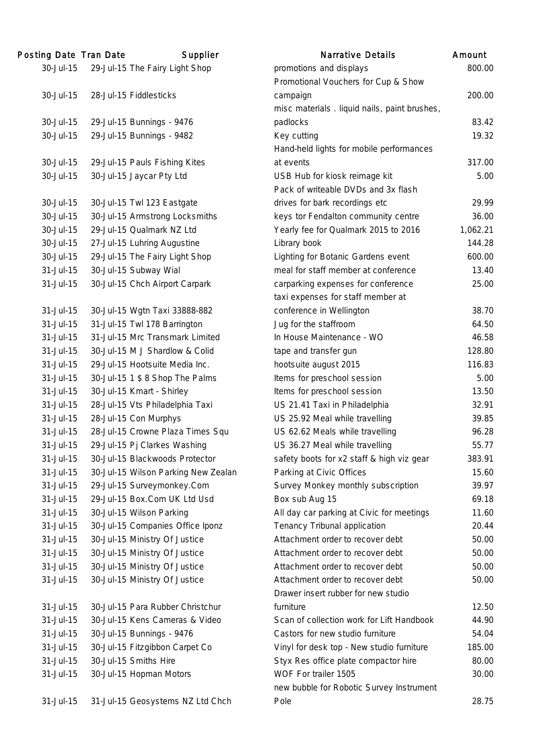| 30-Jul-15<br>29-Jul-15 The Fairy Light Shop<br>promotions and displays<br>800.<br>Promotional Vouchers for Cup & Show<br>30-Jul-15<br>28-Jul-15 Fiddlesticks<br>200.<br>campaign<br>misc materials. liquid nails, paint brushes,<br>83.<br>30-Jul-15<br>29-Jul-15 Bunnings - 9476<br>padlocks<br>19.1<br>30-Jul-15<br>29-Jul-15 Bunnings - 9482<br>Key cutting<br>Hand-held lights for mobile performances<br>30-Jul-15<br>29-Jul-15 Pauls Fishing Kites<br>317.<br>at events<br>5.1<br>30-Jul-15<br>30-Jul-15 Jaycar Pty Ltd<br>USB Hub for kiosk reimage kit<br>Pack of writeable DVDs and 3x flash<br>29.5<br>30-Jul-15<br>30-Jul-15 Twl 123 Eastgate<br>drives for bark recordings etc<br>keys tor Fendalton community centre<br>30-Jul-15<br>30-Jul-15 Armstrong Locksmiths<br>36.1<br>29-Jul-15 Qualmark NZ Ltd<br>30-Jul-15<br>Yearly fee for Qualmark 2015 to 2016<br>1,062.<br>30-Jul-15<br>27-Jul-15 Luhring Augustine<br>Library book<br>144.<br>29-Jul-15 The Fairy Light Shop<br>30-Jul-15<br>Lighting for Botanic Gardens event<br>600.<br>meal for staff member at conference<br>31-Jul-15<br>30-Jul-15 Subway Wial<br>13.<br>31-Jul-15<br>30-Jul-15 Chch Airport Carpark<br>carparking expenses for conference<br>25.1<br>taxi expenses for staff member at<br>38.<br>31-Jul-15<br>30-Jul-15 Wgtn Taxi 33888-882<br>conference in Wellington<br>Jug for the staffroom<br>64.<br>31-Jul-15<br>31-Jul-15 Twl 178 Barrington<br>31-Jul-15 Mrc Transmark Limited<br>In House Maintenance - WO<br>31-Jul-15<br>46.<br>128.<br>31-Jul-15<br>30-Jul-15 M J Shardlow & Colid<br>tape and transfer gun<br>hootsuite august 2015<br>31-Jul-15<br>29-Jul-15 Hootsuite Media Inc.<br>116.<br>Items for preschool session<br>5.1<br>31-Jul-15<br>30-Jul-15 1 \$ 8 Shop The Palms<br>31-Jul-15<br>30-Jul-15 Kmart - Shirley<br>Items for preschool session<br>13.<br>31-Jul-15<br>28-Jul-15 Vts Philadelphia Taxi<br>US 21.41 Taxi in Philadelphia<br>32.5<br>31-Jul-15<br>28-Jul-15 Con Murphys<br>US 25.92 Meal while travelling<br>39.<br>28-Jul-15 Crowne Plaza Times Squ<br>96.<br>31-Jul-15<br>US 62.62 Meals while travelling<br>29-Jul-15 Pj Clarkes Washing<br>55.<br>31-Jul-15<br>US 36.27 Meal while travelling<br>30-Jul-15 Blackwoods Protector<br>383.<br>31-Jul-15<br>safety boots for x2 staff & high viz gear<br>31-Jul-15<br>30-Jul-15 Wilson Parking New Zealan<br>Parking at Civic Offices<br>15.<br>31-Jul-15<br>29-Jul-15 Surveymonkey.Com<br>Survey Monkey monthly subscription<br>39.5<br>31-Jul-15<br>29-Jul-15 Box.Com UK Ltd Usd<br>Box sub Aug 15<br>69.<br>31-Jul-15<br>30-Jul-15 Wilson Parking<br>All day car parking at Civic for meetings<br>11.<br>31-Jul-15<br>30-Jul-15 Companies Office Iponz<br>Tenancy Tribunal application<br>20.4<br>31-Jul-15<br>30-Jul-15 Ministry Of Justice<br>Attachment order to recover debt<br>50.0<br>31-Jul-15<br>30-Jul-15 Ministry Of Justice<br>Attachment order to recover debt<br>50.1<br>31-Jul-15<br>30-Jul-15 Ministry Of Justice<br>Attachment order to recover debt<br>50.0<br>31-Jul-15<br>30-Jul-15 Ministry Of Justice<br>Attachment order to recover debt<br>50.0<br>Drawer insert rubber for new studio<br>30-Jul-15 Para Rubber Christchur<br>furniture<br>12.<br>31-Jul-15<br>Scan of collection work for Lift Handbook<br>31-Jul-15<br>30-Jul-15 Kens Cameras & Video<br>44.<br>31-Jul-15<br>30-Jul-15 Bunnings - 9476<br>Castors for new studio furniture<br>54.<br>31-Jul-15<br>Vinyl for desk top - New studio furniture<br>30-Jul-15 Fitzgibbon Carpet Co<br>185.<br>30-Jul-15 Smiths Hire<br>31-Jul-15<br>Styx Res office plate compactor hire<br>80.0<br>WOF For trailer 1505<br>31-Jul-15<br>30-Jul-15 Hopman Motors<br>30.0<br>new bubble for Robotic Survey Instrument | Posting Date Tran Date | Supplier | <b>Narrative Details</b> | Amount |
|------------------------------------------------------------------------------------------------------------------------------------------------------------------------------------------------------------------------------------------------------------------------------------------------------------------------------------------------------------------------------------------------------------------------------------------------------------------------------------------------------------------------------------------------------------------------------------------------------------------------------------------------------------------------------------------------------------------------------------------------------------------------------------------------------------------------------------------------------------------------------------------------------------------------------------------------------------------------------------------------------------------------------------------------------------------------------------------------------------------------------------------------------------------------------------------------------------------------------------------------------------------------------------------------------------------------------------------------------------------------------------------------------------------------------------------------------------------------------------------------------------------------------------------------------------------------------------------------------------------------------------------------------------------------------------------------------------------------------------------------------------------------------------------------------------------------------------------------------------------------------------------------------------------------------------------------------------------------------------------------------------------------------------------------------------------------------------------------------------------------------------------------------------------------------------------------------------------------------------------------------------------------------------------------------------------------------------------------------------------------------------------------------------------------------------------------------------------------------------------------------------------------------------------------------------------------------------------------------------------------------------------------------------------------------------------------------------------------------------------------------------------------------------------------------------------------------------------------------------------------------------------------------------------------------------------------------------------------------------------------------------------------------------------------------------------------------------------------------------------------------------------------------------------------------------------------------------------------------------------------------------------------------------------------------------------------------------------------------------------------------------------------------------------------------------------------------------------------------------------------------------------------------------------------------------------------------------------------------------------------------------------------------------------------------------------------------------------------------------------------------------------------|------------------------|----------|--------------------------|--------|
|                                                                                                                                                                                                                                                                                                                                                                                                                                                                                                                                                                                                                                                                                                                                                                                                                                                                                                                                                                                                                                                                                                                                                                                                                                                                                                                                                                                                                                                                                                                                                                                                                                                                                                                                                                                                                                                                                                                                                                                                                                                                                                                                                                                                                                                                                                                                                                                                                                                                                                                                                                                                                                                                                                                                                                                                                                                                                                                                                                                                                                                                                                                                                                                                                                                                                                                                                                                                                                                                                                                                                                                                                                                                                                                                                                        |                        |          |                          |        |
|                                                                                                                                                                                                                                                                                                                                                                                                                                                                                                                                                                                                                                                                                                                                                                                                                                                                                                                                                                                                                                                                                                                                                                                                                                                                                                                                                                                                                                                                                                                                                                                                                                                                                                                                                                                                                                                                                                                                                                                                                                                                                                                                                                                                                                                                                                                                                                                                                                                                                                                                                                                                                                                                                                                                                                                                                                                                                                                                                                                                                                                                                                                                                                                                                                                                                                                                                                                                                                                                                                                                                                                                                                                                                                                                                                        |                        |          |                          |        |
|                                                                                                                                                                                                                                                                                                                                                                                                                                                                                                                                                                                                                                                                                                                                                                                                                                                                                                                                                                                                                                                                                                                                                                                                                                                                                                                                                                                                                                                                                                                                                                                                                                                                                                                                                                                                                                                                                                                                                                                                                                                                                                                                                                                                                                                                                                                                                                                                                                                                                                                                                                                                                                                                                                                                                                                                                                                                                                                                                                                                                                                                                                                                                                                                                                                                                                                                                                                                                                                                                                                                                                                                                                                                                                                                                                        |                        |          |                          |        |
|                                                                                                                                                                                                                                                                                                                                                                                                                                                                                                                                                                                                                                                                                                                                                                                                                                                                                                                                                                                                                                                                                                                                                                                                                                                                                                                                                                                                                                                                                                                                                                                                                                                                                                                                                                                                                                                                                                                                                                                                                                                                                                                                                                                                                                                                                                                                                                                                                                                                                                                                                                                                                                                                                                                                                                                                                                                                                                                                                                                                                                                                                                                                                                                                                                                                                                                                                                                                                                                                                                                                                                                                                                                                                                                                                                        |                        |          |                          |        |
|                                                                                                                                                                                                                                                                                                                                                                                                                                                                                                                                                                                                                                                                                                                                                                                                                                                                                                                                                                                                                                                                                                                                                                                                                                                                                                                                                                                                                                                                                                                                                                                                                                                                                                                                                                                                                                                                                                                                                                                                                                                                                                                                                                                                                                                                                                                                                                                                                                                                                                                                                                                                                                                                                                                                                                                                                                                                                                                                                                                                                                                                                                                                                                                                                                                                                                                                                                                                                                                                                                                                                                                                                                                                                                                                                                        |                        |          |                          |        |
|                                                                                                                                                                                                                                                                                                                                                                                                                                                                                                                                                                                                                                                                                                                                                                                                                                                                                                                                                                                                                                                                                                                                                                                                                                                                                                                                                                                                                                                                                                                                                                                                                                                                                                                                                                                                                                                                                                                                                                                                                                                                                                                                                                                                                                                                                                                                                                                                                                                                                                                                                                                                                                                                                                                                                                                                                                                                                                                                                                                                                                                                                                                                                                                                                                                                                                                                                                                                                                                                                                                                                                                                                                                                                                                                                                        |                        |          |                          |        |
|                                                                                                                                                                                                                                                                                                                                                                                                                                                                                                                                                                                                                                                                                                                                                                                                                                                                                                                                                                                                                                                                                                                                                                                                                                                                                                                                                                                                                                                                                                                                                                                                                                                                                                                                                                                                                                                                                                                                                                                                                                                                                                                                                                                                                                                                                                                                                                                                                                                                                                                                                                                                                                                                                                                                                                                                                                                                                                                                                                                                                                                                                                                                                                                                                                                                                                                                                                                                                                                                                                                                                                                                                                                                                                                                                                        |                        |          |                          |        |
|                                                                                                                                                                                                                                                                                                                                                                                                                                                                                                                                                                                                                                                                                                                                                                                                                                                                                                                                                                                                                                                                                                                                                                                                                                                                                                                                                                                                                                                                                                                                                                                                                                                                                                                                                                                                                                                                                                                                                                                                                                                                                                                                                                                                                                                                                                                                                                                                                                                                                                                                                                                                                                                                                                                                                                                                                                                                                                                                                                                                                                                                                                                                                                                                                                                                                                                                                                                                                                                                                                                                                                                                                                                                                                                                                                        |                        |          |                          |        |
|                                                                                                                                                                                                                                                                                                                                                                                                                                                                                                                                                                                                                                                                                                                                                                                                                                                                                                                                                                                                                                                                                                                                                                                                                                                                                                                                                                                                                                                                                                                                                                                                                                                                                                                                                                                                                                                                                                                                                                                                                                                                                                                                                                                                                                                                                                                                                                                                                                                                                                                                                                                                                                                                                                                                                                                                                                                                                                                                                                                                                                                                                                                                                                                                                                                                                                                                                                                                                                                                                                                                                                                                                                                                                                                                                                        |                        |          |                          |        |
|                                                                                                                                                                                                                                                                                                                                                                                                                                                                                                                                                                                                                                                                                                                                                                                                                                                                                                                                                                                                                                                                                                                                                                                                                                                                                                                                                                                                                                                                                                                                                                                                                                                                                                                                                                                                                                                                                                                                                                                                                                                                                                                                                                                                                                                                                                                                                                                                                                                                                                                                                                                                                                                                                                                                                                                                                                                                                                                                                                                                                                                                                                                                                                                                                                                                                                                                                                                                                                                                                                                                                                                                                                                                                                                                                                        |                        |          |                          |        |
|                                                                                                                                                                                                                                                                                                                                                                                                                                                                                                                                                                                                                                                                                                                                                                                                                                                                                                                                                                                                                                                                                                                                                                                                                                                                                                                                                                                                                                                                                                                                                                                                                                                                                                                                                                                                                                                                                                                                                                                                                                                                                                                                                                                                                                                                                                                                                                                                                                                                                                                                                                                                                                                                                                                                                                                                                                                                                                                                                                                                                                                                                                                                                                                                                                                                                                                                                                                                                                                                                                                                                                                                                                                                                                                                                                        |                        |          |                          |        |
|                                                                                                                                                                                                                                                                                                                                                                                                                                                                                                                                                                                                                                                                                                                                                                                                                                                                                                                                                                                                                                                                                                                                                                                                                                                                                                                                                                                                                                                                                                                                                                                                                                                                                                                                                                                                                                                                                                                                                                                                                                                                                                                                                                                                                                                                                                                                                                                                                                                                                                                                                                                                                                                                                                                                                                                                                                                                                                                                                                                                                                                                                                                                                                                                                                                                                                                                                                                                                                                                                                                                                                                                                                                                                                                                                                        |                        |          |                          |        |
|                                                                                                                                                                                                                                                                                                                                                                                                                                                                                                                                                                                                                                                                                                                                                                                                                                                                                                                                                                                                                                                                                                                                                                                                                                                                                                                                                                                                                                                                                                                                                                                                                                                                                                                                                                                                                                                                                                                                                                                                                                                                                                                                                                                                                                                                                                                                                                                                                                                                                                                                                                                                                                                                                                                                                                                                                                                                                                                                                                                                                                                                                                                                                                                                                                                                                                                                                                                                                                                                                                                                                                                                                                                                                                                                                                        |                        |          |                          |        |
|                                                                                                                                                                                                                                                                                                                                                                                                                                                                                                                                                                                                                                                                                                                                                                                                                                                                                                                                                                                                                                                                                                                                                                                                                                                                                                                                                                                                                                                                                                                                                                                                                                                                                                                                                                                                                                                                                                                                                                                                                                                                                                                                                                                                                                                                                                                                                                                                                                                                                                                                                                                                                                                                                                                                                                                                                                                                                                                                                                                                                                                                                                                                                                                                                                                                                                                                                                                                                                                                                                                                                                                                                                                                                                                                                                        |                        |          |                          |        |
|                                                                                                                                                                                                                                                                                                                                                                                                                                                                                                                                                                                                                                                                                                                                                                                                                                                                                                                                                                                                                                                                                                                                                                                                                                                                                                                                                                                                                                                                                                                                                                                                                                                                                                                                                                                                                                                                                                                                                                                                                                                                                                                                                                                                                                                                                                                                                                                                                                                                                                                                                                                                                                                                                                                                                                                                                                                                                                                                                                                                                                                                                                                                                                                                                                                                                                                                                                                                                                                                                                                                                                                                                                                                                                                                                                        |                        |          |                          |        |
|                                                                                                                                                                                                                                                                                                                                                                                                                                                                                                                                                                                                                                                                                                                                                                                                                                                                                                                                                                                                                                                                                                                                                                                                                                                                                                                                                                                                                                                                                                                                                                                                                                                                                                                                                                                                                                                                                                                                                                                                                                                                                                                                                                                                                                                                                                                                                                                                                                                                                                                                                                                                                                                                                                                                                                                                                                                                                                                                                                                                                                                                                                                                                                                                                                                                                                                                                                                                                                                                                                                                                                                                                                                                                                                                                                        |                        |          |                          |        |
|                                                                                                                                                                                                                                                                                                                                                                                                                                                                                                                                                                                                                                                                                                                                                                                                                                                                                                                                                                                                                                                                                                                                                                                                                                                                                                                                                                                                                                                                                                                                                                                                                                                                                                                                                                                                                                                                                                                                                                                                                                                                                                                                                                                                                                                                                                                                                                                                                                                                                                                                                                                                                                                                                                                                                                                                                                                                                                                                                                                                                                                                                                                                                                                                                                                                                                                                                                                                                                                                                                                                                                                                                                                                                                                                                                        |                        |          |                          |        |
|                                                                                                                                                                                                                                                                                                                                                                                                                                                                                                                                                                                                                                                                                                                                                                                                                                                                                                                                                                                                                                                                                                                                                                                                                                                                                                                                                                                                                                                                                                                                                                                                                                                                                                                                                                                                                                                                                                                                                                                                                                                                                                                                                                                                                                                                                                                                                                                                                                                                                                                                                                                                                                                                                                                                                                                                                                                                                                                                                                                                                                                                                                                                                                                                                                                                                                                                                                                                                                                                                                                                                                                                                                                                                                                                                                        |                        |          |                          |        |
|                                                                                                                                                                                                                                                                                                                                                                                                                                                                                                                                                                                                                                                                                                                                                                                                                                                                                                                                                                                                                                                                                                                                                                                                                                                                                                                                                                                                                                                                                                                                                                                                                                                                                                                                                                                                                                                                                                                                                                                                                                                                                                                                                                                                                                                                                                                                                                                                                                                                                                                                                                                                                                                                                                                                                                                                                                                                                                                                                                                                                                                                                                                                                                                                                                                                                                                                                                                                                                                                                                                                                                                                                                                                                                                                                                        |                        |          |                          |        |
|                                                                                                                                                                                                                                                                                                                                                                                                                                                                                                                                                                                                                                                                                                                                                                                                                                                                                                                                                                                                                                                                                                                                                                                                                                                                                                                                                                                                                                                                                                                                                                                                                                                                                                                                                                                                                                                                                                                                                                                                                                                                                                                                                                                                                                                                                                                                                                                                                                                                                                                                                                                                                                                                                                                                                                                                                                                                                                                                                                                                                                                                                                                                                                                                                                                                                                                                                                                                                                                                                                                                                                                                                                                                                                                                                                        |                        |          |                          |        |
|                                                                                                                                                                                                                                                                                                                                                                                                                                                                                                                                                                                                                                                                                                                                                                                                                                                                                                                                                                                                                                                                                                                                                                                                                                                                                                                                                                                                                                                                                                                                                                                                                                                                                                                                                                                                                                                                                                                                                                                                                                                                                                                                                                                                                                                                                                                                                                                                                                                                                                                                                                                                                                                                                                                                                                                                                                                                                                                                                                                                                                                                                                                                                                                                                                                                                                                                                                                                                                                                                                                                                                                                                                                                                                                                                                        |                        |          |                          |        |
|                                                                                                                                                                                                                                                                                                                                                                                                                                                                                                                                                                                                                                                                                                                                                                                                                                                                                                                                                                                                                                                                                                                                                                                                                                                                                                                                                                                                                                                                                                                                                                                                                                                                                                                                                                                                                                                                                                                                                                                                                                                                                                                                                                                                                                                                                                                                                                                                                                                                                                                                                                                                                                                                                                                                                                                                                                                                                                                                                                                                                                                                                                                                                                                                                                                                                                                                                                                                                                                                                                                                                                                                                                                                                                                                                                        |                        |          |                          |        |
|                                                                                                                                                                                                                                                                                                                                                                                                                                                                                                                                                                                                                                                                                                                                                                                                                                                                                                                                                                                                                                                                                                                                                                                                                                                                                                                                                                                                                                                                                                                                                                                                                                                                                                                                                                                                                                                                                                                                                                                                                                                                                                                                                                                                                                                                                                                                                                                                                                                                                                                                                                                                                                                                                                                                                                                                                                                                                                                                                                                                                                                                                                                                                                                                                                                                                                                                                                                                                                                                                                                                                                                                                                                                                                                                                                        |                        |          |                          |        |
|                                                                                                                                                                                                                                                                                                                                                                                                                                                                                                                                                                                                                                                                                                                                                                                                                                                                                                                                                                                                                                                                                                                                                                                                                                                                                                                                                                                                                                                                                                                                                                                                                                                                                                                                                                                                                                                                                                                                                                                                                                                                                                                                                                                                                                                                                                                                                                                                                                                                                                                                                                                                                                                                                                                                                                                                                                                                                                                                                                                                                                                                                                                                                                                                                                                                                                                                                                                                                                                                                                                                                                                                                                                                                                                                                                        |                        |          |                          |        |
|                                                                                                                                                                                                                                                                                                                                                                                                                                                                                                                                                                                                                                                                                                                                                                                                                                                                                                                                                                                                                                                                                                                                                                                                                                                                                                                                                                                                                                                                                                                                                                                                                                                                                                                                                                                                                                                                                                                                                                                                                                                                                                                                                                                                                                                                                                                                                                                                                                                                                                                                                                                                                                                                                                                                                                                                                                                                                                                                                                                                                                                                                                                                                                                                                                                                                                                                                                                                                                                                                                                                                                                                                                                                                                                                                                        |                        |          |                          |        |
|                                                                                                                                                                                                                                                                                                                                                                                                                                                                                                                                                                                                                                                                                                                                                                                                                                                                                                                                                                                                                                                                                                                                                                                                                                                                                                                                                                                                                                                                                                                                                                                                                                                                                                                                                                                                                                                                                                                                                                                                                                                                                                                                                                                                                                                                                                                                                                                                                                                                                                                                                                                                                                                                                                                                                                                                                                                                                                                                                                                                                                                                                                                                                                                                                                                                                                                                                                                                                                                                                                                                                                                                                                                                                                                                                                        |                        |          |                          |        |
|                                                                                                                                                                                                                                                                                                                                                                                                                                                                                                                                                                                                                                                                                                                                                                                                                                                                                                                                                                                                                                                                                                                                                                                                                                                                                                                                                                                                                                                                                                                                                                                                                                                                                                                                                                                                                                                                                                                                                                                                                                                                                                                                                                                                                                                                                                                                                                                                                                                                                                                                                                                                                                                                                                                                                                                                                                                                                                                                                                                                                                                                                                                                                                                                                                                                                                                                                                                                                                                                                                                                                                                                                                                                                                                                                                        |                        |          |                          |        |
|                                                                                                                                                                                                                                                                                                                                                                                                                                                                                                                                                                                                                                                                                                                                                                                                                                                                                                                                                                                                                                                                                                                                                                                                                                                                                                                                                                                                                                                                                                                                                                                                                                                                                                                                                                                                                                                                                                                                                                                                                                                                                                                                                                                                                                                                                                                                                                                                                                                                                                                                                                                                                                                                                                                                                                                                                                                                                                                                                                                                                                                                                                                                                                                                                                                                                                                                                                                                                                                                                                                                                                                                                                                                                                                                                                        |                        |          |                          |        |
|                                                                                                                                                                                                                                                                                                                                                                                                                                                                                                                                                                                                                                                                                                                                                                                                                                                                                                                                                                                                                                                                                                                                                                                                                                                                                                                                                                                                                                                                                                                                                                                                                                                                                                                                                                                                                                                                                                                                                                                                                                                                                                                                                                                                                                                                                                                                                                                                                                                                                                                                                                                                                                                                                                                                                                                                                                                                                                                                                                                                                                                                                                                                                                                                                                                                                                                                                                                                                                                                                                                                                                                                                                                                                                                                                                        |                        |          |                          |        |
|                                                                                                                                                                                                                                                                                                                                                                                                                                                                                                                                                                                                                                                                                                                                                                                                                                                                                                                                                                                                                                                                                                                                                                                                                                                                                                                                                                                                                                                                                                                                                                                                                                                                                                                                                                                                                                                                                                                                                                                                                                                                                                                                                                                                                                                                                                                                                                                                                                                                                                                                                                                                                                                                                                                                                                                                                                                                                                                                                                                                                                                                                                                                                                                                                                                                                                                                                                                                                                                                                                                                                                                                                                                                                                                                                                        |                        |          |                          |        |
|                                                                                                                                                                                                                                                                                                                                                                                                                                                                                                                                                                                                                                                                                                                                                                                                                                                                                                                                                                                                                                                                                                                                                                                                                                                                                                                                                                                                                                                                                                                                                                                                                                                                                                                                                                                                                                                                                                                                                                                                                                                                                                                                                                                                                                                                                                                                                                                                                                                                                                                                                                                                                                                                                                                                                                                                                                                                                                                                                                                                                                                                                                                                                                                                                                                                                                                                                                                                                                                                                                                                                                                                                                                                                                                                                                        |                        |          |                          |        |
|                                                                                                                                                                                                                                                                                                                                                                                                                                                                                                                                                                                                                                                                                                                                                                                                                                                                                                                                                                                                                                                                                                                                                                                                                                                                                                                                                                                                                                                                                                                                                                                                                                                                                                                                                                                                                                                                                                                                                                                                                                                                                                                                                                                                                                                                                                                                                                                                                                                                                                                                                                                                                                                                                                                                                                                                                                                                                                                                                                                                                                                                                                                                                                                                                                                                                                                                                                                                                                                                                                                                                                                                                                                                                                                                                                        |                        |          |                          |        |
|                                                                                                                                                                                                                                                                                                                                                                                                                                                                                                                                                                                                                                                                                                                                                                                                                                                                                                                                                                                                                                                                                                                                                                                                                                                                                                                                                                                                                                                                                                                                                                                                                                                                                                                                                                                                                                                                                                                                                                                                                                                                                                                                                                                                                                                                                                                                                                                                                                                                                                                                                                                                                                                                                                                                                                                                                                                                                                                                                                                                                                                                                                                                                                                                                                                                                                                                                                                                                                                                                                                                                                                                                                                                                                                                                                        |                        |          |                          |        |
|                                                                                                                                                                                                                                                                                                                                                                                                                                                                                                                                                                                                                                                                                                                                                                                                                                                                                                                                                                                                                                                                                                                                                                                                                                                                                                                                                                                                                                                                                                                                                                                                                                                                                                                                                                                                                                                                                                                                                                                                                                                                                                                                                                                                                                                                                                                                                                                                                                                                                                                                                                                                                                                                                                                                                                                                                                                                                                                                                                                                                                                                                                                                                                                                                                                                                                                                                                                                                                                                                                                                                                                                                                                                                                                                                                        |                        |          |                          |        |
|                                                                                                                                                                                                                                                                                                                                                                                                                                                                                                                                                                                                                                                                                                                                                                                                                                                                                                                                                                                                                                                                                                                                                                                                                                                                                                                                                                                                                                                                                                                                                                                                                                                                                                                                                                                                                                                                                                                                                                                                                                                                                                                                                                                                                                                                                                                                                                                                                                                                                                                                                                                                                                                                                                                                                                                                                                                                                                                                                                                                                                                                                                                                                                                                                                                                                                                                                                                                                                                                                                                                                                                                                                                                                                                                                                        |                        |          |                          |        |
|                                                                                                                                                                                                                                                                                                                                                                                                                                                                                                                                                                                                                                                                                                                                                                                                                                                                                                                                                                                                                                                                                                                                                                                                                                                                                                                                                                                                                                                                                                                                                                                                                                                                                                                                                                                                                                                                                                                                                                                                                                                                                                                                                                                                                                                                                                                                                                                                                                                                                                                                                                                                                                                                                                                                                                                                                                                                                                                                                                                                                                                                                                                                                                                                                                                                                                                                                                                                                                                                                                                                                                                                                                                                                                                                                                        |                        |          |                          |        |
|                                                                                                                                                                                                                                                                                                                                                                                                                                                                                                                                                                                                                                                                                                                                                                                                                                                                                                                                                                                                                                                                                                                                                                                                                                                                                                                                                                                                                                                                                                                                                                                                                                                                                                                                                                                                                                                                                                                                                                                                                                                                                                                                                                                                                                                                                                                                                                                                                                                                                                                                                                                                                                                                                                                                                                                                                                                                                                                                                                                                                                                                                                                                                                                                                                                                                                                                                                                                                                                                                                                                                                                                                                                                                                                                                                        |                        |          |                          |        |
|                                                                                                                                                                                                                                                                                                                                                                                                                                                                                                                                                                                                                                                                                                                                                                                                                                                                                                                                                                                                                                                                                                                                                                                                                                                                                                                                                                                                                                                                                                                                                                                                                                                                                                                                                                                                                                                                                                                                                                                                                                                                                                                                                                                                                                                                                                                                                                                                                                                                                                                                                                                                                                                                                                                                                                                                                                                                                                                                                                                                                                                                                                                                                                                                                                                                                                                                                                                                                                                                                                                                                                                                                                                                                                                                                                        |                        |          |                          |        |
|                                                                                                                                                                                                                                                                                                                                                                                                                                                                                                                                                                                                                                                                                                                                                                                                                                                                                                                                                                                                                                                                                                                                                                                                                                                                                                                                                                                                                                                                                                                                                                                                                                                                                                                                                                                                                                                                                                                                                                                                                                                                                                                                                                                                                                                                                                                                                                                                                                                                                                                                                                                                                                                                                                                                                                                                                                                                                                                                                                                                                                                                                                                                                                                                                                                                                                                                                                                                                                                                                                                                                                                                                                                                                                                                                                        |                        |          |                          |        |
|                                                                                                                                                                                                                                                                                                                                                                                                                                                                                                                                                                                                                                                                                                                                                                                                                                                                                                                                                                                                                                                                                                                                                                                                                                                                                                                                                                                                                                                                                                                                                                                                                                                                                                                                                                                                                                                                                                                                                                                                                                                                                                                                                                                                                                                                                                                                                                                                                                                                                                                                                                                                                                                                                                                                                                                                                                                                                                                                                                                                                                                                                                                                                                                                                                                                                                                                                                                                                                                                                                                                                                                                                                                                                                                                                                        |                        |          |                          |        |
|                                                                                                                                                                                                                                                                                                                                                                                                                                                                                                                                                                                                                                                                                                                                                                                                                                                                                                                                                                                                                                                                                                                                                                                                                                                                                                                                                                                                                                                                                                                                                                                                                                                                                                                                                                                                                                                                                                                                                                                                                                                                                                                                                                                                                                                                                                                                                                                                                                                                                                                                                                                                                                                                                                                                                                                                                                                                                                                                                                                                                                                                                                                                                                                                                                                                                                                                                                                                                                                                                                                                                                                                                                                                                                                                                                        |                        |          |                          |        |
|                                                                                                                                                                                                                                                                                                                                                                                                                                                                                                                                                                                                                                                                                                                                                                                                                                                                                                                                                                                                                                                                                                                                                                                                                                                                                                                                                                                                                                                                                                                                                                                                                                                                                                                                                                                                                                                                                                                                                                                                                                                                                                                                                                                                                                                                                                                                                                                                                                                                                                                                                                                                                                                                                                                                                                                                                                                                                                                                                                                                                                                                                                                                                                                                                                                                                                                                                                                                                                                                                                                                                                                                                                                                                                                                                                        |                        |          |                          |        |
|                                                                                                                                                                                                                                                                                                                                                                                                                                                                                                                                                                                                                                                                                                                                                                                                                                                                                                                                                                                                                                                                                                                                                                                                                                                                                                                                                                                                                                                                                                                                                                                                                                                                                                                                                                                                                                                                                                                                                                                                                                                                                                                                                                                                                                                                                                                                                                                                                                                                                                                                                                                                                                                                                                                                                                                                                                                                                                                                                                                                                                                                                                                                                                                                                                                                                                                                                                                                                                                                                                                                                                                                                                                                                                                                                                        |                        |          |                          |        |
|                                                                                                                                                                                                                                                                                                                                                                                                                                                                                                                                                                                                                                                                                                                                                                                                                                                                                                                                                                                                                                                                                                                                                                                                                                                                                                                                                                                                                                                                                                                                                                                                                                                                                                                                                                                                                                                                                                                                                                                                                                                                                                                                                                                                                                                                                                                                                                                                                                                                                                                                                                                                                                                                                                                                                                                                                                                                                                                                                                                                                                                                                                                                                                                                                                                                                                                                                                                                                                                                                                                                                                                                                                                                                                                                                                        |                        |          |                          |        |
|                                                                                                                                                                                                                                                                                                                                                                                                                                                                                                                                                                                                                                                                                                                                                                                                                                                                                                                                                                                                                                                                                                                                                                                                                                                                                                                                                                                                                                                                                                                                                                                                                                                                                                                                                                                                                                                                                                                                                                                                                                                                                                                                                                                                                                                                                                                                                                                                                                                                                                                                                                                                                                                                                                                                                                                                                                                                                                                                                                                                                                                                                                                                                                                                                                                                                                                                                                                                                                                                                                                                                                                                                                                                                                                                                                        |                        |          |                          |        |
|                                                                                                                                                                                                                                                                                                                                                                                                                                                                                                                                                                                                                                                                                                                                                                                                                                                                                                                                                                                                                                                                                                                                                                                                                                                                                                                                                                                                                                                                                                                                                                                                                                                                                                                                                                                                                                                                                                                                                                                                                                                                                                                                                                                                                                                                                                                                                                                                                                                                                                                                                                                                                                                                                                                                                                                                                                                                                                                                                                                                                                                                                                                                                                                                                                                                                                                                                                                                                                                                                                                                                                                                                                                                                                                                                                        |                        |          |                          |        |
|                                                                                                                                                                                                                                                                                                                                                                                                                                                                                                                                                                                                                                                                                                                                                                                                                                                                                                                                                                                                                                                                                                                                                                                                                                                                                                                                                                                                                                                                                                                                                                                                                                                                                                                                                                                                                                                                                                                                                                                                                                                                                                                                                                                                                                                                                                                                                                                                                                                                                                                                                                                                                                                                                                                                                                                                                                                                                                                                                                                                                                                                                                                                                                                                                                                                                                                                                                                                                                                                                                                                                                                                                                                                                                                                                                        |                        |          |                          |        |

|           | ng Date Tran Date | Supplier                            | <b>Narrative Details</b>                      | Amount   |
|-----------|-------------------|-------------------------------------|-----------------------------------------------|----------|
| 30-Jul-15 |                   | 29-Jul-15 The Fairy Light Shop      | promotions and displays                       | 800.00   |
|           |                   |                                     | Promotional Vouchers for Cup & Show           |          |
| 30-Jul-15 |                   | 28-Jul-15 Fiddlesticks              | campaign                                      | 200.00   |
|           |                   |                                     | misc materials . liquid nails, paint brushes, |          |
| 30-Jul-15 |                   | 29-Jul-15 Bunnings - 9476           | padlocks                                      | 83.42    |
| 30-Jul-15 |                   | 29-Jul-15 Bunnings - 9482           | Key cutting                                   | 19.32    |
|           |                   |                                     | Hand-held lights for mobile performances      |          |
| 30-Jul-15 |                   | 29-Jul-15 Pauls Fishing Kites       | at events                                     | 317.00   |
| 30-Jul-15 |                   | 30-Jul-15 Jaycar Pty Ltd            | USB Hub for kiosk reimage kit                 | 5.00     |
|           |                   |                                     | Pack of writeable DVDs and 3x flash           |          |
| 30-Jul-15 |                   | 30-Jul-15 Twl 123 Eastgate          | drives for bark recordings etc                | 29.99    |
| 30-Jul-15 |                   | 30-Jul-15 Armstrong Locksmiths      | keys tor Fendalton community centre           | 36.00    |
| 30-Jul-15 |                   | 29-Jul-15 Qualmark NZ Ltd           | Yearly fee for Qualmark 2015 to 2016          | 1,062.21 |
| 30-Jul-15 |                   | 27-Jul-15 Luhring Augustine         | Library book                                  | 144.28   |
| 30-Jul-15 |                   | 29-Jul-15 The Fairy Light Shop      | Lighting for Botanic Gardens event            | 600.00   |
| 31-Jul-15 |                   | 30-Jul-15 Subway Wial               | meal for staff member at conference           | 13.40    |
| 31-Jul-15 |                   | 30-Jul-15 Chch Airport Carpark      | carparking expenses for conference            | 25.00    |
|           |                   |                                     | taxi expenses for staff member at             |          |
| 31-Jul-15 |                   | 30-Jul-15 Wgtn Taxi 33888-882       | conference in Wellington                      | 38.70    |
| 31-Jul-15 |                   | 31-Jul-15 Twl 178 Barrington        | Jug for the staffroom                         | 64.50    |
| 31-Jul-15 |                   | 31-Jul-15 Mrc Transmark Limited     | In House Maintenance - WO                     | 46.58    |
| 31-Jul-15 |                   | 30-Jul-15 M J Shardlow & Colid      | tape and transfer gun                         | 128.80   |
| 31-Jul-15 |                   | 29-Jul-15 Hootsuite Media Inc.      | hootsuite august 2015                         | 116.83   |
| 31-Jul-15 |                   | 30-Jul-15 1 \$ 8 Shop The Palms     | Items for preschool session                   | 5.00     |
| 31-Jul-15 |                   | 30-Jul-15 Kmart - Shirley           | Items for preschool session                   | 13.50    |
| 31-Jul-15 |                   | 28-Jul-15 Vts Philadelphia Taxi     | US 21.41 Taxi in Philadelphia                 | 32.91    |
| 31-Jul-15 |                   | 28-Jul-15 Con Murphys               | US 25.92 Meal while travelling                | 39.85    |
| 31-Jul-15 |                   | 28-Jul-15 Crowne Plaza Times Squ    | US 62.62 Meals while travelling               | 96.28    |
| 31-Jul-15 |                   | 29-Jul-15 Pj Clarkes Washing        | US 36.27 Meal while travelling                | 55.77    |
| 31-Jul-15 |                   | 30-Jul-15 Blackwoods Protector      | safety boots for x2 staff & high viz gear     | 383.91   |
| 31-Jul-15 |                   | 30-Jul-15 Wilson Parking New Zealan | Parking at Civic Offices                      | 15.60    |
| 31-Jul-15 |                   | 29-Jul-15 Surveymonkey.Com          | Survey Monkey monthly subscription            | 39.97    |
| 31-Jul-15 |                   | 29-Jul-15 Box.Com UK Ltd Usd        | Box sub Aug 15                                | 69.18    |
| 31-Jul-15 |                   | 30-Jul-15 Wilson Parking            | All day car parking at Civic for meetings     | 11.60    |
| 31-Jul-15 |                   | 30-Jul-15 Companies Office Iponz    | Tenancy Tribunal application                  | 20.44    |
| 31-Jul-15 |                   | 30-Jul-15 Ministry Of Justice       | Attachment order to recover debt              | 50.00    |
| 31-Jul-15 |                   | 30-Jul-15 Ministry Of Justice       | Attachment order to recover debt              | 50.00    |
| 31-Jul-15 |                   | 30-Jul-15 Ministry Of Justice       | Attachment order to recover debt              | 50.00    |
| 31-Jul-15 |                   | 30-Jul-15 Ministry Of Justice       | Attachment order to recover debt              | 50.00    |
|           |                   |                                     | Drawer insert rubber for new studio           |          |
| 31-Jul-15 |                   | 30-Jul-15 Para Rubber Christchur    | furniture                                     | 12.50    |
| 31-Jul-15 |                   | 30-Jul-15 Kens Cameras & Video      | Scan of collection work for Lift Handbook     | 44.90    |
| 31-Jul-15 |                   | 30-Jul-15 Bunnings - 9476           | Castors for new studio furniture              | 54.04    |
| 31-Jul-15 |                   | 30-Jul-15 Fitzgibbon Carpet Co      | Vinyl for desk top - New studio furniture     | 185.00   |
| 31-Jul-15 |                   | 30-Jul-15 Smiths Hire               | Styx Res office plate compactor hire          | 80.00    |
| 31-Jul-15 |                   | 30-Jul-15 Hopman Motors             | WOF For trailer 1505                          | 30.00    |
|           |                   |                                     | new bubble for Robotic Survey Instrument      |          |
| 31-Jul-15 |                   | 31-Jul-15 Geosystems NZ Ltd Chch    | Pole                                          | 28.75    |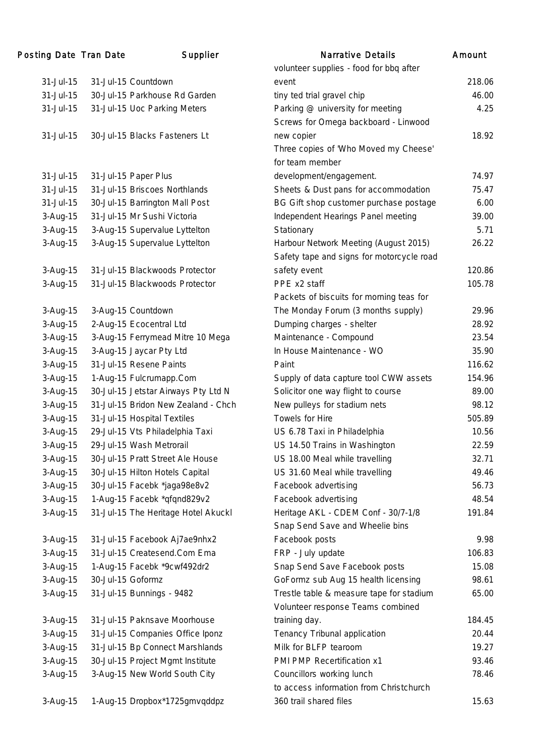| <b>Posting Date Tran Date</b> |                   | Supplier                            | <b>Narrative Details</b>                  | Amount |
|-------------------------------|-------------------|-------------------------------------|-------------------------------------------|--------|
|                               |                   |                                     | volunteer supplies - food for bbq after   |        |
| 31-Jul-15                     |                   | 31-Jul-15 Countdown                 | event                                     | 218.06 |
| 31-Jul-15                     |                   | 30-Jul-15 Parkhouse Rd Garden       | tiny ted trial gravel chip                | 46.00  |
| 31-Jul-15                     |                   | 31-Jul-15 Uoc Parking Meters        | Parking @ university for meeting          | 4.25   |
|                               |                   |                                     | Screws for Omega backboard - Linwood      |        |
| 31-Jul-15                     |                   | 30-Jul-15 Blacks Fasteners Lt       | new copier                                | 18.92  |
|                               |                   |                                     | Three copies of 'Who Moved my Cheese'     |        |
|                               |                   |                                     | for team member                           |        |
| 31-Jul-15                     |                   | 31-Jul-15 Paper Plus                | development/engagement.                   | 74.97  |
| 31-Jul-15                     |                   | 31-Jul-15 Briscoes Northlands       | Sheets & Dust pans for accommodation      | 75.47  |
| 31-Jul-15                     |                   | 30-Jul-15 Barrington Mall Post      | BG Gift shop customer purchase postage    | 6.00   |
| 3-Aug-15                      |                   | 31-Jul-15 Mr Sushi Victoria         | Independent Hearings Panel meeting        | 39.00  |
| 3-Aug-15                      |                   | 3-Aug-15 Supervalue Lyttelton       | Stationary                                | 5.71   |
| 3-Aug-15                      |                   | 3-Aug-15 Supervalue Lyttelton       | Harbour Network Meeting (August 2015)     | 26.22  |
|                               |                   |                                     | Safety tape and signs for motorcycle road |        |
| 3-Aug-15                      |                   | 31-Jul-15 Blackwoods Protector      | safety event                              | 120.86 |
| 3-Aug-15                      |                   | 31-Jul-15 Blackwoods Protector      | PPE x2 staff                              | 105.78 |
|                               |                   |                                     | Packets of biscuits for morning teas for  |        |
| 3-Aug-15                      |                   | 3-Aug-15 Countdown                  | The Monday Forum (3 months supply)        | 29.96  |
| 3-Aug-15                      |                   | 2-Aug-15 Ecocentral Ltd             | Dumping charges - shelter                 | 28.92  |
| 3-Aug-15                      |                   | 3-Aug-15 Ferrymead Mitre 10 Mega    | Maintenance - Compound                    | 23.54  |
| 3-Aug-15                      |                   | 3-Aug-15 Jaycar Pty Ltd             | In House Maintenance - WO                 | 35.90  |
| 3-Aug-15                      |                   | 31-Jul-15 Resene Paints             | Paint                                     | 116.62 |
| 3-Aug-15                      |                   | 1-Aug-15 Fulcrumapp.Com             | Supply of data capture tool CWW assets    | 154.96 |
| 3-Aug-15                      |                   | 30-Jul-15 Jetstar Airways Pty Ltd N | Solicitor one way flight to course        | 89.00  |
| 3-Aug-15                      |                   | 31-Jul-15 Bridon New Zealand - Chch | New pulleys for stadium nets              | 98.12  |
| 3-Aug-15                      |                   | 31-Jul-15 Hospital Textiles         | Towels for Hire                           | 505.89 |
| 3-Aug-15                      |                   | 29-Jul-15 Vts Philadelphia Taxi     | US 6.78 Taxi in Philadelphia              | 10.56  |
| 3-Aug-15                      |                   | 29-Jul-15 Wash Metrorail            | US 14.50 Trains in Washington             | 22.59  |
| 3-Aug-15                      |                   | 30-Jul-15 Pratt Street Ale House    | US 18.00 Meal while travelling            | 32.71  |
| 3-Aug-15                      |                   | 30-Jul-15 Hilton Hotels Capital     | US 31.60 Meal while travelling            | 49.46  |
| 3-Aug-15                      |                   | 30-Jul-15 Facebk *jaga98e8v2        | Facebook advertising                      | 56.73  |
| 3-Aug-15                      |                   | 1-Aug-15 Facebk *qfqnd829v2         | Facebook advertising                      | 48.54  |
| 3-Aug-15                      |                   | 31-Jul-15 The Heritage Hotel Akuckl | Heritage AKL - CDEM Conf - 30/7-1/8       | 191.84 |
|                               |                   |                                     | Snap Send Save and Wheelie bins           |        |
| 3-Aug-15                      |                   | 31-Jul-15 Facebook Aj7ae9nhx2       | Facebook posts                            | 9.98   |
| 3-Aug-15                      |                   | 31-Jul-15 Createsend.Com Ema        | FRP - July update                         | 106.83 |
| 3-Aug-15                      |                   | 1-Aug-15 Facebk *9cwf492dr2         | Snap Send Save Facebook posts             | 15.08  |
| 3-Aug-15                      | 30-Jul-15 Goformz |                                     | GoFormz sub Aug 15 health licensing       | 98.61  |
| 3-Aug-15                      |                   | 31-Jul-15 Bunnings - 9482           | Trestle table & measure tape for stadium  | 65.00  |
|                               |                   |                                     | Volunteer response Teams combined         |        |
| 3-Aug-15                      |                   | 31-Jul-15 Paknsave Moorhouse        | training day.                             | 184.45 |
| 3-Aug-15                      |                   | 31-Jul-15 Companies Office Iponz    | Tenancy Tribunal application              | 20.44  |
| 3-Aug-15                      |                   | 31-Jul-15 Bp Connect Marshlands     | Milk for BLFP tearoom                     | 19.27  |
| 3-Aug-15                      |                   | 30-Jul-15 Project Mgmt Institute    | PMI PMP Recertification x1                | 93.46  |
| 3-Aug-15                      |                   | 3-Aug-15 New World South City       | Councillors working lunch                 | 78.46  |
|                               |                   |                                     | to access information from Christchurch   |        |
| 3-Aug-15                      |                   | 1-Aug-15 Dropbox*1725gmvqddpz       | 360 trail shared files                    | 15.63  |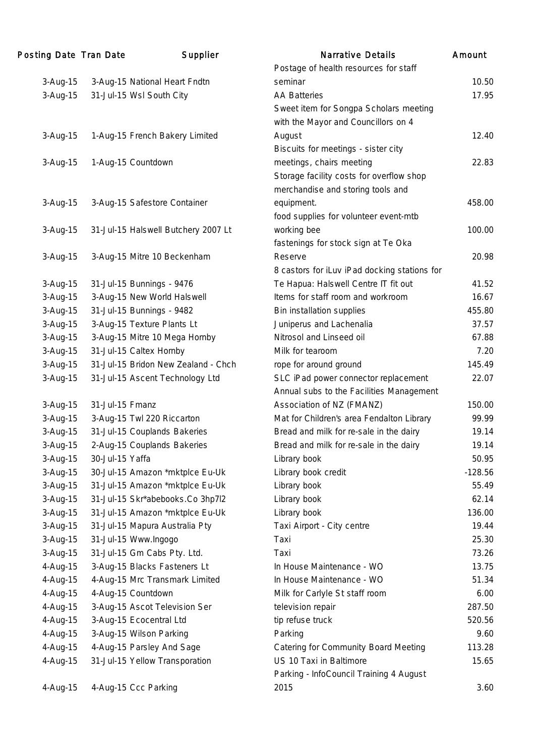| Posting Date Tran Date |                 | Supplier                            | <b>Narrative Details</b>                     | Amount    |
|------------------------|-----------------|-------------------------------------|----------------------------------------------|-----------|
|                        |                 |                                     | Postage of health resources for staff        |           |
| 3-Aug-15               |                 | 3-Aug-15 National Heart Fndtn       | seminar                                      | 10.50     |
| 3-Aug-15               |                 | 31-Jul-15 Wsl South City            | <b>AA Batteries</b>                          | 17.95     |
|                        |                 |                                     | Sweet item for Songpa Scholars meeting       |           |
|                        |                 |                                     | with the Mayor and Councillors on 4          |           |
| 3-Aug-15               |                 | 1-Aug-15 French Bakery Limited      | August                                       | 12.40     |
|                        |                 |                                     | Biscuits for meetings - sister city          |           |
| 3-Aug-15               |                 | 1-Aug-15 Countdown                  | meetings, chairs meeting                     | 22.83     |
|                        |                 |                                     | Storage facility costs for overflow shop     |           |
|                        |                 |                                     | merchandise and storing tools and            |           |
| 3-Aug-15               |                 | 3-Aug-15 Safestore Container        | equipment.                                   | 458.00    |
|                        |                 |                                     | food supplies for volunteer event-mtb        |           |
| 3-Aug-15               |                 | 31-Jul-15 Halswell Butchery 2007 Lt | working bee                                  | 100.00    |
|                        |                 |                                     | fastenings for stock sign at Te Oka          |           |
| 3-Aug-15               |                 | 3-Aug-15 Mitre 10 Beckenham         | Reserve                                      | 20.98     |
|                        |                 |                                     | 8 castors for iLuv iPad docking stations for |           |
| 3-Aug-15               |                 | 31-Jul-15 Bunnings - 9476           | Te Hapua: Halswell Centre IT fit out         | 41.52     |
| 3-Aug-15               |                 | 3-Aug-15 New World Halswell         | Items for staff room and workroom            | 16.67     |
| 3-Aug-15               |                 | 31-Jul-15 Bunnings - 9482           | Bin installation supplies                    | 455.80    |
| 3-Aug-15               |                 | 3-Aug-15 Texture Plants Lt          | Juniperus and Lachenalia                     | 37.57     |
| 3-Aug-15               |                 | 3-Aug-15 Mitre 10 Mega Hornby       | Nitrosol and Linseed oil                     | 67.88     |
| 3-Aug-15               |                 | 31-Jul-15 Caltex Hornby             | Milk for tearoom                             | 7.20      |
| 3-Aug-15               |                 | 31-Jul-15 Bridon New Zealand - Chch | rope for around ground                       | 145.49    |
| 3-Aug-15               |                 | 31-Jul-15 Ascent Technology Ltd     | SLC iPad power connector replacement         | 22.07     |
|                        |                 |                                     | Annual subs to the Facilities Management     |           |
| 3-Aug-15               | 31-Jul-15 Fmanz |                                     | Association of NZ (FMANZ)                    | 150.00    |
| 3-Aug-15               |                 | 3-Aug-15 Twl 220 Riccarton          | Mat for Children's area Fendalton Library    | 99.99     |
| 3-Aug-15               |                 | 31-Jul-15 Couplands Bakeries        | Bread and milk for re-sale in the dairy      | 19.14     |
| 3-Aug-15               |                 | 2-Aug-15 Couplands Bakeries         | Bread and milk for re-sale in the dairy      | 19.14     |
| 3-Aug-15               | 30-Jul-15 Yaffa |                                     | Library book                                 | 50.95     |
| 3-Aug-15               |                 | 30-Jul-15 Amazon *mktplce Eu-Uk     | Library book credit                          | $-128.56$ |
| 3-Aug-15               |                 | 31-Jul-15 Amazon *mktplce Eu-Uk     | Library book                                 | 55.49     |
| 3-Aug-15               |                 | 31-Jul-15 Skr*abebooks.Co 3hp7l2    | Library book                                 | 62.14     |
| 3-Aug-15               |                 | 31-Jul-15 Amazon *mktplce Eu-Uk     | Library book                                 | 136.00    |
| 3-Aug-15               |                 | 31-Jul-15 Mapura Australia Pty      | Taxi Airport - City centre                   | 19.44     |
| 3-Aug-15               |                 | 31-Jul-15 Www.Ingogo                | Taxi                                         | 25.30     |
| 3-Aug-15               |                 | 31-Jul-15 Gm Cabs Pty. Ltd.         | Taxi                                         | 73.26     |
| 4-Aug-15               |                 | 3-Aug-15 Blacks Fasteners Lt        | In House Maintenance - WO                    | 13.75     |
| 4-Aug-15               |                 | 4-Aug-15 Mrc Transmark Limited      | In House Maintenance - WO                    | 51.34     |
| 4-Aug-15               |                 | 4-Aug-15 Countdown                  | Milk for Carlyle St staff room               | 6.00      |
| 4-Aug-15               |                 | 3-Aug-15 Ascot Television Ser       | television repair                            | 287.50    |
| 4-Aug-15               |                 | 3-Aug-15 Ecocentral Ltd             | tip refuse truck                             | 520.56    |
| 4-Aug-15               |                 | 3-Aug-15 Wilson Parking             | Parking                                      | 9.60      |
| 4-Aug-15               |                 | 4-Aug-15 Parsley And Sage           | Catering for Community Board Meeting         | 113.28    |
| 4-Aug-15               |                 | 31-Jul-15 Yellow Transporation      | US 10 Taxi in Baltimore                      | 15.65     |
|                        |                 |                                     | Parking - InfoCouncil Training 4 August      |           |
| 4-Aug-15               |                 | 4-Aug-15 Ccc Parking                | 2015                                         | 3.60      |
|                        |                 |                                     |                                              |           |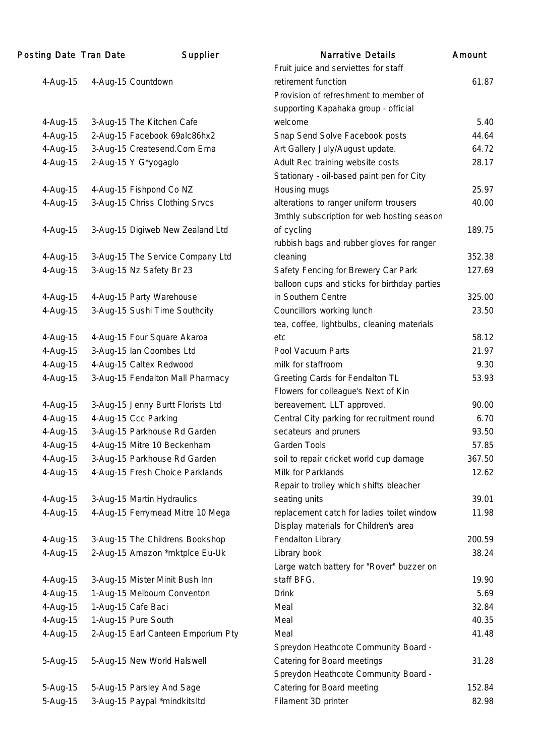| Posting Date Tran Date | Supplier                           | <b>Narrative Details</b>                     | Amount |
|------------------------|------------------------------------|----------------------------------------------|--------|
|                        |                                    | Fruit juice and serviettes for staff         |        |
| 4-Aug-15               | 4-Aug-15 Countdown                 | retirement function                          | 61.87  |
|                        |                                    | Provision of refreshment to member of        |        |
|                        |                                    | supporting Kapahaka group - official         |        |
| 4-Aug-15               | 3-Aug-15 The Kitchen Cafe          | welcome                                      | 5.40   |
| 4-Aug-15               | 2-Aug-15 Facebook 69alc86hx2       | Snap Send Solve Facebook posts               | 44.64  |
| 4-Aug-15               | 3-Aug-15 Createsend.Com Ema        | Art Gallery July/August update.              | 64.72  |
| 4-Aug-15               | 2-Aug-15 Y G*yogaglo               | Adult Rec training website costs             | 28.17  |
|                        |                                    | Stationary - oil-based paint pen for City    |        |
| 4-Aug-15               | 4-Aug-15 Fishpond Co NZ            | Housing mugs                                 | 25.97  |
| 4-Aug-15               | 3-Aug-15 Chriss Clothing Srvcs     | alterations to ranger uniform trousers       | 40.00  |
|                        |                                    | 3mthly subscription for web hosting season   |        |
| 4-Aug-15               | 3-Aug-15 Digiweb New Zealand Ltd   | of cycling                                   | 189.75 |
|                        |                                    | rubbish bags and rubber gloves for ranger    |        |
| 4-Aug-15               | 3-Aug-15 The Service Company Ltd   | cleaning                                     | 352.38 |
| 4-Aug-15               | 3-Aug-15 Nz Safety Br 23           | Safety Fencing for Brewery Car Park          | 127.69 |
|                        |                                    | balloon cups and sticks for birthday parties |        |
| 4-Aug-15               | 4-Aug-15 Party Warehouse           | in Southern Centre                           | 325.00 |
| 4-Aug-15               | 3-Aug-15 Sushi Time Southcity      | Councillors working lunch                    | 23.50  |
|                        |                                    | tea, coffee, lightbulbs, cleaning materials  |        |
| 4-Aug-15               | 4-Aug-15 Four Square Akaroa        | etc                                          | 58.12  |
| 4-Aug-15               | 3-Aug-15 Ian Coombes Ltd           | Pool Vacuum Parts                            | 21.97  |
| 4-Aug-15               | 4-Aug-15 Caltex Redwood            | milk for staffroom                           | 9.30   |
| 4-Aug-15               | 3-Aug-15 Fendalton Mall Pharmacy   | Greeting Cards for Fendalton TL              | 53.93  |
|                        |                                    | Flowers for colleague's Next of Kin          |        |
|                        |                                    | bereavement. LLT approved.                   | 90.00  |
| 4-Aug-15<br>4-Aug-15   | 3-Aug-15 Jenny Burtt Florists Ltd  |                                              | 6.70   |
| 4-Aug-15               | 4-Aug-15 Ccc Parking               | Central City parking for recruitment round   | 93.50  |
|                        | 3-Aug-15 Parkhouse Rd Garden       | secateurs and pruners                        |        |
| 4-Aug-15               | 4-Aug-15 Mitre 10 Beckenham        | Garden Tools                                 | 57.85  |
| 4-Aug-15               | 3-Aug-15 Parkhouse Rd Garden       | soil to repair cricket world cup damage      | 367.50 |
| 4-Aug-15               | 4-Aug-15 Fresh Choice Parklands    | Milk for Parklands                           | 12.62  |
|                        |                                    | Repair to trolley which shifts bleacher      |        |
| 4-Aug-15               | 3-Aug-15 Martin Hydraulics         | seating units                                | 39.01  |
| 4-Aug-15               | 4-Aug-15 Ferrymead Mitre 10 Mega   | replacement catch for ladies toilet window   | 11.98  |
|                        |                                    | Display materials for Children's area        |        |
| 4-Aug-15               | 3-Aug-15 The Childrens Bookshop    | Fendalton Library                            | 200.59 |
| 4-Aug-15               | 2-Aug-15 Amazon *mktplce Eu-Uk     | Library book                                 | 38.24  |
|                        |                                    | Large watch battery for "Rover" buzzer on    |        |
| 4-Aug-15               | 3-Aug-15 Mister Minit Bush Inn     | staff BFG.                                   | 19.90  |
| 4-Aug-15               | 1-Aug-15 Melbourn Conventon        | <b>Drink</b>                                 | 5.69   |
| 4-Aug-15               | 1-Aug-15 Cafe Baci                 | Meal                                         | 32.84  |
| 4-Aug-15               | 1-Aug-15 Pure South                | Meal                                         | 40.35  |
| 4-Aug-15               | 2-Aug-15 Earl Canteen Emporium Pty | Meal                                         | 41.48  |
|                        |                                    | Spreydon Heathcote Community Board -         |        |
| 5-Aug-15               | 5-Aug-15 New World Halswell        | Catering for Board meetings                  | 31.28  |
|                        |                                    | Spreydon Heathcote Community Board -         |        |
| 5-Aug-15               | 5-Aug-15 Parsley And Sage          | Catering for Board meeting                   | 152.84 |
| 5-Aug-15               | 3-Aug-15 Paypal *mindkitsltd       | Filament 3D printer                          | 82.98  |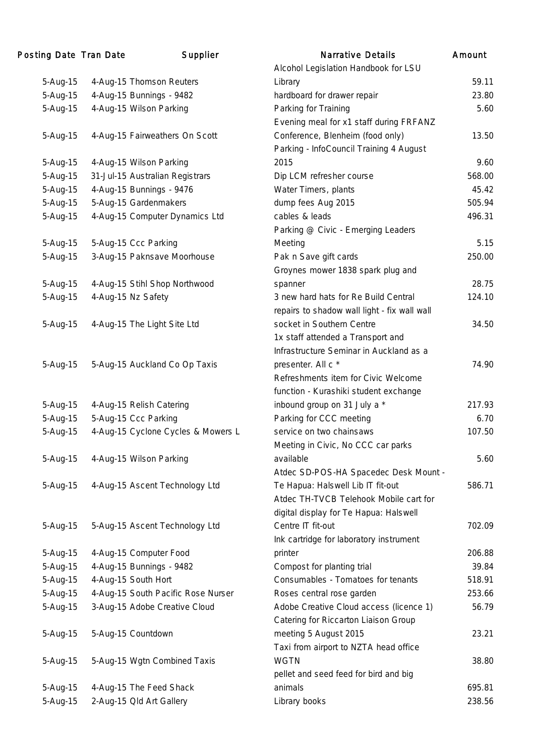| Posting Date Tran Date | Supplier                           | <b>Narrative Details</b>                     | Amount |
|------------------------|------------------------------------|----------------------------------------------|--------|
|                        |                                    | Alcohol Legislation Handbook for LSU         |        |
| 5-Aug-15               | 4-Aug-15 Thomson Reuters           | Library                                      | 59.11  |
| 5-Aug-15               | 4-Aug-15 Bunnings - 9482           | hardboard for drawer repair                  | 23.80  |
| 5-Aug-15               | 4-Aug-15 Wilson Parking            | Parking for Training                         | 5.60   |
|                        |                                    | Evening meal for x1 staff during FRFANZ      |        |
| 5-Aug-15               | 4-Aug-15 Fairweathers On Scott     | Conference, Blenheim (food only)             | 13.50  |
|                        |                                    | Parking - InfoCouncil Training 4 August      |        |
| 5-Aug-15               | 4-Aug-15 Wilson Parking            | 2015                                         | 9.60   |
| 5-Aug-15               | 31-Jul-15 Australian Registrars    | Dip LCM refresher course                     | 568.00 |
| 5-Aug-15               | 4-Aug-15 Bunnings - 9476           | Water Timers, plants                         | 45.42  |
| 5-Aug-15               | 5-Aug-15 Gardenmakers              | dump fees Aug 2015                           | 505.94 |
| 5-Aug-15               | 4-Aug-15 Computer Dynamics Ltd     | cables & leads                               | 496.31 |
|                        |                                    | Parking @ Civic - Emerging Leaders           |        |
| 5-Aug-15               | 5-Aug-15 Ccc Parking               | Meeting                                      | 5.15   |
| 5-Aug-15               | 3-Aug-15 Paknsave Moorhouse        | Pak n Save gift cards                        | 250.00 |
|                        |                                    | Groynes mower 1838 spark plug and            |        |
| 5-Aug-15               | 4-Aug-15 Stihl Shop Northwood      | spanner                                      | 28.75  |
| 5-Aug-15               | 4-Aug-15 Nz Safety                 | 3 new hard hats for Re Build Central         | 124.10 |
|                        |                                    | repairs to shadow wall light - fix wall wall |        |
| 5-Aug-15               | 4-Aug-15 The Light Site Ltd        | socket in Southern Centre                    | 34.50  |
|                        |                                    | 1x staff attended a Transport and            |        |
|                        |                                    | Infrastructure Seminar in Auckland as a      |        |
| 5-Aug-15               | 5-Aug-15 Auckland Co Op Taxis      | presenter. All c *                           | 74.90  |
|                        |                                    | Refreshments item for Civic Welcome          |        |
|                        |                                    |                                              |        |
|                        |                                    | function - Kurashiki student exchange        | 217.93 |
| 5-Aug-15               | 4-Aug-15 Relish Catering           | inbound group on 31 July a *                 |        |
| 5-Aug-15               | 5-Aug-15 Ccc Parking               | Parking for CCC meeting                      | 6.70   |
| 5-Aug-15               | 4-Aug-15 Cyclone Cycles & Mowers L | service on two chainsaws                     | 107.50 |
|                        |                                    | Meeting in Civic, No CCC car parks           |        |
| 5-Aug-15               | 4-Aug-15 Wilson Parking            | available                                    | 5.60   |
|                        |                                    | Atdec SD-POS-HA Spacedec Desk Mount -        |        |
| 5-Aug-15               | 4-Aug-15 Ascent Technology Ltd     | Te Hapua: Halswell Lib IT fit-out            | 586.71 |
|                        |                                    | Atdec TH-TVCB Telehook Mobile cart for       |        |
|                        |                                    | digital display for Te Hapua: Halswell       |        |
| 5-Aug-15               | 5-Aug-15 Ascent Technology Ltd     | Centre IT fit-out                            | 702.09 |
|                        |                                    | Ink cartridge for laboratory instrument      |        |
| 5-Aug-15               | 4-Aug-15 Computer Food             | printer                                      | 206.88 |
| 5-Aug-15               | 4-Aug-15 Bunnings - 9482           | Compost for planting trial                   | 39.84  |
| 5-Aug-15               | 4-Aug-15 South Hort                | Consumables - Tomatoes for tenants           | 518.91 |
| 5-Aug-15               | 4-Aug-15 South Pacific Rose Nurser | Roses central rose garden                    | 253.66 |
| 5-Aug-15               | 3-Aug-15 Adobe Creative Cloud      | Adobe Creative Cloud access (licence 1)      | 56.79  |
|                        |                                    | Catering for Riccarton Liaison Group         |        |
| 5-Aug-15               | 5-Aug-15 Countdown                 | meeting 5 August 2015                        | 23.21  |
|                        |                                    | Taxi from airport to NZTA head office        |        |
| 5-Aug-15               | 5-Aug-15 Wgtn Combined Taxis       | <b>WGTN</b>                                  | 38.80  |
|                        |                                    | pellet and seed feed for bird and big        |        |
| 5-Aug-15               | 4-Aug-15 The Feed Shack            | animals                                      | 695.81 |
| 5-Aug-15               | 2-Aug-15 Old Art Gallery           | Library books                                | 238.56 |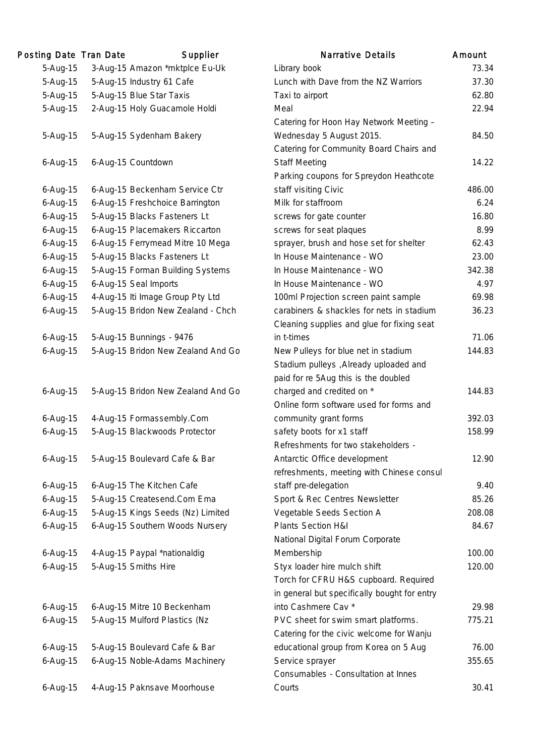| Posting Date Tran Date | Supplier                           | <b>Narrative Details</b>                     | Amount |
|------------------------|------------------------------------|----------------------------------------------|--------|
| 5-Aug-15               | 3-Aug-15 Amazon *mktplce Eu-Uk     | Library book                                 | 73.34  |
| 5-Aug-15               | 5-Aug-15 Industry 61 Cafe          | Lunch with Dave from the NZ Warriors         | 37.30  |
| 5-Aug-15               | 5-Aug-15 Blue Star Taxis           | Taxi to airport                              | 62.80  |
| 5-Aug-15               | 2-Aug-15 Holy Guacamole Holdi      | Meal                                         | 22.94  |
|                        |                                    | Catering for Hoon Hay Network Meeting -      |        |
| 5-Aug-15               | 5-Aug-15 Sydenham Bakery           | Wednesday 5 August 2015.                     | 84.50  |
|                        |                                    | Catering for Community Board Chairs and      |        |
| 6-Aug-15               | 6-Aug-15 Countdown                 | <b>Staff Meeting</b>                         | 14.22  |
|                        |                                    | Parking coupons for Spreydon Heathcote       |        |
| 6-Aug-15               | 6-Aug-15 Beckenham Service Ctr     | staff visiting Civic                         | 486.00 |
| $6 - Aug-15$           | 6-Aug-15 Freshchoice Barrington    | Milk for staffroom                           | 6.24   |
| 6-Aug-15               | 5-Aug-15 Blacks Fasteners Lt       | screws for gate counter                      | 16.80  |
| $6 - Aug-15$           | 6-Aug-15 Placemakers Riccarton     | screws for seat plaques                      | 8.99   |
| 6-Aug-15               | 6-Aug-15 Ferrymead Mitre 10 Mega   | sprayer, brush and hose set for shelter      | 62.43  |
| $6 - Aug-15$           | 5-Aug-15 Blacks Fasteners Lt       | In House Maintenance - WO                    | 23.00  |
| 6-Aug-15               | 5-Aug-15 Forman Building Systems   | In House Maintenance - WO                    | 342.38 |
| $6 - Aug-15$           | 6-Aug-15 Seal Imports              | In House Maintenance - WO                    | 4.97   |
| 6-Aug-15               | 4-Aug-15 Iti Image Group Pty Ltd   | 100ml Projection screen paint sample         | 69.98  |
| $6 - Aug-15$           | 5-Aug-15 Bridon New Zealand - Chch | carabiners & shackles for nets in stadium    | 36.23  |
|                        |                                    | Cleaning supplies and glue for fixing seat   |        |
| 6-Aug-15               | 5-Aug-15 Bunnings - 9476           | in t-times                                   | 71.06  |
| 6-Aug-15               | 5-Aug-15 Bridon New Zealand And Go | New Pulleys for blue net in stadium          | 144.83 |
|                        |                                    | Stadium pulleys , Already uploaded and       |        |
|                        |                                    | paid for re 5Aug this is the doubled         |        |
| $6$ -Aug-15            | 5-Aug-15 Bridon New Zealand And Go | charged and credited on *                    | 144.83 |
|                        |                                    | Online form software used for forms and      |        |
| $6 - Aug-15$           | 4-Aug-15 Formassembly.Com          | community grant forms                        | 392.03 |
| 6-Aug-15               | 5-Aug-15 Blackwoods Protector      | safety boots for x1 staff                    | 158.99 |
|                        |                                    | Refreshments for two stakeholders -          |        |
| 6-Aug-15               | 5-Aug-15 Boulevard Cafe & Bar      | Antarctic Office development                 | 12.90  |
|                        |                                    | refreshments, meeting with Chinese consul    |        |
| $6$ -Aug-15            | 6-Aug-15 The Kitchen Cafe          | staff pre-delegation                         | 9.40   |
| $6 - Aug-15$           | 5-Aug-15 Createsend.Com Ema        | Sport & Rec Centres Newsletter               | 85.26  |
| $6 - Aug-15$           | 5-Aug-15 Kings Seeds (Nz) Limited  | Vegetable Seeds Section A                    | 208.08 |
| $6 - Aug-15$           | 6-Aug-15 Southern Woods Nursery    | Plants Section H&I                           | 84.67  |
|                        |                                    | National Digital Forum Corporate             |        |
| 6-Aug-15               | 4-Aug-15 Paypal *nationaldig       | Membership                                   | 100.00 |
| 6-Aug-15               | 5-Aug-15 Smiths Hire               | Styx loader hire mulch shift                 | 120.00 |
|                        |                                    | Torch for CFRU H&S cupboard. Required        |        |
|                        |                                    | in general but specifically bought for entry |        |
| $6 - Aug-15$           | 6-Aug-15 Mitre 10 Beckenham        | into Cashmere Cav *                          | 29.98  |
| 6-Aug-15               | 5-Aug-15 Mulford Plastics (Nz      | PVC sheet for swim smart platforms.          | 775.21 |
|                        |                                    | Catering for the civic welcome for Wanju     |        |
| 6-Aug-15               | 5-Aug-15 Boulevard Cafe & Bar      | educational group from Korea on 5 Aug        | 76.00  |
| $6 - Aug-15$           | 6-Aug-15 Noble-Adams Machinery     | Service sprayer                              | 355.65 |
|                        |                                    | Consumables - Consultation at Innes          |        |
| $6 - Aug-15$           | 4-Aug-15 Paknsave Moorhouse        | Courts                                       | 30.41  |
|                        |                                    |                                              |        |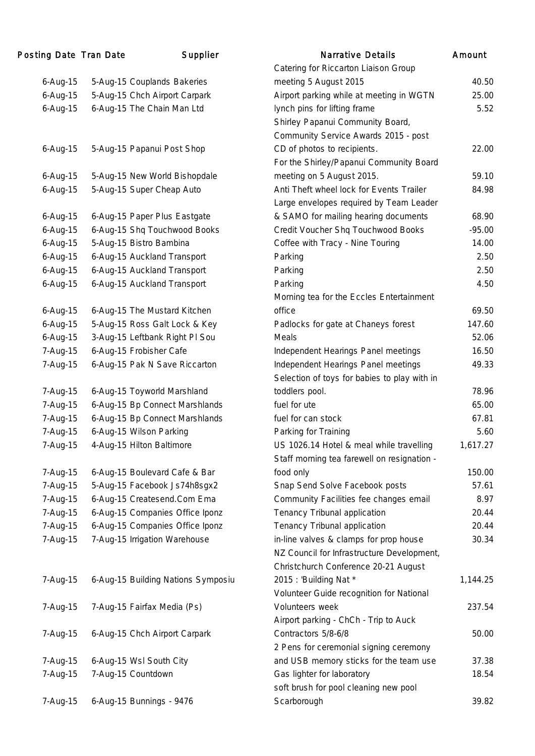| Posting Date Tran Date | Supplier                           | <b>Narrative Details</b>                     | Amount   |
|------------------------|------------------------------------|----------------------------------------------|----------|
|                        |                                    | Catering for Riccarton Liaison Group         |          |
| $6 - Aug-15$           | 5-Aug-15 Couplands Bakeries        | meeting 5 August 2015                        | 40.50    |
| $6 - Aug-15$           | 5-Aug-15 Chch Airport Carpark      | Airport parking while at meeting in WGTN     | 25.00    |
| $6 - Aug-15$           | 6-Aug-15 The Chain Man Ltd         | lynch pins for lifting frame                 | 5.52     |
|                        |                                    | Shirley Papanui Community Board,             |          |
|                        |                                    | Community Service Awards 2015 - post         |          |
| $6 - Aug-15$           | 5-Aug-15 Papanui Post Shop         | CD of photos to recipients.                  | 22.00    |
|                        |                                    | For the Shirley/Papanui Community Board      |          |
| $6 - Aug-15$           | 5-Aug-15 New World Bishopdale      | meeting on 5 August 2015.                    | 59.10    |
| 6-Aug-15               | 5-Aug-15 Super Cheap Auto          | Anti Theft wheel lock for Events Trailer     | 84.98    |
|                        |                                    | Large envelopes required by Team Leader      |          |
| $6 - Aug-15$           | 6-Aug-15 Paper Plus Eastgate       | & SAMO for mailing hearing documents         | 68.90    |
| $6 - Aug-15$           | 6-Aug-15 Shq Touchwood Books       | Credit Voucher Shq Touchwood Books           | $-95.00$ |
| 6-Aug-15               | 5-Aug-15 Bistro Bambina            | Coffee with Tracy - Nine Touring             | 14.00    |
| $6 - Aug-15$           | 6-Aug-15 Auckland Transport        | Parking                                      | 2.50     |
| 6-Aug-15               | 6-Aug-15 Auckland Transport        | Parking                                      | 2.50     |
| $6 - Aug-15$           | 6-Aug-15 Auckland Transport        | Parking                                      | 4.50     |
|                        |                                    | Morning tea for the Eccles Entertainment     |          |
| 6-Aug-15               | 6-Aug-15 The Mustard Kitchen       | office                                       | 69.50    |
| $6 - Aug-15$           | 5-Aug-15 Ross Galt Lock & Key      | Padlocks for gate at Chaneys forest          | 147.60   |
| $6 - Aug-15$           | 3-Aug-15 Leftbank Right PI Sou     | Meals                                        | 52.06    |
| 7-Aug-15               | 6-Aug-15 Frobisher Cafe            | Independent Hearings Panel meetings          | 16.50    |
| 7-Aug-15               | 6-Aug-15 Pak N Save Riccarton      | Independent Hearings Panel meetings          | 49.33    |
|                        |                                    | Selection of toys for babies to play with in |          |
| 7-Aug-15               | 6-Aug-15 Toyworld Marshland        | toddlers pool.                               | 78.96    |
| 7-Aug-15               | 6-Aug-15 Bp Connect Marshlands     | fuel for ute                                 | 65.00    |
| 7-Aug-15               | 6-Aug-15 Bp Connect Marshlands     | fuel for can stock                           | 67.81    |
| 7-Aug-15               | 6-Aug-15 Wilson Parking            | Parking for Training                         | 5.60     |
| 7-Aug-15               | 4-Aug-15 Hilton Baltimore          | US 1026.14 Hotel & meal while travelling     | 1,617.27 |
|                        |                                    | Staff morning tea farewell on resignation -  |          |
| 7-Aug-15               | 6-Aug-15 Boulevard Cafe & Bar      | food only                                    | 150.00   |
| 7-Aug-15               | 5-Aug-15 Facebook Js74h8sgx2       | Snap Send Solve Facebook posts               | 57.61    |
| 7-Aug-15               | 6-Aug-15 Createsend.Com Ema        | Community Facilities fee changes email       | 8.97     |
| 7-Aug-15               | 6-Aug-15 Companies Office Iponz    | Tenancy Tribunal application                 | 20.44    |
| 7-Aug-15               | 6-Aug-15 Companies Office Iponz    | Tenancy Tribunal application                 | 20.44    |
| 7-Aug-15               | 7-Aug-15 Irrigation Warehouse      | in-line valves & clamps for prop house       | 30.34    |
|                        |                                    | NZ Council for Infrastructure Development,   |          |
|                        |                                    | Christchurch Conference 20-21 August         |          |
| 7-Aug-15               | 6-Aug-15 Building Nations Symposiu | 2015 : 'Building Nat *                       | 1,144.25 |
|                        |                                    | Volunteer Guide recognition for National     |          |
| 7-Aug-15               | 7-Aug-15 Fairfax Media (Ps)        | Volunteers week                              | 237.54   |
|                        |                                    | Airport parking - ChCh - Trip to Auck        |          |
| 7-Aug-15               | 6-Aug-15 Chch Airport Carpark      | Contractors 5/8-6/8                          | 50.00    |
|                        |                                    | 2 Pens for ceremonial signing ceremony       |          |
| 7-Aug-15               | 6-Aug-15 Wsl South City            | and USB memory sticks for the team use       | 37.38    |
| 7-Aug-15               | 7-Aug-15 Countdown                 | Gas lighter for laboratory                   | 18.54    |
|                        |                                    | soft brush for pool cleaning new pool        |          |
| 7-Aug-15               | 6-Aug-15 Bunnings - 9476           | Scarborough                                  | 39.82    |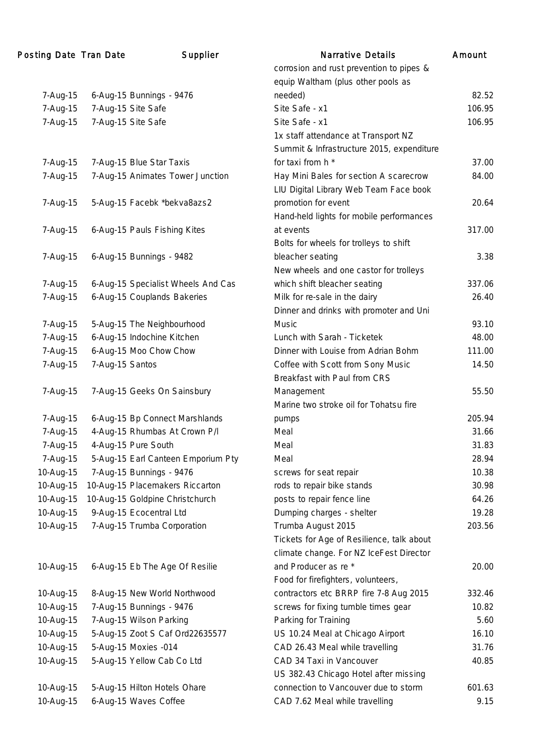| Posting Date Tran Date |                 | Supplier                           | <b>Narrative Details</b>                  | Amount |
|------------------------|-----------------|------------------------------------|-------------------------------------------|--------|
|                        |                 |                                    | corrosion and rust prevention to pipes &  |        |
|                        |                 |                                    | equip Waltham (plus other pools as        |        |
| 7-Aug-15               |                 | 6-Aug-15 Bunnings - 9476           | needed)                                   | 82.52  |
| 7-Aug-15               |                 | 7-Aug-15 Site Safe                 | Site Safe - x1                            | 106.95 |
| 7-Aug-15               |                 | 7-Aug-15 Site Safe                 | Site Safe - x1                            | 106.95 |
|                        |                 |                                    | 1x staff attendance at Transport NZ       |        |
|                        |                 |                                    | Summit & Infrastructure 2015, expenditure |        |
| 7-Aug-15               |                 | 7-Aug-15 Blue Star Taxis           | for taxi from h *                         | 37.00  |
| 7-Aug-15               |                 | 7-Aug-15 Animates Tower Junction   | Hay Mini Bales for section A scarecrow    | 84.00  |
|                        |                 |                                    | LIU Digital Library Web Team Face book    |        |
| 7-Aug-15               |                 | 5-Aug-15 Facebk *bekva8azs2        | promotion for event                       | 20.64  |
|                        |                 |                                    | Hand-held lights for mobile performances  |        |
| 7-Aug-15               |                 | 6-Aug-15 Pauls Fishing Kites       | at events                                 | 317.00 |
|                        |                 |                                    | Bolts for wheels for trolleys to shift    |        |
| 7-Aug-15               |                 | 6-Aug-15 Bunnings - 9482           | bleacher seating                          | 3.38   |
|                        |                 |                                    | New wheels and one castor for trolleys    |        |
| 7-Aug-15               |                 | 6-Aug-15 Specialist Wheels And Cas | which shift bleacher seating              | 337.06 |
| 7-Aug-15               |                 | 6-Aug-15 Couplands Bakeries        | Milk for re-sale in the dairy             | 26.40  |
|                        |                 |                                    | Dinner and drinks with promoter and Uni   |        |
| 7-Aug-15               |                 | 5-Aug-15 The Neighbourhood         | Music                                     | 93.10  |
| 7-Aug-15               |                 | 6-Aug-15 Indochine Kitchen         | Lunch with Sarah - Ticketek               | 48.00  |
| 7-Aug-15               |                 | 6-Aug-15 Moo Chow Chow             | Dinner with Louise from Adrian Bohm       | 111.00 |
| 7-Aug-15               | 7-Aug-15 Santos |                                    | Coffee with Scott from Sony Music         | 14.50  |
|                        |                 |                                    | Breakfast with Paul from CRS              |        |
| 7-Aug-15               |                 | 7-Aug-15 Geeks On Sainsbury        | Management                                | 55.50  |
|                        |                 |                                    | Marine two stroke oil for Tohatsu fire    |        |
| 7-Aug-15               |                 | 6-Aug-15 Bp Connect Marshlands     | pumps                                     | 205.94 |
| 7-Aug-15               |                 | 4-Aug-15 Rhumbas At Crown P/I      | Meal                                      | 31.66  |
| 7-Aug-15               |                 | 4-Aug-15 Pure South                | Meal                                      | 31.83  |
| 7-Aug-15               |                 | 5-Aug-15 Earl Canteen Emporium Pty | Meal                                      | 28.94  |
| 10-Aug-15              |                 | 7-Aug-15 Bunnings - 9476           | screws for seat repair                    | 10.38  |
| 10-Aug-15              |                 | 10-Aug-15 Placemakers Riccarton    | rods to repair bike stands                | 30.98  |
| 10-Aug-15              |                 | 10-Aug-15 Goldpine Christchurch    | posts to repair fence line                | 64.26  |
| 10-Aug-15              |                 | 9-Aug-15 Ecocentral Ltd            | Dumping charges - shelter                 | 19.28  |
| 10-Aug-15              |                 | 7-Aug-15 Trumba Corporation        | Trumba August 2015                        | 203.56 |
|                        |                 |                                    | Tickets for Age of Resilience, talk about |        |
|                        |                 |                                    | climate change. For NZ IceFest Director   |        |
| 10-Aug-15              |                 | 6-Aug-15 Eb The Age Of Resilie     | and Producer as re *                      | 20.00  |
|                        |                 |                                    | Food for firefighters, volunteers,        |        |
| 10-Aug-15              |                 | 8-Aug-15 New World Northwood       | contractors etc BRRP fire 7-8 Aug 2015    | 332.46 |
| 10-Aug-15              |                 | 7-Aug-15 Bunnings - 9476           | screws for fixing tumble times gear       | 10.82  |
| 10-Aug-15              |                 | 7-Aug-15 Wilson Parking            | Parking for Training                      | 5.60   |
| 10-Aug-15              |                 | 5-Aug-15 Zoot S Caf Ord22635577    | US 10.24 Meal at Chicago Airport          | 16.10  |
| 10-Aug-15              |                 | 5-Aug-15 Moxies -014               | CAD 26.43 Meal while travelling           | 31.76  |
| 10-Aug-15              |                 | 5-Aug-15 Yellow Cab Co Ltd         | CAD 34 Taxi in Vancouver                  | 40.85  |
|                        |                 |                                    | US 382.43 Chicago Hotel after missing     |        |
| 10-Aug-15              |                 | 5-Aug-15 Hilton Hotels Ohare       | connection to Vancouver due to storm      | 601.63 |
| 10-Aug-15              |                 | 6-Aug-15 Waves Coffee              | CAD 7.62 Meal while travelling            | 9.15   |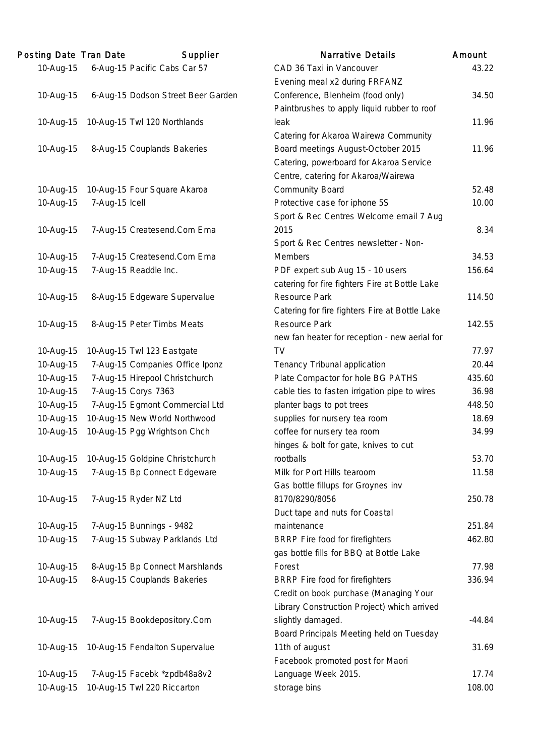| <b>Posting Date Tran Date</b> |                | Supplier                           | <b>Narrative Details</b>                       | Amount   |
|-------------------------------|----------------|------------------------------------|------------------------------------------------|----------|
| 10-Aug-15                     |                | 6-Aug-15 Pacific Cabs Car 57       | CAD 36 Taxi in Vancouver                       | 43.22    |
|                               |                |                                    | Evening meal x2 during FRFANZ                  |          |
| 10-Aug-15                     |                | 6-Aug-15 Dodson Street Beer Garden | Conference, Blenheim (food only)               | 34.50    |
|                               |                |                                    | Paintbrushes to apply liquid rubber to roof    |          |
| 10-Aug-15                     |                | 10-Aug-15 Twl 120 Northlands       | leak                                           | 11.96    |
|                               |                |                                    | Catering for Akaroa Wairewa Community          |          |
| 10-Aug-15                     |                | 8-Aug-15 Couplands Bakeries        | Board meetings August-October 2015             | 11.96    |
|                               |                |                                    | Catering, powerboard for Akaroa Service        |          |
|                               |                |                                    | Centre, catering for Akaroa/Wairewa            |          |
| 10-Aug-15                     |                | 10-Aug-15 Four Square Akaroa       | <b>Community Board</b>                         | 52.48    |
| 10-Aug-15                     | 7-Aug-15 Icell |                                    | Protective case for iphone 5S                  | 10.00    |
|                               |                |                                    | Sport & Rec Centres Welcome email 7 Aug        |          |
| 10-Aug-15                     |                | 7-Aug-15 Createsend.Com Ema        | 2015                                           | 8.34     |
|                               |                |                                    | Sport & Rec Centres newsletter - Non-          |          |
| 10-Aug-15                     |                | 7-Aug-15 Createsend.Com Ema        | <b>Members</b>                                 | 34.53    |
| 10-Aug-15                     |                | 7-Aug-15 Readdle Inc.              | PDF expert sub Aug 15 - 10 users               | 156.64   |
|                               |                |                                    | catering for fire fighters Fire at Bottle Lake |          |
| 10-Aug-15                     |                | 8-Aug-15 Edgeware Supervalue       | <b>Resource Park</b>                           | 114.50   |
|                               |                |                                    | Catering for fire fighters Fire at Bottle Lake |          |
| 10-Aug-15                     |                | 8-Aug-15 Peter Timbs Meats         | <b>Resource Park</b>                           | 142.55   |
|                               |                |                                    | new fan heater for reception - new aerial for  |          |
| 10-Aug-15                     |                | 10-Aug-15 Twl 123 Eastgate         | TV                                             | 77.97    |
| 10-Aug-15                     |                | 7-Aug-15 Companies Office Iponz    | Tenancy Tribunal application                   | 20.44    |
| 10-Aug-15                     |                | 7-Aug-15 Hirepool Christchurch     | Plate Compactor for hole BG PATHS              | 435.60   |
| 10-Aug-15                     |                | 7-Aug-15 Corys 7363                | cable ties to fasten irrigation pipe to wires  | 36.98    |
| 10-Aug-15                     |                | 7-Aug-15 Egmont Commercial Ltd     | planter bags to pot trees                      | 448.50   |
| 10-Aug-15                     |                | 10-Aug-15 New World Northwood      | supplies for nursery tea room                  | 18.69    |
| 10-Aug-15                     |                | 10-Aug-15 Pgg Wrightson Chch       | coffee for nursery tea room                    | 34.99    |
|                               |                |                                    | hinges & bolt for gate, knives to cut          |          |
| 10-Aug-15                     |                | 10-Aug-15 Goldpine Christchurch    | rootballs                                      | 53.70    |
| 10-Aug-15                     |                | 7-Aug-15 Bp Connect Edgeware       | Milk for Port Hills tearoom                    | 11.58    |
|                               |                |                                    | Gas bottle fillups for Groynes inv             |          |
| 10-Aug-15                     |                | 7-Aug-15 Ryder NZ Ltd              | 8170/8290/8056                                 | 250.78   |
|                               |                |                                    | Duct tape and nuts for Coastal                 |          |
| 10-Aug-15                     |                | 7-Aug-15 Bunnings - 9482           | maintenance                                    | 251.84   |
| 10-Aug-15                     |                | 7-Aug-15 Subway Parklands Ltd      | BRRP Fire food for firefighters                | 462.80   |
|                               |                |                                    | gas bottle fills for BBQ at Bottle Lake        |          |
| 10-Aug-15                     |                | 8-Aug-15 Bp Connect Marshlands     | Forest                                         | 77.98    |
| 10-Aug-15                     |                | 8-Aug-15 Couplands Bakeries        | BRRP Fire food for firefighters                | 336.94   |
|                               |                |                                    | Credit on book purchase (Managing Your         |          |
|                               |                |                                    | Library Construction Project) which arrived    |          |
| 10-Aug-15                     |                | 7-Aug-15 Bookdepository.Com        | slightly damaged.                              | $-44.84$ |
|                               |                |                                    | Board Principals Meeting held on Tuesday       |          |
| 10-Aug-15                     |                | 10-Aug-15 Fendalton Supervalue     | 11th of august                                 | 31.69    |
|                               |                |                                    | Facebook promoted post for Maori               |          |
| 10-Aug-15                     |                | 7-Aug-15 Facebk *zpdb48a8v2        | Language Week 2015.                            | 17.74    |
| 10-Aug-15                     |                | 10-Aug-15 Twl 220 Riccarton        | storage bins                                   | 108.00   |
|                               |                |                                    |                                                |          |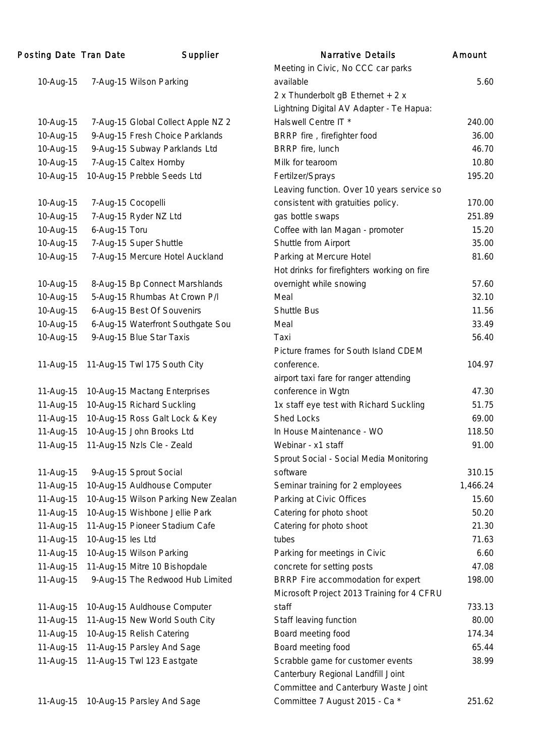| Posting Date Tran Date |                   | Supplier                            | <b>Narrative Details</b>                    | Amount   |
|------------------------|-------------------|-------------------------------------|---------------------------------------------|----------|
|                        |                   |                                     | Meeting in Civic, No CCC car parks          |          |
| 10-Aug-15              |                   | 7-Aug-15 Wilson Parking             | available                                   | 5.60     |
|                        |                   |                                     | 2 x Thunderbolt gB Ethernet + 2 x           |          |
|                        |                   |                                     | Lightning Digital AV Adapter - Te Hapua:    |          |
| 10-Aug-15              |                   | 7-Aug-15 Global Collect Apple NZ 2  | Halswell Centre IT *                        | 240.00   |
| 10-Aug-15              |                   | 9-Aug-15 Fresh Choice Parklands     | BRRP fire, firefighter food                 | 36.00    |
| 10-Aug-15              |                   | 9-Aug-15 Subway Parklands Ltd       | BRRP fire, lunch                            | 46.70    |
| 10-Aug-15              |                   | 7-Aug-15 Caltex Hornby              | Milk for tearoom                            | 10.80    |
| 10-Aug-15              |                   | 10-Aug-15 Prebble Seeds Ltd         | Fertilzer/Sprays                            | 195.20   |
|                        |                   |                                     | Leaving function. Over 10 years service so  |          |
| 10-Aug-15              |                   | 7-Aug-15 Cocopelli                  | consistent with gratuities policy.          | 170.00   |
| 10-Aug-15              |                   | 7-Aug-15 Ryder NZ Ltd               | gas bottle swaps                            | 251.89   |
| 10-Aug-15              | 6-Aug-15 Toru     |                                     | Coffee with lan Magan - promoter            | 15.20    |
| 10-Aug-15              |                   | 7-Aug-15 Super Shuttle              | Shuttle from Airport                        | 35.00    |
| 10-Aug-15              |                   | 7-Aug-15 Mercure Hotel Auckland     | Parking at Mercure Hotel                    | 81.60    |
|                        |                   |                                     | Hot drinks for firefighters working on fire |          |
| 10-Aug-15              |                   | 8-Aug-15 Bp Connect Marshlands      | overnight while snowing                     | 57.60    |
| 10-Aug-15              |                   | 5-Aug-15 Rhumbas At Crown P/I       | Meal                                        | 32.10    |
| 10-Aug-15              |                   | 6-Aug-15 Best Of Souvenirs          | <b>Shuttle Bus</b>                          | 11.56    |
| 10-Aug-15              |                   | 6-Aug-15 Waterfront Southgate Sou   | Meal                                        | 33.49    |
| 10-Aug-15              |                   | 9-Aug-15 Blue Star Taxis            | Taxi                                        | 56.40    |
|                        |                   |                                     | Picture frames for South Island CDEM        |          |
| 11-Aug-15              |                   | 11-Aug-15 Twl 175 South City        | conference.                                 | 104.97   |
|                        |                   |                                     | airport taxi fare for ranger attending      |          |
| 11-Aug-15              |                   | 10-Aug-15 Mactang Enterprises       | conference in Wgtn                          | 47.30    |
| 11-Aug-15              |                   | 10-Aug-15 Richard Suckling          | 1x staff eye test with Richard Suckling     | 51.75    |
| 11-Aug-15              |                   | 10-Aug-15 Ross Galt Lock & Key      | Shed Locks                                  | 69.00    |
| 11-Aug-15              |                   | 10-Aug-15 John Brooks Ltd           | In House Maintenance - WO                   | 118.50   |
| 11-Aug-15              |                   | 11-Aug-15 Nzls Cle - Zeald          | Webinar - x1 staff                          | 91.00    |
|                        |                   |                                     | Sprout Social - Social Media Monitoring     |          |
| 11-Aug-15              |                   | 9-Aug-15 Sprout Social              | software                                    | 310.15   |
| 11-Aug-15              |                   | 10-Aug-15 Auldhouse Computer        | Seminar training for 2 employees            | 1,466.24 |
| 11-Aug-15              |                   | 10-Aug-15 Wilson Parking New Zealan | Parking at Civic Offices                    | 15.60    |
| 11-Aug-15              |                   | 10-Aug-15 Wishbone Jellie Park      | Catering for photo shoot                    | 50.20    |
| 11-Aug-15              |                   | 11-Aug-15 Pioneer Stadium Cafe      | Catering for photo shoot                    | 21.30    |
| 11-Aug-15              | 10-Aug-15 les Ltd |                                     | tubes                                       | 71.63    |
| 11-Aug-15              |                   | 10-Aug-15 Wilson Parking            | Parking for meetings in Civic               | 6.60     |
| 11-Aug-15              |                   | 11-Aug-15 Mitre 10 Bishopdale       | concrete for setting posts                  | 47.08    |
|                        |                   | 9-Aug-15 The Redwood Hub Limited    | BRRP Fire accommodation for expert          | 198.00   |
| 11-Aug-15              |                   |                                     | Microsoft Project 2013 Training for 4 CFRU  |          |
|                        |                   | 10-Aug-15 Auldhouse Computer        | staff                                       | 733.13   |
| 11-Aug-15              |                   |                                     |                                             | 80.00    |
| 11-Aug-15              |                   | 11-Aug-15 New World South City      | Staff leaving function                      | 174.34   |
| 11-Aug-15              |                   | 10-Aug-15 Relish Catering           | Board meeting food                          |          |
| 11-Aug-15              |                   | 11-Aug-15 Parsley And Sage          | Board meeting food                          | 65.44    |
| 11-Aug-15              |                   | 11-Aug-15 Twl 123 Eastgate          | Scrabble game for customer events           | 38.99    |
|                        |                   |                                     | Canterbury Regional Landfill Joint          |          |
|                        |                   |                                     | Committee and Canterbury Waste Joint        |          |
| 11-Aug-15              |                   | 10-Aug-15 Parsley And Sage          | Committee 7 August 2015 - Ca *              | 251.62   |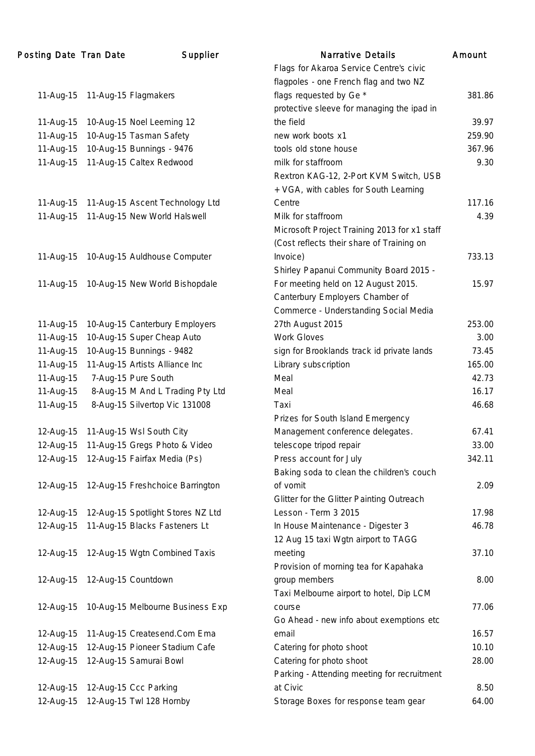| Posting Date Tran Date | Supplier                               | <b>Narrative Details</b>                     | Amount |
|------------------------|----------------------------------------|----------------------------------------------|--------|
|                        |                                        | Flags for Akaroa Service Centre's civic      |        |
|                        |                                        | flagpoles - one French flag and two NZ       |        |
| 11-Aug-15              | 11-Aug-15 Flagmakers                   | flags requested by Ge *                      | 381.86 |
|                        |                                        | protective sleeve for managing the ipad in   |        |
| 11-Aug-15              | 10-Aug-15 Noel Leeming 12              | the field                                    | 39.97  |
| 11-Aug-15              | 10-Aug-15 Tasman Safety                | new work boots x1                            | 259.90 |
| 11-Aug-15              | 10-Aug-15 Bunnings - 9476              | tools old stone house                        | 367.96 |
| 11-Aug-15              | 11-Aug-15 Caltex Redwood               | milk for staffroom                           | 9.30   |
|                        |                                        | Rextron KAG-12, 2-Port KVM Switch, USB       |        |
|                        |                                        | + VGA, with cables for South Learning        |        |
| 11-Aug-15              | 11-Aug-15 Ascent Technology Ltd        | Centre                                       | 117.16 |
| 11-Aug-15              | 11-Aug-15 New World Halswell           | Milk for staffroom                           | 4.39   |
|                        |                                        | Microsoft Project Training 2013 for x1 staff |        |
|                        |                                        | (Cost reflects their share of Training on    |        |
| 11-Aug-15              | 10-Aug-15 Auldhouse Computer           | Invoice)                                     | 733.13 |
|                        |                                        | Shirley Papanui Community Board 2015 -       |        |
| 11-Aug-15              | 10-Aug-15 New World Bishopdale         | For meeting held on 12 August 2015.          | 15.97  |
|                        |                                        | Canterbury Employers Chamber of              |        |
|                        |                                        | Commerce - Understanding Social Media        |        |
|                        |                                        |                                              | 253.00 |
| 11-Aug-15              | 10-Aug-15 Canterbury Employers         | 27th August 2015                             |        |
| 11-Aug-15              | 10-Aug-15 Super Cheap Auto             | <b>Work Gloves</b>                           | 3.00   |
| 11-Aug-15              | 10-Aug-15 Bunnings - 9482              | sign for Brooklands track id private lands   | 73.45  |
| 11-Aug-15              | 11-Aug-15 Artists Alliance Inc         | Library subscription                         | 165.00 |
| 11-Aug-15              | 7-Aug-15 Pure South                    | Meal                                         | 42.73  |
| 11-Aug-15              | 8-Aug-15 M And L Trading Pty Ltd       | Meal                                         | 16.17  |
| 11-Aug-15              | 8-Aug-15 Silvertop Vic 131008          | Taxi                                         | 46.68  |
|                        |                                        | Prizes for South Island Emergency            |        |
| 12-Aug-15              | 11-Aug-15 Wsl South City               | Management conference delegates.             | 67.41  |
| 12-Aug-15              | 11-Aug-15 Gregs Photo & Video          | telescope tripod repair                      | 33.00  |
|                        | 12-Aug-15 12-Aug-15 Fairfax Media (Ps) | Press account for July                       | 342.11 |
|                        |                                        | Baking soda to clean the children's couch    |        |
| 12-Aug-15              | 12-Aug-15 Freshchoice Barrington       | of vomit                                     | 2.09   |
|                        |                                        | Glitter for the Glitter Painting Outreach    |        |
| 12-Aug-15              | 12-Aug-15 Spotlight Stores NZ Ltd      | Lesson - Term 3 2015                         | 17.98  |
| 12-Aug-15              | 11-Aug-15 Blacks Fasteners Lt          | In House Maintenance - Digester 3            | 46.78  |
|                        |                                        | 12 Aug 15 taxi Wgtn airport to TAGG          |        |
| 12-Aug-15              | 12-Aug-15 Wgtn Combined Taxis          | meeting                                      | 37.10  |
|                        |                                        | Provision of morning tea for Kapahaka        |        |
| 12-Aug-15              | 12-Aug-15 Countdown                    | group members                                | 8.00   |
|                        |                                        | Taxi Melbourne airport to hotel, Dip LCM     |        |
| 12-Aug-15              | 10-Aug-15 Melbourne Business Exp       | course                                       | 77.06  |
|                        |                                        | Go Ahead - new info about exemptions etc     |        |
| 12-Aug-15              | 11-Aug-15 Createsend.Com Ema           | email                                        | 16.57  |
| 12-Aug-15              | 12-Aug-15 Pioneer Stadium Cafe         | Catering for photo shoot                     | 10.10  |
| 12-Aug-15              | 12-Aug-15 Samurai Bowl                 | Catering for photo shoot                     | 28.00  |
|                        |                                        | Parking - Attending meeting for recruitment  |        |
| 12-Aug-15              | 12-Aug-15 Ccc Parking                  | at Civic                                     | 8.50   |
| 12-Aug-15              | 12-Aug-15 Twl 128 Hornby               | Storage Boxes for response team gear         | 64.00  |
|                        |                                        |                                              |        |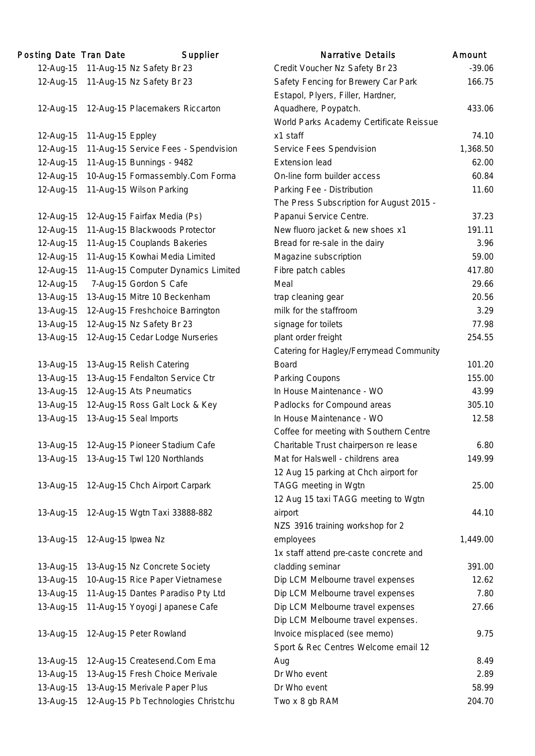| Posting Date Tran Date |                    | Supplier                             | <b>Narrative Details</b>                 | Amount |
|------------------------|--------------------|--------------------------------------|------------------------------------------|--------|
| 12-Aug-15              |                    | 11-Aug-15 Nz Safety Br 23            | Credit Voucher Nz Safety Br 23           | $-39.$ |
| 12-Aug-15              |                    | 11-Aug-15 Nz Safety Br 23            | Safety Fencing for Brewery Car Park      | 166.   |
|                        |                    |                                      | Estapol, Plyers, Filler, Hardner,        |        |
| 12-Aug-15              |                    | 12-Aug-15 Placemakers Riccarton      | Aquadhere, Poypatch.                     | 433.   |
|                        |                    |                                      | World Parks Academy Certificate Reissue  |        |
| 12-Aug-15              | 11-Aug-15 Eppley   |                                      | x1 staff                                 | 74.    |
| 12-Aug-15              |                    | 11-Aug-15 Service Fees - Spendvision | Service Fees Spendvision                 | 1,368. |
| 12-Aug-15              |                    | 11-Aug-15 Bunnings - 9482            | <b>Extension lead</b>                    | 62.1   |
| 12-Aug-15              |                    | 10-Aug-15 Formassembly.Com Forma     | On-line form builder access              | 60.    |
| 12-Aug-15              |                    | 11-Aug-15 Wilson Parking             | Parking Fee - Distribution               | 11.    |
|                        |                    |                                      | The Press Subscription for August 2015 - |        |
| 12-Aug-15              |                    | 12-Aug-15 Fairfax Media (Ps)         | Papanui Service Centre.                  | 37.    |
| 12-Aug-15              |                    | 11-Aug-15 Blackwoods Protector       | New fluoro jacket & new shoes x1         | 191.   |
| 12-Aug-15              |                    | 11-Aug-15 Couplands Bakeries         | Bread for re-sale in the dairy           | 3.5    |
| 12-Aug-15              |                    | 11-Aug-15 Kowhai Media Limited       | Magazine subscription                    | 59.    |
| 12-Aug-15              |                    | 11-Aug-15 Computer Dynamics Limited  | Fibre patch cables                       | 417.   |
| 12-Aug-15              |                    | 7-Aug-15 Gordon S Cafe               | Meal                                     | 29.    |
| 13-Aug-15              |                    | 13-Aug-15 Mitre 10 Beckenham         | trap cleaning gear                       | 20.    |
| 13-Aug-15              |                    | 12-Aug-15 Freshchoice Barrington     | milk for the staffroom                   | 3.3    |
| 13-Aug-15              |                    | 12-Aug-15 Nz Safety Br 23            | signage for toilets                      | 77.5   |
| 13-Aug-15              |                    | 12-Aug-15 Cedar Lodge Nurseries      | plant order freight                      | 254.   |
|                        |                    |                                      | Catering for Hagley/Ferrymead Community  |        |
| 13-Aug-15              |                    | 13-Aug-15 Relish Catering            | <b>Board</b>                             | 101.   |
| 13-Aug-15              |                    | 13-Aug-15 Fendalton Service Ctr      | Parking Coupons                          | 155.   |
| 13-Aug-15              |                    | 12-Aug-15 Ats Pneumatics             | In House Maintenance - WO                | 43.    |
| 13-Aug-15              |                    | 12-Aug-15 Ross Galt Lock & Key       | Padlocks for Compound areas              | 305.   |
| 13-Aug-15              |                    | 13-Aug-15 Seal Imports               | In House Maintenance - WO                | 12.    |
|                        |                    |                                      | Coffee for meeting with Southern Centre  |        |
| 13-Aug-15              |                    | 12-Aug-15 Pioneer Stadium Cafe       | Charitable Trust chairperson re lease    | 6.     |
| 13-Aug-15              |                    | 13-Aug-15 Twl 120 Northlands         | Mat for Halswell - childrens area        | 149.   |
|                        |                    |                                      | 12 Aug 15 parking at Chch airport for    |        |
| 13-Aug-15              |                    | 12-Aug-15 Chch Airport Carpark       | TAGG meeting in Wgtn                     | 25.1   |
|                        |                    |                                      | 12 Aug 15 taxi TAGG meeting to Wgtn      |        |
| 13-Aug-15              |                    | 12-Aug-15 Wgtn Taxi 33888-882        | airport                                  | 44.    |
|                        |                    |                                      | NZS 3916 training workshop for 2         |        |
| 13-Aug-15              | 12-Aug-15 Ipwea Nz |                                      | employees                                | 1,449. |
|                        |                    |                                      | 1x staff attend pre-caste concrete and   |        |
| 13-Aug-15              |                    | 13-Aug-15 Nz Concrete Society        | cladding seminar                         | 391.   |
| 13-Aug-15              |                    | 10-Aug-15 Rice Paper Vietnamese      | Dip LCM Melbourne travel expenses        | 12.    |
| 13-Aug-15              |                    | 11-Aug-15 Dantes Paradiso Pty Ltd    | Dip LCM Melbourne travel expenses        | 7.5    |
| 13-Aug-15              |                    | 11-Aug-15 Yoyogi Japanese Cafe       | Dip LCM Melbourne travel expenses        | 27.    |
|                        |                    |                                      | Dip LCM Melbourne travel expenses.       |        |
| 13-Aug-15              |                    | 12-Aug-15 Peter Rowland              | Invoice misplaced (see memo)             | 9.     |
|                        |                    |                                      | Sport & Rec Centres Welcome email 12     |        |
| 13-Aug-15              |                    | 12-Aug-15 Createsend.Com Ema         | Aug                                      | 8.4    |
| 13-Aug-15              |                    | 13-Aug-15 Fresh Choice Merivale      | Dr Who event                             | 2.1    |
| 13-Aug-15              |                    | 13-Aug-15 Merivale Paper Plus        | Dr Who event                             | 58.    |
| 13-Aug-15              |                    | 12-Aug-15 Pb Technologies Christchu  | Two x 8 gb RAM                           | 204.   |

|           | ing Date Tran Date | Supplier                                 | <b>Narrative Details</b>                                                 | Amount   |
|-----------|--------------------|------------------------------------------|--------------------------------------------------------------------------|----------|
| 12-Aug-15 |                    | 11-Aug-15 Nz Safety Br 23                | Credit Voucher Nz Safety Br 23                                           | $-39.06$ |
| 12-Aug-15 |                    | 11-Aug-15 Nz Safety Br 23                | Safety Fencing for Brewery Car Park<br>Estapol, Plyers, Filler, Hardner, | 166.75   |
| 12-Aug-15 |                    | 12-Aug-15 Placemakers Riccarton          | Aquadhere, Poypatch.                                                     | 433.06   |
|           |                    |                                          | World Parks Academy Certificate Reissue                                  |          |
| 12-Aug-15 | 11-Aug-15 Eppley   |                                          | x1 staff                                                                 | 74.10    |
| 12-Aug-15 |                    | 11-Aug-15 Service Fees - Spendvision     | Service Fees Spendvision                                                 | 1,368.50 |
| 12-Aug-15 |                    | 11-Aug-15 Bunnings - 9482                | <b>Extension lead</b>                                                    | 62.00    |
| 12-Aug-15 |                    | 10-Aug-15 Formassembly.Com Forma         | On-line form builder access                                              | 60.84    |
| 12-Aug-15 |                    | 11-Aug-15 Wilson Parking                 | Parking Fee - Distribution                                               | 11.60    |
|           |                    |                                          | The Press Subscription for August 2015 -                                 |          |
| 12-Aug-15 |                    | 12-Aug-15 Fairfax Media (Ps)             | Papanui Service Centre.                                                  | 37.23    |
| 12-Aug-15 |                    | 11-Aug-15 Blackwoods Protector           | New fluoro jacket & new shoes x1                                         | 191.11   |
| 12-Aug-15 |                    | 11-Aug-15 Couplands Bakeries             | Bread for re-sale in the dairy                                           | 3.96     |
| 12-Aug-15 |                    | 11-Aug-15 Kowhai Media Limited           | Magazine subscription                                                    | 59.00    |
| 12-Aug-15 |                    | 11-Aug-15 Computer Dynamics Limited      | Fibre patch cables                                                       | 417.80   |
| 12-Aug-15 |                    | 7-Aug-15 Gordon S Cafe                   | Meal                                                                     | 29.66    |
| 13-Aug-15 |                    | 13-Aug-15 Mitre 10 Beckenham             | trap cleaning gear                                                       | 20.56    |
| 13-Aug-15 |                    | 12-Aug-15 Freshchoice Barrington         | milk for the staffroom                                                   | 3.29     |
| 13-Aug-15 |                    | 12-Aug-15 Nz Safety Br 23                | signage for toilets                                                      | 77.98    |
| 13-Aug-15 |                    | 12-Aug-15 Cedar Lodge Nurseries          | plant order freight                                                      | 254.55   |
|           |                    |                                          | Catering for Hagley/Ferrymead Community                                  |          |
| 13-Aug-15 |                    | 13-Aug-15 Relish Catering                | <b>Board</b>                                                             | 101.20   |
| 13-Aug-15 |                    | 13-Aug-15 Fendalton Service Ctr          | Parking Coupons                                                          | 155.00   |
| 13-Aug-15 |                    | 12-Aug-15 Ats Pneumatics                 | In House Maintenance - WO                                                | 43.99    |
| 13-Aug-15 |                    | 12-Aug-15 Ross Galt Lock & Key           | Padlocks for Compound areas                                              | 305.10   |
| 13-Aug-15 |                    | 13-Aug-15 Seal Imports                   | In House Maintenance - WO                                                | 12.58    |
|           |                    |                                          | Coffee for meeting with Southern Centre                                  |          |
| 13-Aug-15 |                    | 12-Aug-15 Pioneer Stadium Cafe           | Charitable Trust chairperson re lease                                    | 6.80     |
|           |                    | 13-Aug-15 13-Aug-15 Twl 120 Northlands   | Mat for Halswell - childrens area                                        | 149.99   |
|           |                    |                                          | 12 Aug 15 parking at Chch airport for                                    |          |
|           |                    | 13-Aug-15 12-Aug-15 Chch Airport Carpark | TAGG meeting in Wgtn                                                     | 25.00    |
|           |                    |                                          | 12 Aug 15 taxi TAGG meeting to Wgtn                                      |          |
| 13-Aug-15 |                    | 12-Aug-15 Wgtn Taxi 33888-882            | airport                                                                  | 44.10    |
|           |                    |                                          | NZS 3916 training workshop for 2                                         |          |
| 13-Aug-15 | 12-Aug-15 Ipwea Nz |                                          | employees                                                                | 1,449.00 |
|           |                    |                                          | 1x staff attend pre-caste concrete and                                   |          |
| 13-Aug-15 |                    | 13-Aug-15 Nz Concrete Society            | cladding seminar                                                         | 391.00   |
| 13-Aug-15 |                    | 10-Aug-15 Rice Paper Vietnamese          | Dip LCM Melbourne travel expenses                                        | 12.62    |
| 13-Aug-15 |                    | 11-Aug-15 Dantes Paradiso Pty Ltd        | Dip LCM Melbourne travel expenses                                        | 7.80     |
| 13-Aug-15 |                    | 11-Aug-15 Yoyogi Japanese Cafe           | Dip LCM Melbourne travel expenses                                        | 27.66    |
|           |                    |                                          | Dip LCM Melbourne travel expenses.                                       |          |
| 13-Aug-15 |                    | 12-Aug-15 Peter Rowland                  | Invoice misplaced (see memo)                                             | 9.75     |
|           |                    |                                          | Sport & Rec Centres Welcome email 12                                     |          |
| 13-Aug-15 |                    | 12-Aug-15 Createsend.Com Ema             | Aug                                                                      | 8.49     |
| 13-Aug-15 |                    | 13-Aug-15 Fresh Choice Merivale          | Dr Who event                                                             | 2.89     |
| 13-Aug-15 |                    | 13-Aug-15 Merivale Paper Plus            | Dr Who event                                                             | 58.99    |
| 13-Aug-15 |                    | 12-Aug-15 Pb Technologies Christchu      | Two x 8 gb RAM                                                           | 204.70   |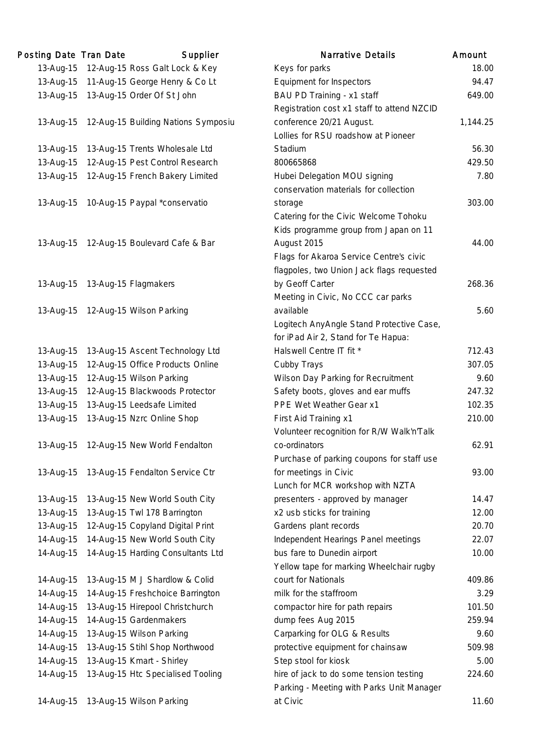| Posting Date Tran Date | Supplier                            | <b>Narrative Details</b>                   | Amount   |
|------------------------|-------------------------------------|--------------------------------------------|----------|
| 13-Aug-15              | 12-Aug-15 Ross Galt Lock & Key      | Keys for parks                             | 18.00    |
| 13-Aug-15              | 11-Aug-15 George Henry & Co Lt      | Equipment for Inspectors                   | 94.47    |
| 13-Aug-15              | 13-Aug-15 Order Of St John          | BAU PD Training - x1 staff                 | 649.00   |
|                        |                                     | Registration cost x1 staff to attend NZCID |          |
| 13-Aug-15              | 12-Aug-15 Building Nations Symposiu | conference 20/21 August.                   | 1,144.25 |
|                        |                                     | Lollies for RSU roadshow at Pioneer        |          |
| 13-Aug-15              | 13-Aug-15 Trents Wholesale Ltd      | Stadium                                    | 56.30    |
| 13-Aug-15              | 12-Aug-15 Pest Control Research     | 800665868                                  | 429.50   |
| 13-Aug-15              | 12-Aug-15 French Bakery Limited     | Hubei Delegation MOU signing               | 7.80     |
|                        |                                     | conservation materials for collection      |          |
| 13-Aug-15              | 10-Aug-15 Paypal *conservatio       | storage                                    | 303.00   |
|                        |                                     | Catering for the Civic Welcome Tohoku      |          |
|                        |                                     | Kids programme group from Japan on 11      |          |
| 13-Aug-15              | 12-Aug-15 Boulevard Cafe & Bar      | August 2015                                | 44.00    |
|                        |                                     | Flags for Akaroa Service Centre's civic    |          |
|                        |                                     | flagpoles, two Union Jack flags requested  |          |
| 13-Aug-15              | 13-Aug-15 Flagmakers                | by Geoff Carter                            | 268.36   |
|                        |                                     | Meeting in Civic, No CCC car parks         |          |
| 13-Aug-15              | 12-Aug-15 Wilson Parking            | available                                  | 5.60     |
|                        |                                     | Logitech AnyAngle Stand Protective Case,   |          |
|                        |                                     | for iPad Air 2, Stand for Te Hapua:        |          |
| 13-Aug-15              | 13-Aug-15 Ascent Technology Ltd     | Halswell Centre IT fit *                   | 712.43   |
| 13-Aug-15              | 12-Aug-15 Office Products Online    | Cubby Trays                                | 307.05   |
| 13-Aug-15              | 12-Aug-15 Wilson Parking            | Wilson Day Parking for Recruitment         | 9.60     |
| 13-Aug-15              | 12-Aug-15 Blackwoods Protector      | Safety boots, gloves and ear muffs         | 247.32   |
| 13-Aug-15              | 13-Aug-15 Leedsafe Limited          | PPE Wet Weather Gear x1                    | 102.35   |
| 13-Aug-15              | 13-Aug-15 Nzrc Online Shop          | First Aid Training x1                      | 210.00   |
|                        |                                     | Volunteer recognition for R/W Walk'n'Talk  |          |
| 13-Aug-15              | 12-Aug-15 New World Fendalton       | co-ordinators                              | 62.91    |
|                        |                                     | Purchase of parking coupons for staff use  |          |
| 13-Aug-15              | 13-Aug-15 Fendalton Service Ctr     | for meetings in Civic                      | 93.00    |
|                        |                                     | Lunch for MCR workshop with NZTA           |          |
| 13-Aug-15              | 13-Aug-15 New World South City      | presenters - approved by manager           | 14.47    |
| 13-Aug-15              | 13-Aug-15 Twl 178 Barrington        | x2 usb sticks for training                 | 12.00    |
| 13-Aug-15              | 12-Aug-15 Copyland Digital Print    | Gardens plant records                      | 20.70    |
| 14-Aug-15              | 14-Aug-15 New World South City      | Independent Hearings Panel meetings        | 22.07    |
| 14-Aug-15              | 14-Aug-15 Harding Consultants Ltd   | bus fare to Dunedin airport                | 10.00    |
|                        |                                     | Yellow tape for marking Wheelchair rugby   |          |
| 14-Aug-15              | 13-Aug-15 M J Shardlow & Colid      | court for Nationals                        | 409.86   |
| 14-Aug-15              | 14-Aug-15 Freshchoice Barrington    | milk for the staffroom                     | 3.29     |
| 14-Aug-15              | 13-Aug-15 Hirepool Christchurch     | compactor hire for path repairs            | 101.50   |
| 14-Aug-15              | 14-Aug-15 Gardenmakers              | dump fees Aug 2015                         | 259.94   |
| 14-Aug-15              | 13-Aug-15 Wilson Parking            | Carparking for OLG & Results               | 9.60     |
| 14-Aug-15              | 13-Aug-15 Stihl Shop Northwood      | protective equipment for chainsaw          | 509.98   |
| 14-Aug-15              | 13-Aug-15 Kmart - Shirley           | Step stool for kiosk                       | 5.00     |
| 14-Aug-15              | 13-Aug-15 Htc Specialised Tooling   | hire of jack to do some tension testing    | 224.60   |
|                        |                                     | Parking - Meeting with Parks Unit Manager  |          |
|                        | 14-Aug-15 13-Aug-15 Wilson Parking  | at Civic                                   | 11.60    |
|                        |                                     |                                            |          |

| <b>Narrative Details</b>                   | Amount   |
|--------------------------------------------|----------|
| Keys for parks                             | 18.00    |
| <b>Equipment for Inspectors</b>            | 94.47    |
| BAU PD Training - x1 staff                 | 649.00   |
| Registration cost x1 staff to attend NZCID |          |
| conference 20/21 August.                   | 1,144.25 |
| Lollies for RSU roadshow at Pioneer        |          |
| Stadium                                    | 56.30    |
| 800665868                                  | 429.50   |
| Hubei Delegation MOU signing               | 7.80     |
| conservation materials for collection      |          |
| storage                                    | 303.00   |
| Catering for the Civic Welcome Tohoku      |          |
| Kids programme group from Japan on 11      |          |
| August 2015                                | 44.00    |
| Flags for Akaroa Service Centre's civic    |          |
| flagpoles, two Union Jack flags requested  |          |
| by Geoff Carter                            | 268.36   |
| Meeting in Civic, No CCC car parks         |          |
| available                                  | 5.60     |
| Logitech AnyAngle Stand Protective Case,   |          |
| for iPad Air 2, Stand for Te Hapua:        |          |
| Halswell Centre IT fit *                   | 712.43   |
| Cubby Trays                                | 307.05   |
| Wilson Day Parking for Recruitment         | 9.60     |
| Safety boots, gloves and ear muffs         | 247.32   |
| PPE Wet Weather Gear x1                    | 102.35   |
| First Aid Training x1                      | 210.00   |
| Volunteer recognition for R/W Walk'n'Talk  |          |
| co-ordinators                              | 62.91    |
| Purchase of parking coupons for staff use  |          |
| for meetings in Civic                      | 93.00    |
| Lunch for MCR workshop with NZTA           |          |
| presenters - approved by manager           | 14.47    |
| x2 usb sticks for training                 | 12.00    |
| Gardens plant records                      | 20.70    |
| Independent Hearings Panel meetings        | 22.07    |
| bus fare to Dunedin airport                | 10.00    |
| Yellow tape for marking Wheelchair rugby   |          |
| court for Nationals                        | 409.86   |
| milk for the staffroom                     | 3.29     |
| compactor hire for path repairs            | 101.50   |
| dump fees Aug 2015                         | 259.94   |
| Carparking for OLG & Results               | 9.60     |
| protective equipment for chainsaw          | 509.98   |
| Step stool for kiosk                       | 5.00     |
| hire of jack to do some tension testing    | 224.60   |
| Parking - Meeting with Parks Unit Manager  |          |
| at Civic                                   | 11.60    |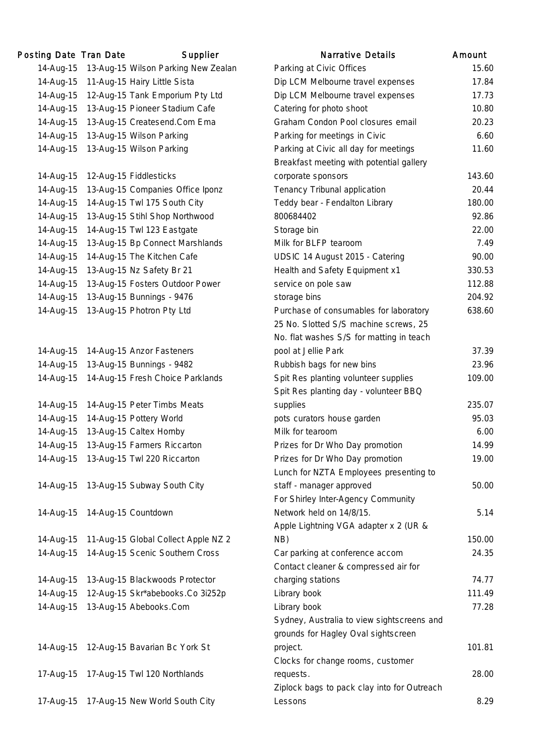| Posting Date Tran Date | Supplier                            | <b>Narrative Details</b>                    | Amount |
|------------------------|-------------------------------------|---------------------------------------------|--------|
| 14-Aug-15              | 13-Aug-15 Wilson Parking New Zealan | Parking at Civic Offices                    | 15.60  |
| 14-Aug-15              | 11-Aug-15 Hairy Little Sista        | Dip LCM Melbourne travel expenses           | 17.84  |
| 14-Aug-15              | 12-Aug-15 Tank Emporium Pty Ltd     | Dip LCM Melbourne travel expenses           | 17.73  |
| 14-Aug-15              | 13-Aug-15 Pioneer Stadium Cafe      | Catering for photo shoot                    | 10.80  |
| 14-Aug-15              | 13-Aug-15 Createsend.Com Ema        | Graham Condon Pool closures email           | 20.23  |
| 14-Aug-15              | 13-Aug-15 Wilson Parking            | Parking for meetings in Civic               | 6.60   |
| 14-Aug-15              | 13-Aug-15 Wilson Parking            | Parking at Civic all day for meetings       | 11.60  |
|                        |                                     | Breakfast meeting with potential gallery    |        |
| 14-Aug-15              | 12-Aug-15 Fiddlesticks              | corporate sponsors                          | 143.60 |
| 14-Aug-15              | 13-Aug-15 Companies Office Iponz    | Tenancy Tribunal application                | 20.44  |
| 14-Aug-15              | 14-Aug-15 Twl 175 South City        | Teddy bear - Fendalton Library              | 180.00 |
| 14-Aug-15              | 13-Aug-15 Stihl Shop Northwood      | 800684402                                   | 92.86  |
| 14-Aug-15              | 14-Aug-15 Twl 123 Eastgate          | Storage bin                                 | 22.00  |
| 14-Aug-15              | 13-Aug-15 Bp Connect Marshlands     | Milk for BLFP tearoom                       | 7.49   |
| 14-Aug-15              | 14-Aug-15 The Kitchen Cafe          | UDSIC 14 August 2015 - Catering             | 90.00  |
| 14-Aug-15              | 13-Aug-15 Nz Safety Br 21           | Health and Safety Equipment x1              | 330.53 |
| 14-Aug-15              | 13-Aug-15 Fosters Outdoor Power     | service on pole saw                         | 112.88 |
| 14-Aug-15              | 13-Aug-15 Bunnings - 9476           | storage bins                                | 204.92 |
| 14-Aug-15              | 13-Aug-15 Photron Pty Ltd           | Purchase of consumables for laboratory      | 638.60 |
|                        |                                     | 25 No. Slotted S/S machine screws, 25       |        |
|                        |                                     | No. flat washes S/S for matting in teach    |        |
| 14-Aug-15              | 14-Aug-15 Anzor Fasteners           | pool at Jellie Park                         | 37.39  |
| 14-Aug-15              | 13-Aug-15 Bunnings - 9482           | Rubbish bags for new bins                   | 23.96  |
| 14-Aug-15              | 14-Aug-15 Fresh Choice Parklands    | Spit Res planting volunteer supplies        | 109.00 |
|                        |                                     | Spit Res planting day - volunteer BBQ       |        |
| 14-Aug-15              | 14-Aug-15 Peter Timbs Meats         | supplies                                    | 235.07 |
| 14-Aug-15              | 14-Aug-15 Pottery World             | pots curators house garden                  | 95.03  |
| 14-Aug-15              | 13-Aug-15 Caltex Hornby             | Milk for tearoom                            | 6.00   |
| 14-Aug-15              | 13-Aug-15 Farmers Riccarton         | Prizes for Dr Who Day promotion             | 14.99  |
| 14-Aug-15              | 13-Aug-15 Twl 220 Riccarton         | Prizes for Dr Who Day promotion             | 19.00  |
|                        |                                     | Lunch for NZTA Employees presenting to      |        |
| 14-Aug-15              | 13-Aug-15 Subway South City         | staff - manager approved                    | 50.00  |
|                        |                                     | For Shirley Inter-Agency Community          |        |
| 14-Aug-15              | 14-Aug-15 Countdown                 | Network held on 14/8/15.                    | 5.14   |
|                        |                                     | Apple Lightning VGA adapter x 2 (UR &       |        |
| 14-Aug-15              | 11-Aug-15 Global Collect Apple NZ 2 | NB)                                         | 150.00 |
| 14-Aug-15              | 14-Aug-15 Scenic Southern Cross     | Car parking at conference accom             | 24.35  |
|                        |                                     | Contact cleaner & compressed air for        |        |
| 14-Aug-15              | 13-Aug-15 Blackwoods Protector      | charging stations                           | 74.77  |
| 14-Aug-15              | 12-Aug-15 Skr*abebooks.Co 3i252p    | Library book                                | 111.49 |
| 14-Aug-15              | 13-Aug-15 Abebooks.Com              | Library book                                | 77.28  |
|                        |                                     | Sydney, Australia to view sightscreens and  |        |
|                        |                                     | grounds for Hagley Oval sightscreen         |        |
| 14-Aug-15              | 12-Aug-15 Bavarian Bc York St       | project.                                    | 101.81 |
|                        |                                     | Clocks for change rooms, customer           |        |
| 17-Aug-15              | 17-Aug-15 Twl 120 Northlands        | requests.                                   | 28.00  |
|                        |                                     | Ziplock bags to pack clay into for Outreach |        |
| 17-Aug-15              | 17-Aug-15 New World South City      | Lessons                                     | 8.29   |
|                        |                                     |                                             |        |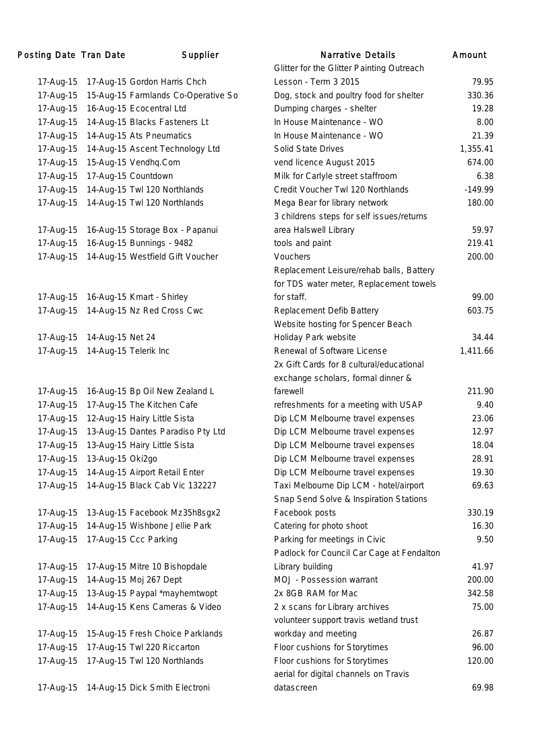## Posting Date Tran Date Supplier

| 17-Aug-15 | 17-Aug-15 Gordon Harris Chch        |
|-----------|-------------------------------------|
| 17-Aug-15 | 15-Aug-15 Farmlands Co-Operative So |
| 17-Aug-15 | 16-Aug-15 Ecocentral Ltd            |
| 17-Aug-15 | 14-Aug-15 Blacks Fasteners Lt       |
| 17-Aug-15 | 14-Aug-15 Ats Pneumatics            |
| 17-Aug-15 | 14-Aug-15 Ascent Technology Ltd     |
| 17-Aug-15 | 15-Aug-15 Vendhq.Com                |
| 17-Aug-15 | 17-Aug-15 Countdown                 |
| 17-Aug-15 | 14-Aug-15 Twl 120 Northlands        |
| 17-Aug-15 | 14-Aug-15 Twl 120 Northlands        |
|           |                                     |
| 17-Aug-15 | 16-Aug-15 Storage Box - Papanui     |
| 17-Aug-15 | 16-Aug-15 Bunnings - 9482           |
| 17-Aug-15 | 14-Aug-15 Westfield Gift Voucher    |
|           |                                     |
|           |                                     |
| 17-Aug-15 | 16-Aug-15 Kmart - Shirley           |
| 17-Aug-15 | 14-Aug-15 Nz Red Cross Cwc          |
|           |                                     |
| 17-Aug-15 | 14-Aug-15 Net 24                    |
| 17-Aug-15 | 14-Aug-15 Telerik Inc               |
|           |                                     |
|           |                                     |
| 17-Aug-15 | 16-Aug-15 Bp Oil New Zealand L      |
| 17-Aug-15 | 17-Aug-15 The Kitchen Cafe          |
| 17-Aug-15 | 12-Aug-15 Hairy Little Sista        |
| 17-Aug-15 | 13-Aug-15 Dantes Paradiso Pty Ltd   |
| 17-Aug-15 | 13-Aug-15 Hairy Little Sista        |
| 17-Aug-15 | 13-Aug-15 Oki2go                    |
| 17-Aug-15 |                                     |
|           | 14-Aug-15 Airport Retail Enter      |
| 17-Aug-15 | 14-Aug-15 Black Cab Vic 132227      |
|           |                                     |
| 17-Aug-15 | 13-Aug-15 Facebook Mz35h8sgx2       |
| 17-Aug-15 | 14-Aug-15 Wishbone Jellie Park      |
| 17-Aug-15 | 17-Aug-15 Ccc Parking               |
|           |                                     |
| 17-Aug-15 | 17-Aug-15 Mitre 10 Bishopdale       |
| 17-Aug-15 | 14-Aug-15 Moj 267 Dept              |
| 17-Aug-15 | 13-Aug-15 Paypal *mayhemtwopt       |
| 17-Aug-15 | 14-Aug-15 Kens Cameras & Video      |
|           |                                     |
| 17-Aug-15 | 15-Aug-15 Fresh Choice Parklands    |
| 17-Aug-15 | 17-Aug-15 Twl 220 Riccarton         |
| 17-Aug-15 | 17-Aug-15 Twl 120 Northlands        |
|           |                                     |

|           | ing Date Tran Date | Supplier                            | <b>Narrative Details</b>                  | Amount    |
|-----------|--------------------|-------------------------------------|-------------------------------------------|-----------|
|           |                    |                                     | Glitter for the Glitter Painting Outreach |           |
| 17-Aug-15 |                    | 17-Aug-15 Gordon Harris Chch        | Lesson - Term 3 2015                      | 79.95     |
| 17-Aug-15 |                    | 15-Aug-15 Farmlands Co-Operative So | Dog, stock and poultry food for shelter   | 330.36    |
| 17-Aug-15 |                    | 16-Aug-15 Ecocentral Ltd            | Dumping charges - shelter                 | 19.28     |
| 17-Aug-15 |                    | 14-Aug-15 Blacks Fasteners Lt       | In House Maintenance - WO                 | 8.00      |
| 17-Aug-15 |                    | 14-Aug-15 Ats Pneumatics            | In House Maintenance - WO                 | 21.39     |
| 17-Aug-15 |                    | 14-Aug-15 Ascent Technology Ltd     | Solid State Drives                        | 1,355.41  |
| 17-Aug-15 |                    | 15-Aug-15 Vendhq.Com                | vend licence August 2015                  | 674.00    |
| 17-Aug-15 |                    | 17-Aug-15 Countdown                 | Milk for Carlyle street staffroom         | 6.38      |
| 17-Aug-15 |                    | 14-Aug-15 Twl 120 Northlands        | Credit Voucher Twl 120 Northlands         | $-149.99$ |
| 17-Aug-15 |                    | 14-Aug-15 Twl 120 Northlands        | Mega Bear for library network             | 180.00    |
|           |                    |                                     | 3 childrens steps for self issues/returns |           |
| 17-Aug-15 |                    | 16-Aug-15 Storage Box - Papanui     | area Halswell Library                     | 59.97     |
| 17-Aug-15 |                    | 16-Aug-15 Bunnings - 9482           | tools and paint                           | 219.41    |
| 17-Aug-15 |                    | 14-Aug-15 Westfield Gift Voucher    | Vouchers                                  | 200.00    |
|           |                    |                                     | Replacement Leisure/rehab balls, Battery  |           |
|           |                    |                                     | for TDS water meter, Replacement towels   |           |
| 17-Aug-15 |                    | 16-Aug-15 Kmart - Shirley           | for staff.                                | 99.00     |
| 17-Aug-15 |                    | 14-Aug-15 Nz Red Cross Cwc          | Replacement Defib Battery                 | 603.75    |
|           |                    |                                     | Website hosting for Spencer Beach         |           |
| 17-Aug-15 | 14-Aug-15 Net 24   |                                     | Holiday Park website                      | 34.44     |
| 17-Aug-15 |                    | 14-Aug-15 Telerik Inc               | Renewal of Software License               | 1,411.66  |
|           |                    |                                     | 2x Gift Cards for 8 cultural/educational  |           |
|           |                    |                                     | exchange scholars, formal dinner &        |           |
| 17-Aug-15 |                    | 16-Aug-15 Bp Oil New Zealand L      | farewell                                  | 211.90    |
| 17-Aug-15 |                    | 17-Aug-15 The Kitchen Cafe          | refreshments for a meeting with USAP      | 9.40      |
| 17-Aug-15 |                    | 12-Aug-15 Hairy Little Sista        | Dip LCM Melbourne travel expenses         | 23.06     |
| 17-Aug-15 |                    | 13-Aug-15 Dantes Paradiso Pty Ltd   | Dip LCM Melbourne travel expenses         | 12.97     |
| 17-Aug-15 |                    | 13-Aug-15 Hairy Little Sista        | Dip LCM Melbourne travel expenses         | 18.04     |
| 17-Aug-15 | 13-Aug-15 Oki2go   |                                     | Dip LCM Melbourne travel expenses         | 28.91     |
| 17-Aug-15 |                    | 14-Aug-15 Airport Retail Enter      | Dip LCM Melbourne travel expenses         | 19.30     |
| 17-Aug-15 |                    | 14-Aug-15 Black Cab Vic 132227      | Taxi Melbourne Dip LCM - hotel/airport    | 69.63     |
|           |                    |                                     | Snap Send Solve & Inspiration Stations    |           |
| 17-Aug-15 |                    | 13-Aug-15 Facebook Mz35h8sgx2       | Facebook posts                            | 330.19    |
| 17-Aug-15 |                    | 14-Aug-15 Wishbone Jellie Park      | Catering for photo shoot                  | 16.30     |
| 17-Aug-15 |                    | 17-Aug-15 Ccc Parking               | Parking for meetings in Civic             | 9.50      |
|           |                    |                                     | Padlock for Council Car Cage at Fendalton |           |
| 17-Aug-15 |                    | 17-Aug-15 Mitre 10 Bishopdale       | Library building                          | 41.97     |
| 17-Aug-15 |                    | 14-Aug-15 Moj 267 Dept              | MOJ - Possession warrant                  | 200.00    |
| 17-Aug-15 |                    | 13-Aug-15 Paypal *mayhemtwopt       | 2x 8GB RAM for Mac                        | 342.58    |
| 17-Aug-15 |                    | 14-Aug-15 Kens Cameras & Video      | 2 x scans for Library archives            | 75.00     |
|           |                    |                                     | volunteer support travis wetland trust    |           |
| 17-Aug-15 |                    | 15-Aug-15 Fresh Choice Parklands    | workday and meeting                       | 26.87     |
| 17-Aug-15 |                    | 17-Aug-15 Twl 220 Riccarton         | Floor cushions for Storytimes             | 96.00     |
| 17-Aug-15 |                    | 17-Aug-15 Twl 120 Northlands        | Floor cushions for Storytimes             | 120.00    |
|           |                    |                                     | aerial for digital channels on Travis     |           |
| 17-Aug-15 |                    | 14-Aug-15 Dick Smith Electroni      | datascreen                                | 69.98     |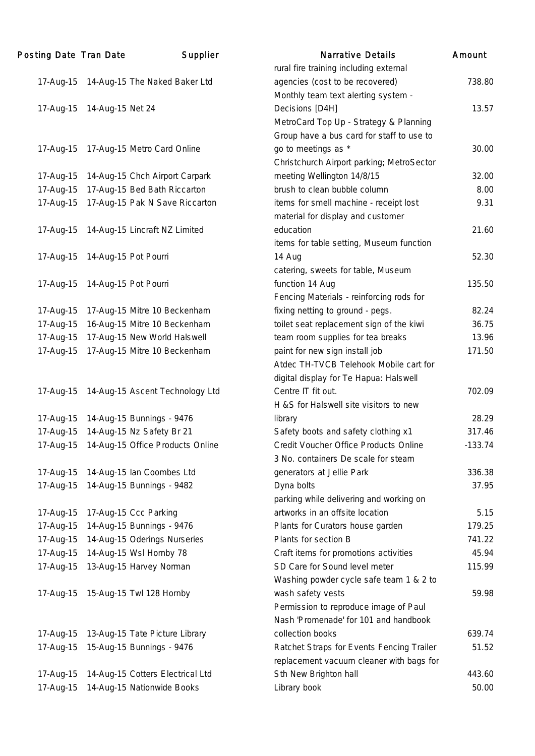| Posting Date Tran Date |                      | Supplier                         | <b>Narrative Details</b>                  | Amount    |
|------------------------|----------------------|----------------------------------|-------------------------------------------|-----------|
|                        |                      |                                  | rural fire training including external    |           |
| 17-Aug-15              |                      | 14-Aug-15 The Naked Baker Ltd    | agencies (cost to be recovered)           | 738.80    |
|                        |                      |                                  | Monthly team text alerting system -       |           |
| 17-Aug-15              | 14-Aug-15 Net 24     |                                  | Decisions [D4H]                           | 13.57     |
|                        |                      |                                  | MetroCard Top Up - Strategy & Planning    |           |
|                        |                      |                                  | Group have a bus card for staff to use to |           |
| 17-Aug-15              |                      | 17-Aug-15 Metro Card Online      | go to meetings as *                       | 30.00     |
|                        |                      |                                  | Christchurch Airport parking; MetroSector |           |
| 17-Aug-15              |                      | 14-Aug-15 Chch Airport Carpark   | meeting Wellington 14/8/15                | 32.00     |
| 17-Aug-15              |                      | 17-Aug-15 Bed Bath Riccarton     | brush to clean bubble column              | 8.00      |
| 17-Aug-15              |                      | 17-Aug-15 Pak N Save Riccarton   | items for smell machine - receipt lost    | 9.31      |
|                        |                      |                                  | material for display and customer         |           |
| 17-Aug-15              |                      | 14-Aug-15 Lincraft NZ Limited    | education                                 | 21.60     |
|                        |                      |                                  | items for table setting, Museum function  |           |
| 17-Aug-15              | 14-Aug-15 Pot Pourri |                                  | 14 Aug                                    | 52.30     |
|                        |                      |                                  | catering, sweets for table, Museum        |           |
| 17-Aug-15              | 14-Aug-15 Pot Pourri |                                  | function 14 Aug                           | 135.50    |
|                        |                      |                                  | Fencing Materials - reinforcing rods for  |           |
| 17-Aug-15              |                      | 17-Aug-15 Mitre 10 Beckenham     | fixing netting to ground - pegs.          | 82.24     |
| 17-Aug-15              |                      | 16-Aug-15 Mitre 10 Beckenham     | toilet seat replacement sign of the kiwi  | 36.75     |
| 17-Aug-15              |                      | 17-Aug-15 New World Halswell     | team room supplies for tea breaks         | 13.96     |
| 17-Aug-15              |                      | 17-Aug-15 Mitre 10 Beckenham     | paint for new sign install job            | 171.50    |
|                        |                      |                                  | Atdec TH-TVCB Telehook Mobile cart for    |           |
|                        |                      |                                  | digital display for Te Hapua: Halswell    |           |
| 17-Aug-15              |                      | 14-Aug-15 Ascent Technology Ltd  | Centre IT fit out.                        | 702.09    |
|                        |                      |                                  | H &S for Halswell site visitors to new    |           |
| 17-Aug-15              |                      | 14-Aug-15 Bunnings - 9476        | library                                   | 28.29     |
| 17-Aug-15              |                      | 14-Aug-15 Nz Safety Br 21        | Safety boots and safety clothing x1       | 317.46    |
| 17-Aug-15              |                      | 14-Aug-15 Office Products Online | Credit Voucher Office Products Online     | $-133.74$ |
|                        |                      |                                  | 3 No. containers De scale for steam       |           |
| 17-Aug-15              |                      | 14-Aug-15 Ian Coombes Ltd        | generators at Jellie Park                 | 336.38    |
| 17-Aug-15              |                      | 14-Aug-15 Bunnings - 9482        | Dyna bolts                                | 37.95     |
|                        |                      |                                  | parking while delivering and working on   |           |
| 17-Aug-15              |                      | 17-Aug-15 Ccc Parking            | artworks in an offsite location           | 5.15      |
| 17-Aug-15              |                      | 14-Aug-15 Bunnings - 9476        | Plants for Curators house garden          | 179.25    |
| 17-Aug-15              |                      | 14-Aug-15 Oderings Nurseries     | Plants for section B                      | 741.22    |
| 17-Aug-15              |                      | 14-Aug-15 Wsl Hornby 78          | Craft items for promotions activities     | 45.94     |
| 17-Aug-15              |                      | 13-Aug-15 Harvey Norman          | SD Care for Sound level meter             | 115.99    |
|                        |                      |                                  | Washing powder cycle safe team 1 & 2 to   |           |
| 17-Aug-15              |                      | 15-Aug-15 Twl 128 Hornby         | wash safety vests                         | 59.98     |
|                        |                      |                                  | Permission to reproduce image of Paul     |           |
|                        |                      |                                  | Nash 'Promenade' for 101 and handbook     |           |
| 17-Aug-15              |                      | 13-Aug-15 Tate Picture Library   | collection books                          | 639.74    |
| 17-Aug-15              |                      | 15-Aug-15 Bunnings - 9476        | Ratchet Straps for Events Fencing Trailer | 51.52     |
|                        |                      |                                  | replacement vacuum cleaner with bags for  |           |
| 17-Aug-15              |                      | 14-Aug-15 Cotters Electrical Ltd | Sth New Brighton hall                     | 443.60    |
| 17-Aug-15              |                      | 14-Aug-15 Nationwide Books       | Library book                              | 50.00     |
|                        |                      |                                  |                                           |           |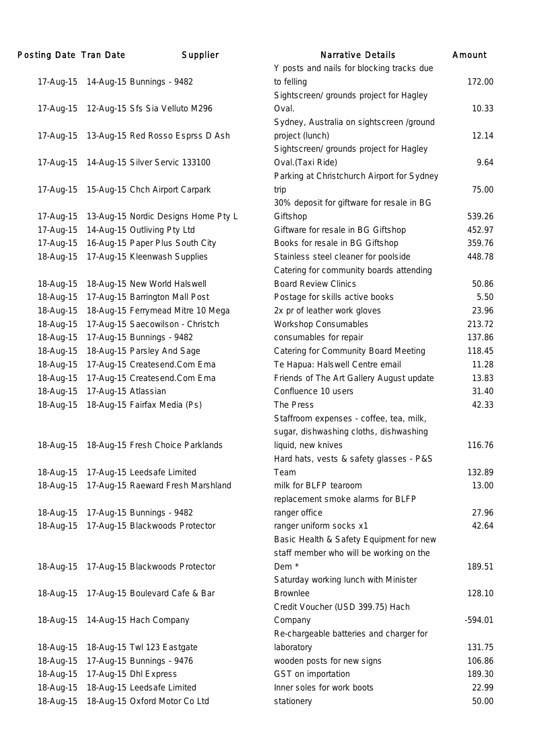| Posting Date Tran Date |                     | Supplier                            | <b>Narrative Details</b>                   | Amount    |
|------------------------|---------------------|-------------------------------------|--------------------------------------------|-----------|
|                        |                     |                                     | Y posts and nails for blocking tracks due  |           |
| 17-Aug-15              |                     | 14-Aug-15 Bunnings - 9482           | to felling                                 | 172.00    |
|                        |                     |                                     | Sightscreen/ grounds project for Hagley    |           |
| 17-Aug-15              |                     | 12-Aug-15 Sfs Sia Velluto M296      | Oval.                                      | 10.33     |
|                        |                     |                                     | Sydney, Australia on sightscreen /ground   |           |
| 17-Aug-15              |                     | 13-Aug-15 Red Rosso Esprss D Ash    | project (lunch)                            | 12.14     |
|                        |                     |                                     | Sightscreen/ grounds project for Hagley    |           |
| 17-Aug-15              |                     | 14-Aug-15 Silver Servic 133100      | Oval. (Taxi Ride)                          | 9.64      |
|                        |                     |                                     | Parking at Christchurch Airport for Sydney |           |
| 17-Aug-15              |                     | 15-Aug-15 Chch Airport Carpark      | trip                                       | 75.00     |
|                        |                     |                                     | 30% deposit for giftware for resale in BG  |           |
| 17-Aug-15              |                     | 13-Aug-15 Nordic Designs Home Pty L | Giftshop                                   | 539.26    |
| 17-Aug-15              |                     | 14-Aug-15 Outliving Pty Ltd         | Giftware for resale in BG Giftshop         | 452.97    |
| 17-Aug-15              |                     | 16-Aug-15 Paper Plus South City     | Books for resale in BG Giftshop            | 359.76    |
| 18-Aug-15              |                     | 17-Aug-15 Kleenwash Supplies        | Stainless steel cleaner for poolside       | 448.78    |
|                        |                     |                                     | Catering for community boards attending    |           |
| 18-Aug-15              |                     | 18-Aug-15 New World Halswell        | <b>Board Review Clinics</b>                | 50.86     |
| 18-Aug-15              |                     | 17-Aug-15 Barrington Mall Post      | Postage for skills active books            | 5.50      |
| 18-Aug-15              |                     | 18-Aug-15 Ferrymead Mitre 10 Mega   | 2x pr of leather work gloves               | 23.96     |
| 18-Aug-15              |                     | 17-Aug-15 Saecowilson - Christch    | <b>Workshop Consumables</b>                | 213.72    |
| 18-Aug-15              |                     | 17-Aug-15 Bunnings - 9482           | consumables for repair                     | 137.86    |
| 18-Aug-15              |                     | 18-Aug-15 Parsley And Sage          | Catering for Community Board Meeting       | 118.45    |
| 18-Aug-15              |                     | 17-Aug-15 Createsend.Com Ema        | Te Hapua: Halswell Centre email            | 11.28     |
| 18-Aug-15              |                     | 17-Aug-15 Createsend.Com Ema        | Friends of The Art Gallery August update   | 13.83     |
| 18-Aug-15              | 17-Aug-15 Atlassian |                                     | Confluence 10 users                        | 31.40     |
| 18-Aug-15              |                     | 18-Aug-15 Fairfax Media (Ps)        | The Press                                  | 42.33     |
|                        |                     |                                     | Staffroom expenses - coffee, tea, milk,    |           |
|                        |                     |                                     | sugar, dishwashing cloths, dishwashing     |           |
| 18-Aug-15              |                     | 18-Aug-15 Fresh Choice Parklands    | liquid, new knives                         | 116.76    |
|                        |                     |                                     | Hard hats, vests & safety glasses - P&S    |           |
| 18-Aug-15              |                     | 17-Aug-15 Leedsafe Limited          | Team                                       | 132.89    |
| 18-Aug-15              |                     | 17-Aug-15 Raeward Fresh Marshland   | milk for BLFP tearoom                      | 13.00     |
|                        |                     |                                     | replacement smoke alarms for BLFP          |           |
| 18-Aug-15              |                     | 17-Aug-15 Bunnings - 9482           | ranger office                              | 27.96     |
| 18-Aug-15              |                     | 17-Aug-15 Blackwoods Protector      | ranger uniform socks x1                    | 42.64     |
|                        |                     |                                     | Basic Health & Safety Equipment for new    |           |
|                        |                     |                                     | staff member who will be working on the    |           |
| 18-Aug-15              |                     | 17-Aug-15 Blackwoods Protector      | Dem <sup>*</sup>                           | 189.51    |
|                        |                     |                                     | Saturday working lunch with Minister       |           |
| 18-Aug-15              |                     | 17-Aug-15 Boulevard Cafe & Bar      | <b>Brownlee</b>                            | 128.10    |
|                        |                     |                                     | Credit Voucher (USD 399.75) Hach           |           |
| 18-Aug-15              |                     | 14-Aug-15 Hach Company              | Company                                    | $-594.01$ |
|                        |                     |                                     | Re-chargeable batteries and charger for    |           |
| 18-Aug-15              |                     | 18-Aug-15 Twl 123 Eastgate          | laboratory                                 | 131.75    |
| 18-Aug-15              |                     | 17-Aug-15 Bunnings - 9476           | wooden posts for new signs                 | 106.86    |
| 18-Aug-15              |                     | 17-Aug-15 Dhl Express               | GST on importation                         | 189.30    |
| 18-Aug-15              |                     | 18-Aug-15 Leedsafe Limited          | Inner soles for work boots                 | 22.99     |
| 18-Aug-15              |                     | 18-Aug-15 Oxford Motor Co Ltd       | stationery                                 | 50.00     |
|                        |                     |                                     |                                            |           |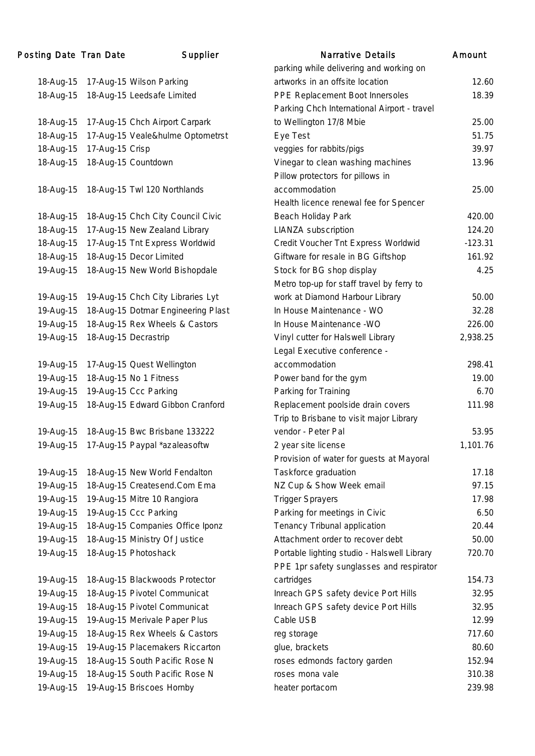#### Posting Date Tran Date Supplier Narrative Details Amount 18-Aug-15 17-Aug-15 Wilson Parking parking while delivering and working on artworks in an offsite location 12.60 18-Aug-15 18-Aug-15 Leedsafe Limited PPE Replacement Boot Innersoles 18.39 18-Aug-15 17-Aug-15 Chch Airport Carpark Parking Chch International Airport - travel to Wellington 17/8 Mbie 25.00 18-Aug-15 17-Aug-15 Veale&hulme Optometrst Eye Test 51.75 18-Aug-15 17-Aug-15 Crisp veggies for rabbits/pigs 39.97 18-Aug-15 18-Aug-15 Countdown Vinegar to clean washing machines 13.96 18-Aug-15 18-Aug-15 Twl 120 Northlands Pillow protectors for pillows in accommodation 25.00 18-Aug-15 18-Aug-15 Chch City Council Civic Health licence renewal fee for Spencer Beach Holiday Park 420.00 18-Aug-15 17-Aug-15 New Zealand Library LIANZA subscription 124.20 18-Aug-15 17-Aug-15 Tnt Express Worldwid Credit Voucher Tnt Express Worldwid -123.31 18-Aug-15 18-Aug-15 Decor Limited Giftware for resale in BG Giftshop 161.92 19-Aug-15 18-Aug-15 New World Bishopdale Stock for BG shop display 4.25 19-Aug-15 19-Aug-15 Chch City Libraries Lyt Metro top-up for staff travel by ferry to work at Diamond Harbour Library 60.00 19-Aug-15 18-Aug-15 Dotmar Engineering Plast In House Maintenance - WO 32.28 19-Aug-15 18-Aug-15 Rex Wheels & Castors In House Maintenance -WO 226.00 19-Aug-15 18-Aug-15 Decrastrip Vinyl cutter for Halswell Library 2,938.25 19-Aug-15 17-Aug-15 Quest Wellington Legal Executive conference accommodation 298.41 19-Aug-15 18-Aug-15 No 1 Fitness Power band for the gym 19.00 19-Aug-15 19-Aug-15 Ccc Parking Parking for Training 6.70 19-Aug-15 18-Aug-15 Edward Gibbon Cranford Replacement poolside drain covers 111.98 19-Aug-15 18-Aug-15 Bwc Brisbane 133222 Trip to Brisbane to visit major Library vendor - Peter Pal 53.95 19-Aug-15 17-Aug-15 Paypal \*azaleasoftw 2 year site license 1,101.76 19-Aug-15 18-Aug-15 New World Fendalton Provision of water for guests at Mayoral Taskforce graduation 17.18 19-Aug-15 18-Aug-15 Createsend.Com Ema NZ Cup & Show Week email 97.15 19-Aug-15 19-Aug-15 Mitre 10 Rangiora Trigger Sprayers 17.98 19-Aug-15 19-Aug-15 Ccc Parking Parking for meetings in Civic 6.50 19-Aug-15 18-Aug-15 Companies Office Iponz Tenancy Tribunal application 20.44 19-Aug-15 18-Aug-15 Ministry Of Justice Attachment order to recover debt 50.00 19-Aug-15 18-Aug-15 Photoshack Portable lighting studio - Halswell Library 720.70 19-Aug-15 18-Aug-15 Blackwoods Protector PPE 1pr safety sunglasses and respirator cartridges 154.73 19-Aug-15 18-Aug-15 Pivotel Communicat Inreach GPS safety device Port Hills 32.95 19-Aug-15 18-Aug-15 Pivotel Communicat Inreach GPS safety device Port Hills 32.95 19-Aug-15 19-Aug-15 Merivale Paper Plus Cable USB 12.99 19-Aug-15 18-Aug-15 Rex Wheels & Castors reg storage 717.60 19-Aug-15 19-Aug-15 Placemakers Riccarton glue, brackets 80.60 19-Aug-15 18-Aug-15 South Pacific Rose N roses edmonds factory garden 152.94 19-Aug-15 18-Aug-15 South Pacific Rose N roses mona vale 310.38 19-Aug-15 19-Aug-15 Briscoes Hornby heater portacom 239.98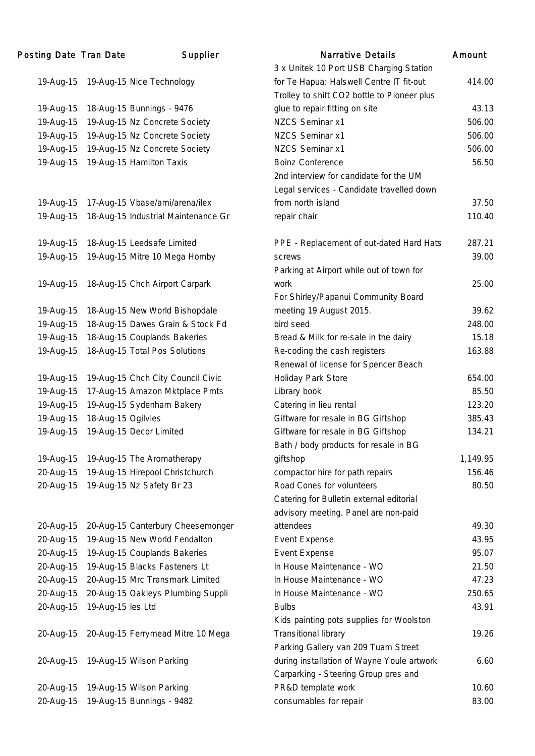| Posting Date Tran Date |                    | Supplier                            | <b>Narrative Details</b>                    | Amount   |
|------------------------|--------------------|-------------------------------------|---------------------------------------------|----------|
|                        |                    |                                     | 3 x Unitek 10 Port USB Charging Station     |          |
| 19-Aug-15              |                    | 19-Aug-15 Nice Technology           | for Te Hapua: Halswell Centre IT fit-out    | 414.00   |
|                        |                    |                                     | Trolley to shift CO2 bottle to Pioneer plus |          |
| 19-Aug-15              |                    | 18-Aug-15 Bunnings - 9476           | glue to repair fitting on site              | 43.13    |
| 19-Aug-15              |                    | 19-Aug-15 Nz Concrete Society       | <b>NZCS Seminar x1</b>                      | 506.00   |
| 19-Aug-15              |                    | 19-Aug-15 Nz Concrete Society       | NZCS Seminar x1                             | 506.00   |
| 19-Aug-15              |                    | 19-Aug-15 Nz Concrete Society       | <b>NZCS Seminar x1</b>                      | 506.00   |
| 19-Aug-15              |                    | 19-Aug-15 Hamilton Taxis            | <b>Boinz Conference</b>                     | 56.50    |
|                        |                    |                                     | 2nd interview for candidate for the UM      |          |
|                        |                    |                                     | Legal services - Candidate travelled down   |          |
| 19-Aug-15              |                    | 17-Aug-15 Vbase/ami/arena/ilex      | from north island                           | 37.50    |
| 19-Aug-15              |                    | 18-Aug-15 Industrial Maintenance Gr | repair chair                                | 110.40   |
| 19-Aug-15              |                    | 18-Aug-15 Leedsafe Limited          | PPE - Replacement of out-dated Hard Hats    | 287.21   |
| 19-Aug-15              |                    | 19-Aug-15 Mitre 10 Mega Hornby      | screws                                      | 39.00    |
|                        |                    |                                     | Parking at Airport while out of town for    |          |
| 19-Aug-15              |                    | 18-Aug-15 Chch Airport Carpark      | work                                        | 25.00    |
|                        |                    |                                     | For Shirley/Papanui Community Board         |          |
| 19-Aug-15              |                    | 18-Aug-15 New World Bishopdale      | meeting 19 August 2015.                     | 39.62    |
| 19-Aug-15              |                    | 18-Aug-15 Dawes Grain & Stock Fd    | bird seed                                   | 248.00   |
| 19-Aug-15              |                    | 18-Aug-15 Couplands Bakeries        | Bread & Milk for re-sale in the dairy       | 15.18    |
| 19-Aug-15              |                    | 18-Aug-15 Total Pos Solutions       | Re-coding the cash registers                | 163.88   |
|                        |                    |                                     | Renewal of license for Spencer Beach        |          |
| 19-Aug-15              |                    | 19-Aug-15 Chch City Council Civic   | Holiday Park Store                          | 654.00   |
| 19-Aug-15              |                    | 17-Aug-15 Amazon Mktplace Pmts      | Library book                                | 85.50    |
| 19-Aug-15              |                    | 19-Aug-15 Sydenham Bakery           | Catering in lieu rental                     | 123.20   |
| 19-Aug-15              | 18-Aug-15 Ogilvies |                                     | Giftware for resale in BG Giftshop          | 385.43   |
| 19-Aug-15              |                    | 19-Aug-15 Decor Limited             | Giftware for resale in BG Giftshop          | 134.21   |
|                        |                    |                                     | Bath / body products for resale in BG       |          |
| 19-Aug-15              |                    | 19-Aug-15 The Aromatherapy          | giftshop                                    | 1,149.95 |
| 20-Aug-15              |                    | 19-Aug-15 Hirepool Christchurch     | compactor hire for path repairs             | 156.46   |
| 20-Aug-15              |                    | 19-Aug-15 Nz Safety Br 23           | Road Cones for volunteers                   | 80.50    |
|                        |                    |                                     | Catering for Bulletin external editorial    |          |
|                        |                    |                                     | advisory meeting. Panel are non-paid        |          |
| 20-Aug-15              |                    | 20-Aug-15 Canterbury Cheesemonger   | attendees                                   | 49.30    |
| 20-Aug-15              |                    | 19-Aug-15 New World Fendalton       | <b>Event Expense</b>                        | 43.95    |
| 20-Aug-15              |                    | 19-Aug-15 Couplands Bakeries        | <b>Event Expense</b>                        | 95.07    |
| 20-Aug-15              |                    | 19-Aug-15 Blacks Fasteners Lt       | In House Maintenance - WO                   | 21.50    |
| 20-Aug-15              |                    | 20-Aug-15 Mrc Transmark Limited     | In House Maintenance - WO                   | 47.23    |
| 20-Aug-15              |                    | 20-Aug-15 Oakleys Plumbing Suppli   | In House Maintenance - WO                   | 250.65   |
| 20-Aug-15              | 19-Aug-15 les Ltd  |                                     | <b>Bulbs</b>                                | 43.91    |
|                        |                    |                                     | Kids painting pots supplies for Woolston    |          |
| 20-Aug-15              |                    | 20-Aug-15 Ferrymead Mitre 10 Mega   | <b>Transitional library</b>                 | 19.26    |
|                        |                    |                                     | Parking Gallery van 209 Tuam Street         |          |
| 20-Aug-15              |                    | 19-Aug-15 Wilson Parking            | during installation of Wayne Youle artwork  | 6.60     |
|                        |                    |                                     | Carparking - Steering Group pres and        |          |
| 20-Aug-15              |                    | 19-Aug-15 Wilson Parking            | PR&D template work                          | 10.60    |
| 20-Aug-15              |                    | 19-Aug-15 Bunnings - 9482           | consumables for repair                      | 83.00    |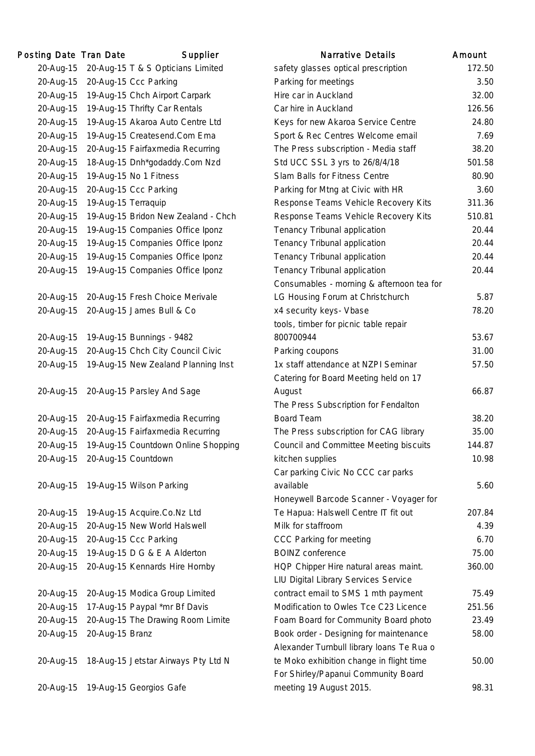| Posting Date Tran Date |                     | Supplier                            | <b>Narrative Details</b>                  | Amount |
|------------------------|---------------------|-------------------------------------|-------------------------------------------|--------|
| 20-Aug-15              |                     | 20-Aug-15 T & S Opticians Limited   | safety glasses optical prescription       | 172.   |
| 20-Aug-15              |                     | 20-Aug-15 Ccc Parking               | Parking for meetings                      | 3.5    |
| 20-Aug-15              |                     | 19-Aug-15 Chch Airport Carpark      | Hire car in Auckland                      | 32.1   |
| 20-Aug-15              |                     | 19-Aug-15 Thrifty Car Rentals       | Car hire in Auckland                      | 126.   |
| 20-Aug-15              |                     | 19-Aug-15 Akaroa Auto Centre Ltd    | Keys for new Akaroa Service Centre        | 24.    |
| 20-Aug-15              |                     | 19-Aug-15 Createsend.Com Ema        | Sport & Rec Centres Welcome email         | 7.     |
| 20-Aug-15              |                     | 20-Aug-15 Fairfaxmedia Recurring    | The Press subscription - Media staff      | 38.    |
| 20-Aug-15              |                     | 18-Aug-15 Dnh*godaddy.Com Nzd       | Std UCC SSL 3 yrs to 26/8/4/18            | 501.   |
| 20-Aug-15              |                     | 19-Aug-15 No 1 Fitness              | Slam Balls for Fitness Centre             | 80.9   |
| 20-Aug-15              |                     | 20-Aug-15 Ccc Parking               | Parking for Mtng at Civic with HR         | 3.     |
| 20-Aug-15              | 19-Aug-15 Terraquip |                                     | Response Teams Vehicle Recovery Kits      | 311.3  |
| 20-Aug-15              |                     | 19-Aug-15 Bridon New Zealand - Chch | Response Teams Vehicle Recovery Kits      | 510.   |
| 20-Aug-15              |                     | 19-Aug-15 Companies Office Iponz    | Tenancy Tribunal application              | 20.4   |
| 20-Aug-15              |                     | 19-Aug-15 Companies Office Iponz    | Tenancy Tribunal application              | 20.4   |
| 20-Aug-15              |                     | 19-Aug-15 Companies Office Iponz    | Tenancy Tribunal application              | 20.4   |
| 20-Aug-15              |                     | 19-Aug-15 Companies Office Iponz    | Tenancy Tribunal application              | 20.4   |
|                        |                     |                                     | Consumables - morning & afternoon tea for |        |
| 20-Aug-15              |                     | 20-Aug-15 Fresh Choice Merivale     | LG Housing Forum at Christchurch          | 5.5    |
| 20-Aug-15              |                     | 20-Aug-15 James Bull & Co           | x4 security keys- Vbase                   | 78.    |
|                        |                     |                                     | tools, timber for picnic table repair     |        |
| 20-Aug-15              |                     | 19-Aug-15 Bunnings - 9482           | 800700944                                 | 53.    |
| 20-Aug-15              |                     | 20-Aug-15 Chch City Council Civic   | Parking coupons                           | 31.1   |
| 20-Aug-15              |                     | 19-Aug-15 New Zealand Planning Inst | 1x staff attendance at NZPI Seminar       | 57.    |
|                        |                     |                                     | Catering for Board Meeting held on 17     |        |
| 20-Aug-15              |                     | 20-Aug-15 Parsley And Sage          | August                                    | 66.    |
|                        |                     |                                     | The Press Subscription for Fendalton      |        |
| 20-Aug-15              |                     | 20-Aug-15 Fairfaxmedia Recurring    | <b>Board Team</b>                         | 38.    |
| 20-Aug-15              |                     | 20-Aug-15 Fairfaxmedia Recurring    | The Press subscription for CAG library    | 35.0   |
| 20-Aug-15              |                     | 19-Aug-15 Countdown Online Shopping | Council and Committee Meeting biscuits    | 144.   |
| 20-Aug-15              |                     | 20-Aug-15 Countdown                 | kitchen supplies                          | 10.1   |
|                        |                     |                                     | Car parking Civic No CCC car parks        |        |
| 20-Aug-15              |                     | 19-Aug-15 Wilson Parking            | available                                 | 5.1    |
|                        |                     |                                     | Honeywell Barcode Scanner - Voyager for   |        |
| 20-Aug-15              |                     | 19-Aug-15 Acquire.Co.Nz Ltd         | Te Hapua: Halswell Centre IT fit out      | 207.   |
| 20-Aug-15              |                     | 20-Aug-15 New World Halswell        | Milk for staffroom                        | 4.     |
| 20-Aug-15              |                     | 20-Aug-15 Ccc Parking               | CCC Parking for meeting                   | 6.     |
| 20-Aug-15              |                     | 19-Aug-15 D G & E A Alderton        | <b>BOINZ</b> conference                   | 75.0   |
| 20-Aug-15              |                     | 20-Aug-15 Kennards Hire Hornby      | HQP Chipper Hire natural areas maint.     | 360.   |
|                        |                     |                                     | LIU Digital Library Services Service      |        |
| 20-Aug-15              |                     | 20-Aug-15 Modica Group Limited      | contract email to SMS 1 mth payment       | 75.    |
| 20-Aug-15              |                     | 17-Aug-15 Paypal *mr Bf Davis       | Modification to Owles Tce C23 Licence     | 251.   |
| 20-Aug-15              |                     | 20-Aug-15 The Drawing Room Limite   | Foam Board for Community Board photo      | 23.4   |
| 20-Aug-15              | 20-Aug-15 Branz     |                                     | Book order - Designing for maintenance    | 58.0   |
|                        |                     |                                     | Alexander Turnbull library loans Te Rua o |        |
| 20-Aug-15              |                     | 18-Aug-15 Jetstar Airways Pty Ltd N | te Moko exhibition change in flight time  | 50.0   |
|                        |                     |                                     | For Shirley/Papanui Community Board       |        |
| 20-Aug-15              |                     | 19-Aug-15 Georgios Gafe             | meeting 19 August 2015.                   | 98.    |
|                        |                     |                                     |                                           |        |

|           | ing Date Tran Date  | Supplier                            | <b>Narrative Details</b>                  | Amount |
|-----------|---------------------|-------------------------------------|-------------------------------------------|--------|
| 20-Aug-15 |                     | 20-Aug-15 T & S Opticians Limited   | safety glasses optical prescription       | 172.50 |
| 20-Aug-15 |                     | 20-Aug-15 Ccc Parking               | Parking for meetings                      | 3.50   |
| 20-Aug-15 |                     | 19-Aug-15 Chch Airport Carpark      | Hire car in Auckland                      | 32.00  |
| 20-Aug-15 |                     | 19-Aug-15 Thrifty Car Rentals       | Car hire in Auckland                      | 126.56 |
| 20-Aug-15 |                     | 19-Aug-15 Akaroa Auto Centre Ltd    | Keys for new Akaroa Service Centre        | 24.80  |
| 20-Aug-15 |                     | 19-Aug-15 Createsend.Com Ema        | Sport & Rec Centres Welcome email         | 7.69   |
| 20-Aug-15 |                     | 20-Aug-15 Fairfaxmedia Recurring    | The Press subscription - Media staff      | 38.20  |
| 20-Aug-15 |                     | 18-Aug-15 Dnh*godaddy.Com Nzd       | Std UCC SSL 3 yrs to 26/8/4/18            | 501.58 |
| 20-Aug-15 |                     | 19-Aug-15 No 1 Fitness              | Slam Balls for Fitness Centre             | 80.90  |
| 20-Aug-15 |                     | 20-Aug-15 Ccc Parking               | Parking for Mtng at Civic with HR         | 3.60   |
| 20-Aug-15 | 19-Aug-15 Terraquip |                                     | Response Teams Vehicle Recovery Kits      | 311.36 |
| 20-Aug-15 |                     | 19-Aug-15 Bridon New Zealand - Chch | Response Teams Vehicle Recovery Kits      | 510.81 |
| 20-Aug-15 |                     | 19-Aug-15 Companies Office Iponz    | Tenancy Tribunal application              | 20.44  |
| 20-Aug-15 |                     | 19-Aug-15 Companies Office Iponz    | Tenancy Tribunal application              | 20.44  |
| 20-Aug-15 |                     | 19-Aug-15 Companies Office Iponz    | Tenancy Tribunal application              | 20.44  |
| 20-Aug-15 |                     | 19-Aug-15 Companies Office Iponz    | Tenancy Tribunal application              | 20.44  |
|           |                     |                                     | Consumables - morning & afternoon tea for |        |
| 20-Aug-15 |                     | 20-Aug-15 Fresh Choice Merivale     | LG Housing Forum at Christchurch          | 5.87   |
| 20-Aug-15 |                     | 20-Aug-15 James Bull & Co           | x4 security keys- Vbase                   | 78.20  |
|           |                     |                                     | tools, timber for picnic table repair     |        |
| 20-Aug-15 |                     | 19-Aug-15 Bunnings - 9482           | 800700944                                 | 53.67  |
| 20-Aug-15 |                     | 20-Aug-15 Chch City Council Civic   | Parking coupons                           | 31.00  |
| 20-Aug-15 |                     | 19-Aug-15 New Zealand Planning Inst | 1x staff attendance at NZPI Seminar       | 57.50  |
|           |                     |                                     | Catering for Board Meeting held on 17     |        |
| 20-Aug-15 |                     | 20-Aug-15 Parsley And Sage          | August                                    | 66.87  |
|           |                     |                                     | The Press Subscription for Fendalton      |        |
| 20-Aug-15 |                     | 20-Aug-15 Fairfaxmedia Recurring    | <b>Board Team</b>                         | 38.20  |
| 20-Aug-15 |                     | 20-Aug-15 Fairfaxmedia Recurring    | The Press subscription for CAG library    | 35.00  |
| 20-Aug-15 |                     | 19-Aug-15 Countdown Online Shopping | Council and Committee Meeting biscuits    | 144.87 |
| 20-Aug-15 |                     | 20-Aug-15 Countdown                 | kitchen supplies                          | 10.98  |
|           |                     |                                     | Car parking Civic No CCC car parks        |        |
| 20-Aug-15 |                     | 19-Aug-15 Wilson Parking            | available                                 | 5.60   |
|           |                     |                                     | Honeywell Barcode Scanner - Voyager for   |        |
| 20-Aug-15 |                     | 19-Aug-15 Acquire.Co.Nz Ltd         | Te Hapua: Halswell Centre IT fit out      | 207.84 |
| 20-Aug-15 |                     | 20-Aug-15 New World Halswell        | Milk for staffroom                        | 4.39   |
| 20-Aug-15 |                     | 20-Aug-15 Ccc Parking               | CCC Parking for meeting                   | 6.70   |
| 20-Aug-15 |                     | 19-Aug-15 D G & E A Alderton        | <b>BOINZ</b> conference                   | 75.00  |
| 20-Aug-15 |                     | 20-Aug-15 Kennards Hire Hornby      | HQP Chipper Hire natural areas maint.     | 360.00 |
|           |                     |                                     | LIU Digital Library Services Service      |        |
| 20-Aug-15 |                     | 20-Aug-15 Modica Group Limited      | contract email to SMS 1 mth payment       | 75.49  |
| 20-Aug-15 |                     | 17-Aug-15 Paypal *mr Bf Davis       | Modification to Owles Tce C23 Licence     | 251.56 |
| 20-Aug-15 |                     | 20-Aug-15 The Drawing Room Limite   | Foam Board for Community Board photo      | 23.49  |
| 20-Aug-15 | 20-Aug-15 Branz     |                                     | Book order - Designing for maintenance    | 58.00  |
|           |                     |                                     | Alexander Turnbull library loans Te Rua o |        |
| 20-Aug-15 |                     | 18-Aug-15 Jetstar Airways Pty Ltd N | te Moko exhibition change in flight time  | 50.00  |
|           |                     |                                     | For Shirley/Papanui Community Board       |        |
| 20-Aug-15 |                     | 19-Aug-15 Georgios Gafe             | meeting 19 August 2015.                   | 98.31  |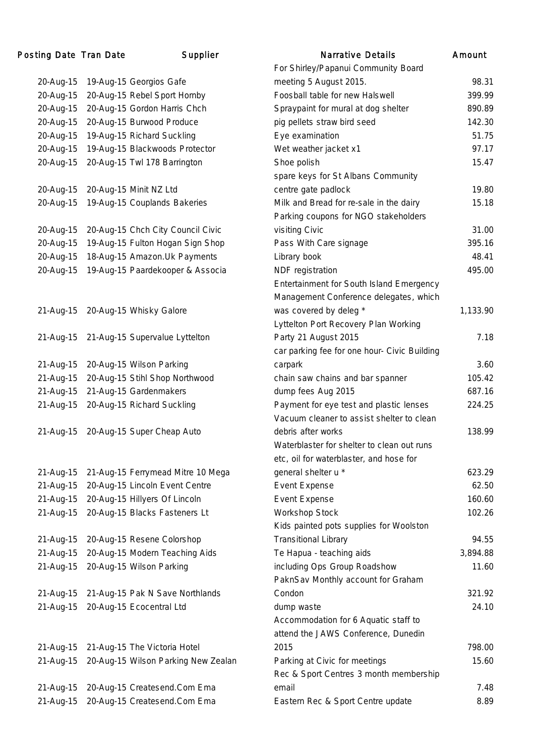| Posting Date Tran Date | Supplier                            | <b>Narrative Details</b>                     | Amount   |
|------------------------|-------------------------------------|----------------------------------------------|----------|
|                        |                                     | For Shirley/Papanui Community Board          |          |
| 20-Aug-15              | 19-Aug-15 Georgios Gafe             | meeting 5 August 2015.                       | 98.31    |
| 20-Aug-15              | 20-Aug-15 Rebel Sport Hornby        | Foosball table for new Halswell              | 399.99   |
| 20-Aug-15              | 20-Aug-15 Gordon Harris Chch        | Spraypaint for mural at dog shelter          | 890.89   |
| 20-Aug-15              | 20-Aug-15 Burwood Produce           | pig pellets straw bird seed                  | 142.30   |
| 20-Aug-15              | 19-Aug-15 Richard Suckling          | Eye examination                              | 51.75    |
| 20-Aug-15              | 19-Aug-15 Blackwoods Protector      | Wet weather jacket x1                        | 97.17    |
| 20-Aug-15              | 20-Aug-15 Twl 178 Barrington        | Shoe polish                                  | 15.47    |
|                        |                                     | spare keys for St Albans Community           |          |
| 20-Aug-15              | 20-Aug-15 Minit NZ Ltd              | centre gate padlock                          | 19.80    |
| 20-Aug-15              | 19-Aug-15 Couplands Bakeries        | Milk and Bread for re-sale in the dairy      | 15.18    |
|                        |                                     | Parking coupons for NGO stakeholders         |          |
| 20-Aug-15              | 20-Aug-15 Chch City Council Civic   | visiting Civic                               | 31.00    |
| 20-Aug-15              | 19-Aug-15 Fulton Hogan Sign Shop    | Pass With Care signage                       | 395.16   |
| 20-Aug-15              | 18-Aug-15 Amazon. Uk Payments       | Library book                                 | 48.41    |
| 20-Aug-15              | 19-Aug-15 Paardekooper & Associa    | NDF registration                             | 495.00   |
|                        |                                     | Entertainment for South Island Emergency     |          |
|                        |                                     | Management Conference delegates, which       |          |
| 21-Aug-15              | 20-Aug-15 Whisky Galore             | was covered by deleg *                       | 1,133.90 |
|                        |                                     | Lyttelton Port Recovery Plan Working         |          |
| 21-Aug-15              | 21-Aug-15 Supervalue Lyttelton      | Party 21 August 2015                         | 7.18     |
|                        |                                     | car parking fee for one hour- Civic Building |          |
| 21-Aug-15              | 20-Aug-15 Wilson Parking            | carpark                                      | 3.60     |
| 21-Aug-15              | 20-Aug-15 Stihl Shop Northwood      | chain saw chains and bar spanner             | 105.42   |
| 21-Aug-15              | 21-Aug-15 Gardenmakers              | dump fees Aug 2015                           | 687.16   |
| 21-Aug-15              | 20-Aug-15 Richard Suckling          | Payment for eye test and plastic lenses      | 224.25   |
|                        |                                     | Vacuum cleaner to assist shelter to clean    |          |
| 21-Aug-15              | 20-Aug-15 Super Cheap Auto          | debris after works                           | 138.99   |
|                        |                                     | Waterblaster for shelter to clean out runs   |          |
|                        |                                     | etc, oil for waterblaster, and hose for      |          |
| 21-Aug-15              | 21-Aug-15 Ferrymead Mitre 10 Mega   | general shelter u *                          | 623.29   |
| 21-Aug-15              | 20-Aug-15 Lincoln Event Centre      | <b>Event Expense</b>                         | 62.50    |
| 21-Aug-15              | 20-Aug-15 Hillyers Of Lincoln       | Event Expense                                | 160.60   |
| 21-Aug-15              | 20-Aug-15 Blacks Fasteners Lt       | Workshop Stock                               | 102.26   |
|                        |                                     | Kids painted pots supplies for Woolston      |          |
| 21-Aug-15              | 20-Aug-15 Resene Colorshop          | <b>Transitional Library</b>                  | 94.55    |
| 21-Aug-15              | 20-Aug-15 Modern Teaching Aids      | Te Hapua - teaching aids                     | 3,894.88 |
| 21-Aug-15              | 20-Aug-15 Wilson Parking            | including Ops Group Roadshow                 | 11.60    |
|                        |                                     | PaknSav Monthly account for Graham           |          |
| 21-Aug-15              | 21-Aug-15 Pak N Save Northlands     | Condon                                       | 321.92   |
| 21-Aug-15              | 20-Aug-15 Ecocentral Ltd            | dump waste                                   | 24.10    |
|                        |                                     | Accommodation for 6 Aquatic staff to         |          |
|                        |                                     | attend the JAWS Conference, Dunedin          |          |
| 21-Aug-15              | 21-Aug-15 The Victoria Hotel        | 2015                                         | 798.00   |
| 21-Aug-15              | 20-Aug-15 Wilson Parking New Zealan | Parking at Civic for meetings                | 15.60    |
|                        |                                     | Rec & Sport Centres 3 month membership       |          |
| 21-Aug-15              | 20-Aug-15 Createsend.Com Ema        | email                                        | 7.48     |
| 21-Aug-15              | 20-Aug-15 Createsend.Com Ema        | Eastern Rec & Sport Centre update            | 8.89     |
|                        |                                     |                                              |          |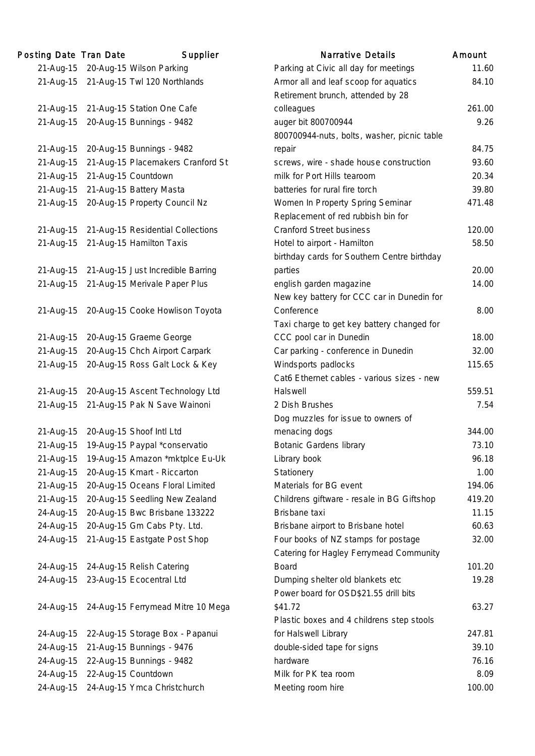| Posting Date Tran Date | Supplier                          | <b>Narrative Details</b>                    | Amount |
|------------------------|-----------------------------------|---------------------------------------------|--------|
| 21-Aug-15              | 20-Aug-15 Wilson Parking          | Parking at Civic all day for meetings       | 11.    |
| 21-Aug-15              | 21-Aug-15 Twl 120 Northlands      | Armor all and leaf scoop for aquatics       | 84.    |
|                        |                                   | Retirement brunch, attended by 28           |        |
| 21-Aug-15              | 21-Aug-15 Station One Cafe        | colleagues                                  | 261.   |
| 21-Aug-15              | 20-Aug-15 Bunnings - 9482         | auger bit 800700944                         | 9.1    |
|                        |                                   | 800700944-nuts, bolts, washer, picnic table |        |
| 21-Aug-15              | 20-Aug-15 Bunnings - 9482         | repair                                      | 84.    |
| 21-Aug-15              | 21-Aug-15 Placemakers Cranford St | screws, wire - shade house construction     | 93.    |
| 21-Aug-15              | 21-Aug-15 Countdown               | milk for Port Hills tearoom                 | 20.1   |
| 21-Aug-15              | 21-Aug-15 Battery Masta           | batteries for rural fire torch              | 39.    |
| 21-Aug-15              | 20-Aug-15 Property Council Nz     | Women In Property Spring Seminar            | 471.   |
|                        |                                   | Replacement of red rubbish bin for          |        |
| 21-Aug-15              | 21-Aug-15 Residential Collections | <b>Cranford Street business</b>             | 120.   |
| 21-Aug-15              | 21-Aug-15 Hamilton Taxis          | Hotel to airport - Hamilton                 | 58.    |
|                        |                                   | birthday cards for Southern Centre birthday |        |
| 21-Aug-15              | 21-Aug-15 Just Incredible Barring | parties                                     | 20.1   |
| 21-Aug-15              | 21-Aug-15 Merivale Paper Plus     | english garden magazine                     | 14.    |
|                        |                                   | New key battery for CCC car in Dunedin for  |        |
| 21-Aug-15              | 20-Aug-15 Cooke Howlison Toyota   | Conference                                  | 8.0    |
|                        |                                   | Taxi charge to get key battery changed for  |        |
| 21-Aug-15              | 20-Aug-15 Graeme George           | CCC pool car in Dunedin                     | 18.0   |
| 21-Aug-15              | 20-Aug-15 Chch Airport Carpark    | Car parking - conference in Dunedin         | 32.1   |
| 21-Aug-15              | 20-Aug-15 Ross Galt Lock & Key    | Windsports padlocks                         | 115.   |
|                        |                                   | Cat6 Ethernet cables - various sizes - new  |        |
| 21-Aug-15              | 20-Aug-15 Ascent Technology Ltd   | Halswell                                    | 559.   |
| 21-Aug-15              | 21-Aug-15 Pak N Save Wainoni      | 2 Dish Brushes                              | 7.1    |
|                        |                                   | Dog muzzles for issue to owners of          |        |
| 21-Aug-15              | 20-Aug-15 Shoof Intl Ltd          | menacing dogs                               | 344.   |
| 21-Aug-15              | 19-Aug-15 Paypal *conservatio     | <b>Botanic Gardens library</b>              | 73.    |
| 21-Aug-15              | 19-Aug-15 Amazon *mktplce Eu-Uk   | Library book                                | 96.    |
| 21-Aug-15              | 20-Aug-15 Kmart - Riccarton       | Stationery                                  | 1.1    |
| 21-Aug-15              | 20-Aug-15 Oceans Floral Limited   | Materials for BG event                      | 194.   |
| 21-Aug-15              | 20-Aug-15 Seedling New Zealand    | Childrens giftware - resale in BG Giftshop  | 419.   |
| 24-Aug-15              | 20-Aug-15 Bwc Brisbane 133222     | Brisbane taxi                               | 11.    |
| 24-Aug-15              | 20-Aug-15 Gm Cabs Pty. Ltd.       | Brisbane airport to Brisbane hotel          | 60.    |
| 24-Aug-15              | 21-Aug-15 Eastgate Post Shop      | Four books of NZ stamps for postage         | 32.0   |
|                        |                                   | Catering for Hagley Ferrymead Community     |        |
| 24-Aug-15              | 24-Aug-15 Relish Catering         | <b>Board</b>                                | 101.   |
| 24-Aug-15              | 23-Aug-15 Ecocentral Ltd          | Dumping shelter old blankets etc            | 19.1   |
|                        |                                   | Power board for OSD\$21.55 drill bits       |        |
| 24-Aug-15              | 24-Aug-15 Ferrymead Mitre 10 Mega | \$41.72                                     | 63.3   |
|                        |                                   | Plastic boxes and 4 childrens step stools   |        |
| 24-Aug-15              | 22-Aug-15 Storage Box - Papanui   | for Halswell Library                        | 247.   |
| 24-Aug-15              | 21-Aug-15 Bunnings - 9476         | double-sided tape for signs                 | 39.    |
| 24-Aug-15              | 22-Aug-15 Bunnings - 9482         | hardware                                    | 76.    |
| 24-Aug-15              | 22-Aug-15 Countdown               | Milk for PK tea room                        | 8.0    |
| 24-Aug-15              | 24-Aug-15 Ymca Christchurch       | Meeting room hire                           | 100.   |

|           | ing Date Tran Date | Supplier                          | <b>Narrative Details</b>                    | Amount |
|-----------|--------------------|-----------------------------------|---------------------------------------------|--------|
| 21-Aug-15 |                    | 20-Aug-15 Wilson Parking          | Parking at Civic all day for meetings       | 11.60  |
| 21-Aug-15 |                    | 21-Aug-15 Twl 120 Northlands      | Armor all and leaf scoop for aquatics       | 84.10  |
|           |                    |                                   | Retirement brunch, attended by 28           |        |
| 21-Aug-15 |                    | 21-Aug-15 Station One Cafe        | colleagues                                  | 261.00 |
| 21-Aug-15 |                    | 20-Aug-15 Bunnings - 9482         | auger bit 800700944                         | 9.26   |
|           |                    |                                   | 800700944-nuts, bolts, washer, picnic table |        |
| 21-Aug-15 |                    | 20-Aug-15 Bunnings - 9482         | repair                                      | 84.75  |
| 21-Aug-15 |                    | 21-Aug-15 Placemakers Cranford St | screws, wire - shade house construction     | 93.60  |
| 21-Aug-15 |                    | 21-Aug-15 Countdown               | milk for Port Hills tearoom                 | 20.34  |
| 21-Aug-15 |                    | 21-Aug-15 Battery Masta           | batteries for rural fire torch              | 39.80  |
| 21-Aug-15 |                    | 20-Aug-15 Property Council Nz     | Women In Property Spring Seminar            | 471.48 |
|           |                    |                                   | Replacement of red rubbish bin for          |        |
| 21-Aug-15 |                    | 21-Aug-15 Residential Collections | <b>Cranford Street business</b>             | 120.00 |
| 21-Aug-15 |                    | 21-Aug-15 Hamilton Taxis          | Hotel to airport - Hamilton                 | 58.50  |
|           |                    |                                   | birthday cards for Southern Centre birthday |        |
| 21-Aug-15 |                    | 21-Aug-15 Just Incredible Barring | parties                                     | 20.00  |
| 21-Aug-15 |                    | 21-Aug-15 Merivale Paper Plus     | english garden magazine                     | 14.00  |
|           |                    |                                   | New key battery for CCC car in Dunedin for  |        |
| 21-Aug-15 |                    | 20-Aug-15 Cooke Howlison Toyota   | Conference                                  | 8.00   |
|           |                    |                                   | Taxi charge to get key battery changed for  |        |
| 21-Aug-15 |                    | 20-Aug-15 Graeme George           | CCC pool car in Dunedin                     | 18.00  |
| 21-Aug-15 |                    | 20-Aug-15 Chch Airport Carpark    | Car parking - conference in Dunedin         | 32.00  |
| 21-Aug-15 |                    | 20-Aug-15 Ross Galt Lock & Key    | Windsports padlocks                         | 115.65 |
|           |                    |                                   | Cat6 Ethernet cables - various sizes - new  |        |
| 21-Aug-15 |                    | 20-Aug-15 Ascent Technology Ltd   | Halswell                                    | 559.51 |
| 21-Aug-15 |                    | 21-Aug-15 Pak N Save Wainoni      | 2 Dish Brushes                              | 7.54   |
|           |                    |                                   | Dog muzzles for issue to owners of          |        |
| 21-Aug-15 |                    | 20-Aug-15 Shoof Intl Ltd          | menacing dogs                               | 344.00 |
| 21-Aug-15 |                    | 19-Aug-15 Paypal *conservatio     | <b>Botanic Gardens library</b>              | 73.10  |
| 21-Aug-15 |                    | 19-Aug-15 Amazon *mktplce Eu-Uk   | Library book                                | 96.18  |
| 21-Aug-15 |                    | 20-Aug-15 Kmart - Riccarton       | Stationery                                  | 1.00   |
| 21-Aug-15 |                    | 20-Aug-15 Oceans Floral Limited   | Materials for BG event                      | 194.06 |
| 21-Aug-15 |                    | 20-Aug-15 Seedling New Zealand    | Childrens giftware - resale in BG Giftshop  | 419.20 |
| 24-Aug-15 |                    | 20-Aug-15 Bwc Brisbane 133222     | Brisbane taxi                               | 11.15  |
| 24-Aug-15 |                    | 20-Aug-15 Gm Cabs Pty. Ltd.       | Brisbane airport to Brisbane hotel          | 60.63  |
| 24-Aug-15 |                    | 21-Aug-15 Eastgate Post Shop      | Four books of NZ stamps for postage         | 32.00  |
|           |                    |                                   | Catering for Hagley Ferrymead Community     |        |
| 24-Aug-15 |                    | 24-Aug-15 Relish Catering         | Board                                       | 101.20 |
| 24-Aug-15 |                    | 23-Aug-15 Ecocentral Ltd          | Dumping shelter old blankets etc            | 19.28  |
|           |                    |                                   | Power board for OSD\$21.55 drill bits       |        |
| 24-Aug-15 |                    | 24-Aug-15 Ferrymead Mitre 10 Mega | \$41.72                                     | 63.27  |
|           |                    |                                   | Plastic boxes and 4 childrens step stools   |        |
| 24-Aug-15 |                    | 22-Aug-15 Storage Box - Papanui   | for Halswell Library                        | 247.81 |
| 24-Aug-15 |                    | 21-Aug-15 Bunnings - 9476         | double-sided tape for signs                 | 39.10  |
| 24-Aug-15 |                    | 22-Aug-15 Bunnings - 9482         | hardware                                    | 76.16  |
| 24-Aug-15 |                    | 22-Aug-15 Countdown               | Milk for PK tea room                        | 8.09   |
| 24-Aug-15 |                    | 24-Aug-15 Ymca Christchurch       | Meeting room hire                           | 100.00 |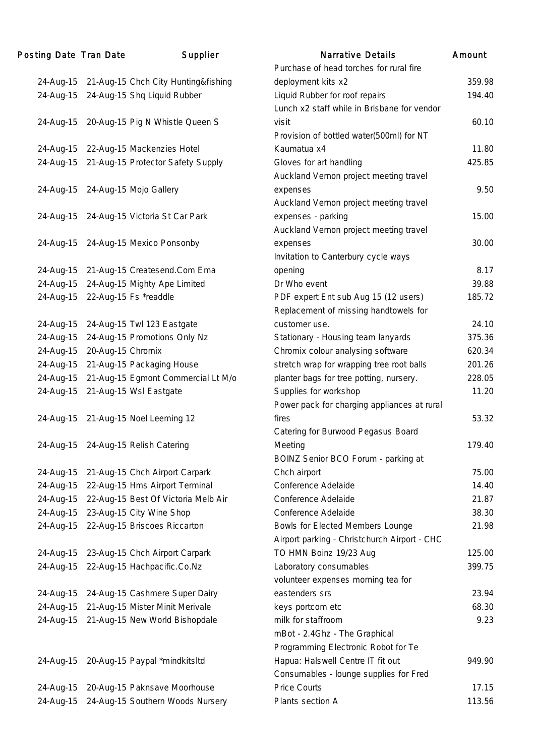| Posting Date Tran Date |                   | Supplier                            | <b>Narrative Details</b>                                                         | Amount |
|------------------------|-------------------|-------------------------------------|----------------------------------------------------------------------------------|--------|
|                        |                   |                                     | Purchase of head torches for rural fire                                          |        |
| 24-Aug-15              |                   | 21-Aug-15 Chch City Hunting&fishing | deployment kits x2                                                               | 359.98 |
| 24-Aug-15              |                   | 24-Aug-15 Shq Liquid Rubber         | Liquid Rubber for roof repairs                                                   | 194.40 |
|                        |                   |                                     | Lunch x2 staff while in Brisbane for vendor                                      |        |
| 24-Aug-15              |                   | 20-Aug-15 Pig N Whistle Queen S     | visit                                                                            | 60.10  |
|                        |                   |                                     | Provision of bottled water(500ml) for NT                                         |        |
| 24-Aug-15              |                   | 22-Aug-15 Mackenzies Hotel          | Kaumatua x4                                                                      | 11.80  |
| 24-Aug-15              |                   | 21-Aug-15 Protector Safety Supply   | Gloves for art handling                                                          | 425.85 |
|                        |                   |                                     | Auckland Vernon project meeting travel                                           |        |
| 24-Aug-15              |                   | 24-Aug-15 Mojo Gallery              | expenses                                                                         | 9.50   |
|                        |                   |                                     | Auckland Vernon project meeting travel                                           |        |
| 24-Aug-15              |                   | 24-Aug-15 Victoria St Car Park      | expenses - parking                                                               | 15.00  |
|                        |                   |                                     | Auckland Vernon project meeting travel                                           |        |
| 24-Aug-15              |                   | 24-Aug-15 Mexico Ponsonby           | expenses                                                                         | 30.00  |
|                        |                   |                                     | Invitation to Canterbury cycle ways                                              |        |
| 24-Aug-15              |                   | 21-Aug-15 Createsend.Com Ema        | opening                                                                          | 8.17   |
| 24-Aug-15              |                   | 24-Aug-15 Mighty Ape Limited        | Dr Who event                                                                     | 39.88  |
| 24-Aug-15              |                   | 22-Aug-15 Fs *readdle               | PDF expert Ent sub Aug 15 (12 users)                                             | 185.72 |
|                        |                   |                                     | Replacement of missing handtowels for                                            |        |
| 24-Aug-15              |                   | 24-Aug-15 Twl 123 Eastgate          | customer use.                                                                    | 24.10  |
| 24-Aug-15              |                   | 24-Aug-15 Promotions Only Nz        | Stationary - Housing team lanyards                                               | 375.36 |
| 24-Aug-15              | 20-Aug-15 Chromix |                                     | Chromix colour analysing software                                                | 620.34 |
| 24-Aug-15              |                   | 21-Aug-15 Packaging House           | stretch wrap for wrapping tree root balls                                        | 201.26 |
| 24-Aug-15              |                   | 21-Aug-15 Egmont Commercial Lt M/o  | planter bags for tree potting, nursery.                                          | 228.05 |
| 24-Aug-15              |                   | 21-Aug-15 Wsl Eastgate              | Supplies for workshop                                                            | 11.20  |
|                        |                   |                                     | Power pack for charging appliances at rural                                      |        |
| 24-Aug-15              |                   | 21-Aug-15 Noel Leeming 12           | fires                                                                            | 53.32  |
|                        |                   |                                     | Catering for Burwood Pegasus Board                                               |        |
| 24-Aug-15              |                   | 24-Aug-15 Relish Catering           | Meeting                                                                          | 179.40 |
|                        |                   |                                     | BOINZ Senior BCO Forum - parking at                                              |        |
|                        |                   | 21-Aug-15 Chch Airport Carpark      | Chch airport                                                                     | 75.00  |
| 24-Aug-15<br>24-Aug-15 |                   | 22-Aug-15 Hms Airport Terminal      | Conference Adelaide                                                              | 14.40  |
| 24-Aug-15              |                   | 22-Aug-15 Best Of Victoria Melb Air | Conference Adelaide                                                              | 21.87  |
|                        |                   | 23-Aug-15 City Wine Shop            | Conference Adelaide                                                              | 38.30  |
| 24-Aug-15<br>24-Aug-15 |                   | 22-Aug-15 Briscoes Riccarton        |                                                                                  | 21.98  |
|                        |                   |                                     | Bowls for Elected Members Lounge<br>Airport parking - Christchurch Airport - CHC |        |
|                        |                   |                                     |                                                                                  |        |
| 24-Aug-15              |                   | 23-Aug-15 Chch Airport Carpark      | TO HMN Boinz 19/23 Aug                                                           | 125.00 |
| 24-Aug-15              |                   | 22-Aug-15 Hachpacific.Co.Nz         | Laboratory consumables                                                           | 399.75 |
|                        |                   |                                     | volunteer expenses morning tea for                                               |        |
| 24-Aug-15              |                   | 24-Aug-15 Cashmere Super Dairy      | eastenders srs                                                                   | 23.94  |
| 24-Aug-15              |                   | 21-Aug-15 Mister Minit Merivale     | keys portcom etc                                                                 | 68.30  |
| 24-Aug-15              |                   | 21-Aug-15 New World Bishopdale      | milk for staffroom                                                               | 9.23   |
|                        |                   |                                     | mBot - 2.4Ghz - The Graphical                                                    |        |
|                        |                   |                                     | Programming Electronic Robot for Te                                              |        |
| 24-Aug-15              |                   | 20-Aug-15 Paypal *mindkitsltd       | Hapua: Halswell Centre IT fit out                                                | 949.90 |
|                        |                   |                                     | Consumables - lounge supplies for Fred                                           |        |
| 24-Aug-15              |                   | 20-Aug-15 Paknsave Moorhouse        | <b>Price Courts</b>                                                              | 17.15  |
| 24-Aug-15              |                   | 24-Aug-15 Southern Woods Nursery    | Plants section A                                                                 | 113.56 |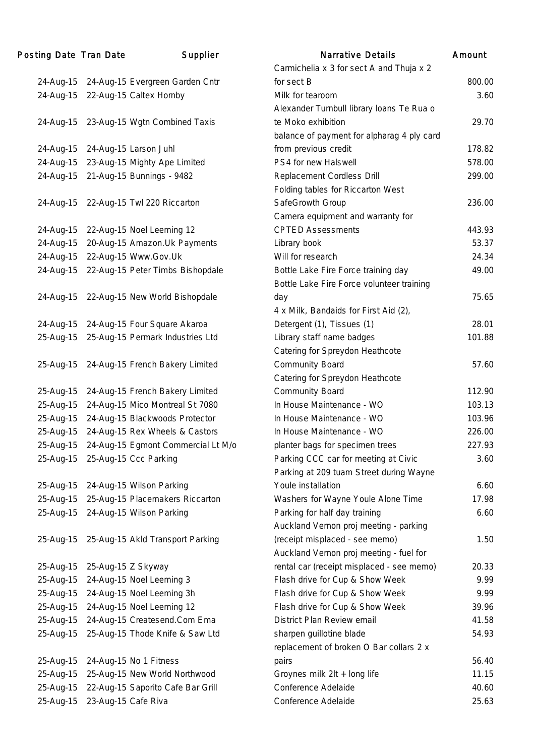#### Posting Date Tran Date Supplier Narrative Details Amount 24-Aug-15 24-Aug-15 Evergreen Garden Cntr Carmichelia x 3 for sect A and Thuja x 2  $\frac{1}{2}$  for sect B 800.00 24-Aug-15 22-Aug-15 Caltex Hornby Milk for tearoom 3.60 24-Aug-15 23-Aug-15 Wgtn Combined Taxis Alexander Turnbull library loans Te Rua o te Moko exhibition 29.70 24-Aug-15 24-Aug-15 Larson Juhl balance of payment for alpharag 4 ply card from previous credit 178.82 24-Aug-15 23-Aug-15 Mighty Ape Limited PS4 for new Halswell 578.00 24-Aug-15 21-Aug-15 Bunnings - 9482 Replacement Cordless Drill 299.00 24-Aug-15 22-Aug-15 Twl 220 Riccarton Folding tables for Riccarton West SafeGrowth Group 236.00 24-Aug-15 22-Aug-15 Noel Leeming 12 Camera equipment and warranty for CPTED Assessments 443.93 24-Aug-15 20-Aug-15 Amazon.Uk Payments Library book 53.37 24-Aug-15 22-Aug-15 Www.Gov.Uk Will for research 24.34 24-Aug-15 22-Aug-15 Peter Timbs Bishopdale Bottle Lake Fire Force training day 49.00 24-Aug-15 22-Aug-15 New World Bishopdale Bottle Lake Fire Force volunteer training day 75.65 24-Aug-15 24-Aug-15 Four Square Akaroa 4 x Milk, Bandaids for First Aid (2), Detergent (1), Tissues (1) 28.01 25-Aug-15 25-Aug-15 Permark Industries Ltd Library staff name badges 101.88 25-Aug-15 24-Aug-15 French Bakery Limited Catering for Spreydon Heathcote Community Board 57.60 25-Aug-15 24-Aug-15 French Bakery Limited Catering for Spreydon Heathcote Community Board 112.90 25-Aug-15 24-Aug-15 Mico Montreal St 7080 In House Maintenance - WO 103.13 25-Aug-15 24-Aug-15 Blackwoods Protector In House Maintenance - WO 103.96 25-Aug-15 24-Aug-15 Rex Wheels & Castors In House Maintenance - WO 226.00 25-Aug-15 24-Aug-15 Egmont Commercial Lt M/o planter bags for specimen trees 227.93 25-Aug-15 25-Aug-15 Ccc Parking Parking CCC car for meeting at Civic 3.60 25-Aug-15 24-Aug-15 Wilson Parking Parking at 209 tuam Street during Wayne Youle installation 6.60 25-Aug-15 25-Aug-15 Placemakers Riccarton Washers for Wayne Youle Alone Time 17.98 25-Aug-15 24-Aug-15 Wilson Parking Parking for half day training 6.60 25-Aug-15 25-Aug-15 Akld Transport Parking Auckland Vernon proj meeting - parking (receipt misplaced - see memo) 1.50 25-Aug-15 25-Aug-15 Z Skyway Auckland Vernon proj meeting - fuel for rental car (receipt misplaced - see memo) 20.33 25-Aug-15 24-Aug-15 Noel Leeming 3 Flash drive for Cup & Show Week 9.99 25-Aug-15 24-Aug-15 Noel Leeming 3h Flash drive for Cup & Show Week 9.99 25-Aug-15 24-Aug-15 Noel Leeming 12 Flash drive for Cup & Show Week 39.96 25-Aug-15 24-Aug-15 Createsend.Com Ema District Plan Review email 41.58 25-Aug-15 25-Aug-15 Thode Knife & Saw Ltd sharpen guillotine blade 54.93 25-Aug-15 24-Aug-15 No 1 Fitness replacement of broken O Bar collars 2 x pairs 56.40 25-Aug-15 25-Aug-15 New World Northwood Groynes milk 2lt + long life 11.15 25-Aug-15 22-Aug-15 Saporito Cafe Bar Grill Conference Adelaide 40.60 25-Aug-15 23-Aug-15 Cafe Riva Conference Adelaide 25.63